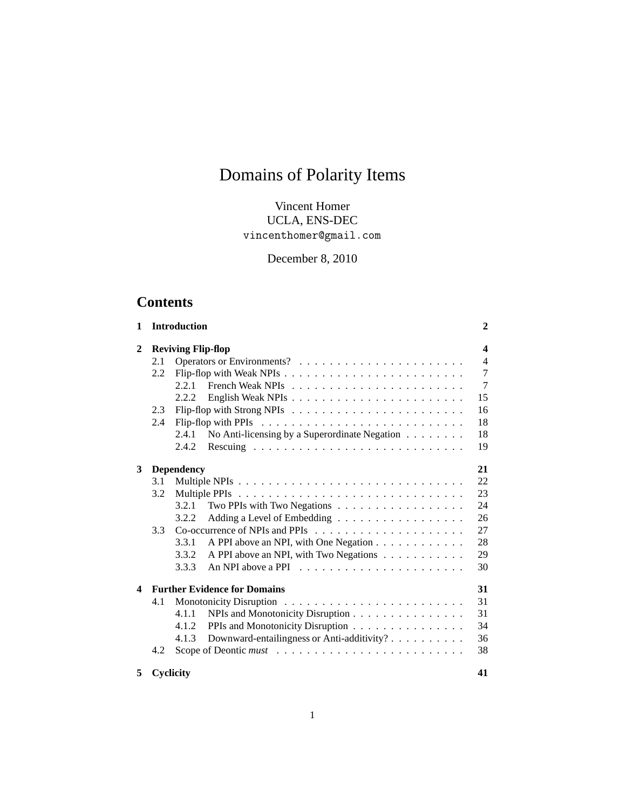# Domains of Polarity Items

# Vincent Homer UCLA, ENS-DEC vincenthomer@gmail.com

December 8, 2010

# **Contents**

| $\mathbf{1}$ |                           | <b>Introduction</b> |                                               | $\mathbf{2}$   |  |  |  |  |  |
|--------------|---------------------------|---------------------|-----------------------------------------------|----------------|--|--|--|--|--|
| 2            | <b>Reviving Flip-flop</b> |                     |                                               |                |  |  |  |  |  |
|              | 2.1                       |                     |                                               |                |  |  |  |  |  |
|              | 2.2                       |                     |                                               | $\overline{7}$ |  |  |  |  |  |
|              |                           | 2.2.1               |                                               | $\overline{7}$ |  |  |  |  |  |
|              |                           | 2.2.2               |                                               | 15             |  |  |  |  |  |
|              | 2.3                       |                     |                                               | 16             |  |  |  |  |  |
|              | 2.4                       |                     |                                               | 18             |  |  |  |  |  |
|              |                           | 2.4.1               | No Anti-licensing by a Superordinate Negation | 18             |  |  |  |  |  |
|              |                           | 2.4.2               |                                               | 19             |  |  |  |  |  |
| 3            |                           | <b>Dependency</b>   |                                               | 21             |  |  |  |  |  |
|              | 3.1                       |                     |                                               | 22             |  |  |  |  |  |
|              | 3.2                       |                     |                                               | 23             |  |  |  |  |  |
|              |                           | 3.2.1               | Two PPIs with Two Negations                   | 24             |  |  |  |  |  |
|              |                           | 3.2.2               | Adding a Level of Embedding                   | 26             |  |  |  |  |  |
|              | 3.3                       |                     |                                               | 27             |  |  |  |  |  |
|              |                           | 3.3.1               | A PPI above an NPI, with One Negation         | 28             |  |  |  |  |  |
|              |                           | 3.3.2               | A PPI above an NPI, with Two Negations        | 29             |  |  |  |  |  |
|              |                           | 3.3.3               |                                               | 30             |  |  |  |  |  |
| 4            |                           |                     | <b>Further Evidence for Domains</b>           | 31             |  |  |  |  |  |
|              | 4.1                       |                     |                                               | 31             |  |  |  |  |  |
|              |                           | 4.1.1               | NPIs and Monotonicity Disruption              | 31             |  |  |  |  |  |
|              |                           | 4.1.2               | PPIs and Monotonicity Disruption              | 34             |  |  |  |  |  |
|              |                           | 4.1.3               | Downward-entailingness or Anti-additivity?    | 36             |  |  |  |  |  |
|              | 4.2                       |                     |                                               | 38             |  |  |  |  |  |
|              |                           |                     |                                               |                |  |  |  |  |  |
| 5            |                           | Cyclicity           |                                               | 41             |  |  |  |  |  |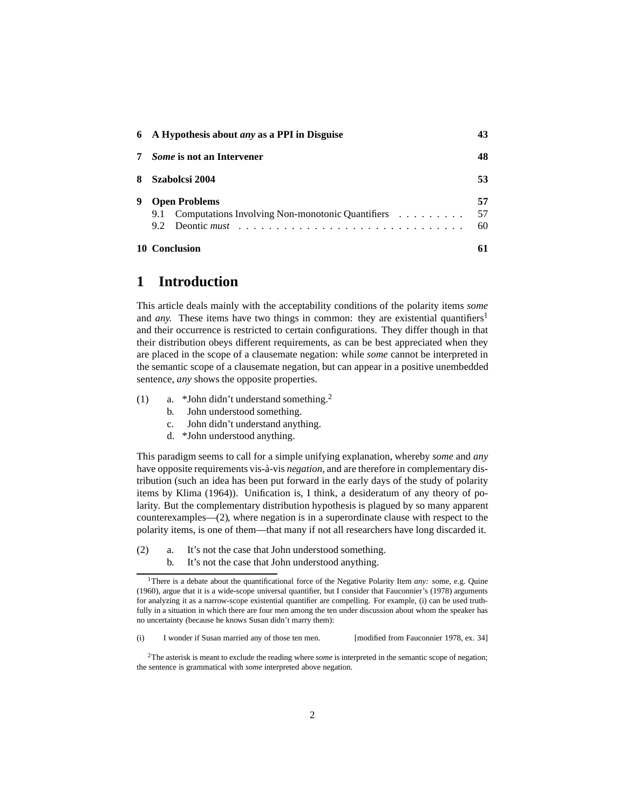|   | 6 A Hypothesis about <i>any</i> as a PPI in Disguise | 43 |
|---|------------------------------------------------------|----|
|   | <i>Some</i> is not an Intervener                     | 48 |
|   | Szabolcsi 2004                                       | 53 |
| 9 | <b>Open Problems</b>                                 | 57 |
|   | 9.1 Computations Involving Non-monotonic Quantifiers | 57 |
|   |                                                      | 60 |
|   | 10 Conclusion                                        |    |

# <span id="page-1-0"></span>**1 Introduction**

This article deals mainly with the acceptability conditions of the polarity items *some* and *any*. These items have two things in common: they are existential quantifiers<sup>[1](#page-1-1)</sup> and their occurrence is restricted to certain configurations. They differ though in that their distribution obeys different requirements, as can be best appreciated when they are placed in the scope of a clausemate negation: while *some* cannot be interpreted in the semantic scope of a clausemate negation, but can appear in a positive unembedded sentence, *any* shows the opposite properties.

- <span id="page-1-4"></span>(1) a. \*John didn't understand something.[2](#page-1-2)
	- b. John understood something.
	- c. John didn't understand anything.
	- d. \*John understood anything.

This paradigm seems to call for a simple unifying explanation, whereby *some* and *any* have opposite requirements vis-à-vis *negation*, and are therefore in complementary distribution (such an idea has been put forward in the early days of the study of polarity items by [Klima \(1964\)](#page-63-0)). Unification is, I think, a desideratum of any theory of polarity. But the complementary distribution hypothesis is plagued by so many apparent counterexamples[—\(2\),](#page-1-3) where negation is in a superordinate clause with respect to the polarity items, is one of them—that many if not all researchers have long discarded it.

- <span id="page-1-3"></span>(2) a. It's not the case that John understood something.
	- b. It's not the case that John understood anything.

<span id="page-1-1"></span><sup>&</sup>lt;sup>1</sup>There is a debate about the quantificational force of the Negative Polarity Item *any*: some, e.g. [Quine](#page-63-1) [\(1960](#page-63-1)), argue that it is a wide-scope universal quantifier, but I consider that [Fauconnier](#page-61-0)'s [\(1978](#page-61-0)) arguments for analyzing it as a narrow-scope existential quantifier are compelling. For example, [\(i\)](#page-60-1) can be used truthfully in a situation in which there are four men among the ten under discussion about whom the speaker has no uncertainty (because he knows Susan didn't marry them):

<sup>(</sup>i) I wonder if Susan married any of those ten men. [modified from [Fauconnier 1978,](#page-61-0) ex. 34]

<span id="page-1-2"></span><sup>&</sup>lt;sup>2</sup>The asterisk is meant to exclude the reading where *some* is interpreted in the semantic scope of negation; the sentence is grammatical with *some* interpreted above negation.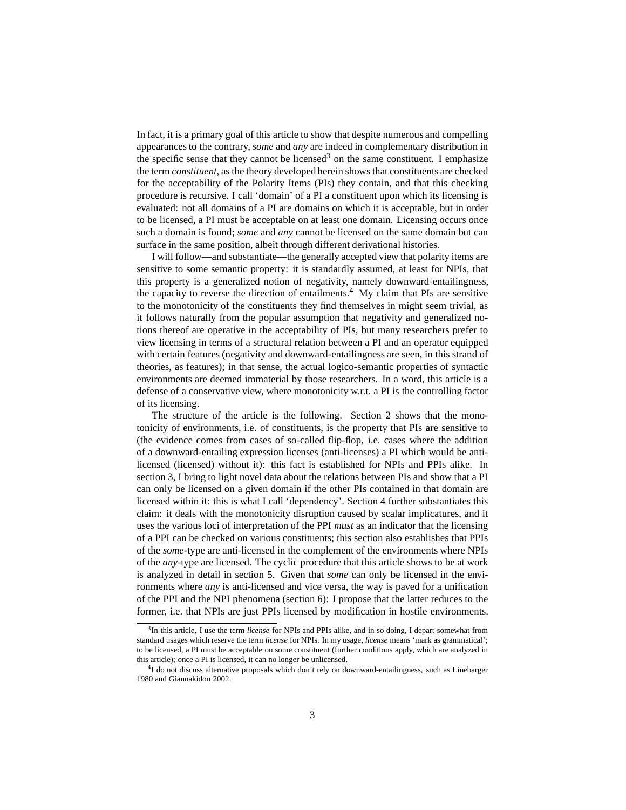In fact, it is a primary goal of this article to show that despite numerous and compelling appearances to the contrary, *some* and *any* are indeed in complementary distribution in the specific sense that they cannot be licensed<sup>[3](#page-2-0)</sup> on the same constituent. I emphasize the term *constituent,* as the theory developed herein shows that constituents are checked for the acceptability of the Polarity Items (PIs) they contain, and that this checking procedure is recursive. I call 'domain' of a PI a constituent upon which its licensing is evaluated: not all domains of a PI are domains on which it is acceptable, but in order to be licensed, a PI must be acceptable on at least one domain. Licensing occurs once such a domain is found; *some* and *any* cannot be licensed on the same domain but can surface in the same position, albeit through different derivational histories.

I will follow—and substantiate—the generally accepted view that polarity items are sensitive to some semantic property: it is standardly assumed, at least for NPIs, that this property is a generalized notion of negativity, namely downward-entailingness, the capacity to reverse the direction of entailments.<sup>[4](#page-2-1)</sup> My claim that PIs are sensitive to the monotonicity of the constituents they find themselves in might seem trivial, as it follows naturally from the popular assumption that negativity and generalized notions thereof are operative in the acceptability of PIs, but many researchers prefer to view licensing in terms of a structural relation between a PI and an operator equipped with certain features (negativity and downward-entailingness are seen, in this strand of theories, as features); in that sense, the actual logico-semantic properties of syntactic environments are deemed immaterial by those researchers. In a word, this article is a defense of a conservative view, where monotonicity w.r.t. a PI is the controlling factor of its licensing.

The structure of the article is the following. Section [2](#page-3-0) shows that the monotonicity of environments, i.e. of constituents, is the property that PIs are sensitive to (the evidence comes from cases of so-called flip-flop, i.e. cases where the addition of a downward-entailing expression licenses (anti-licenses) a PI which would be antilicensed (licensed) without it): this fact is established for NPIs and PPIs alike. In section [3,](#page-20-0) I bring to light novel data about the relations between PIs and show that a PI can only be licensed on a given domain if the other PIs contained in that domain are licensed within it: this is what I call 'dependency'. Section [4](#page-30-0) further substantiates this claim: it deals with the monotonicity disruption caused by scalar implicatures, and it uses the various loci of interpretation of the PPI *must* as an indicator that the licensing of a PPI can be checked on various constituents; this section also establishes that PPIs of the *some-*type are anti-licensed in the complement of the environments where NPIs of the *any-*type are licensed. The cyclic procedure that this article shows to be at work is analyzed in detail in section [5.](#page-40-0) Given that *some* can only be licensed in the environments where *any* is anti-licensed and vice versa, the way is paved for a unification of the PPI and the NPI phenomena (section [6\)](#page-42-0): I propose that the latter reduces to the former, i.e. that NPIs are just PPIs licensed by modification in hostile environments.

<span id="page-2-0"></span><sup>3</sup> In this article, I use the term *license* for NPIs and PPIs alike, and in so doing, I depart somewhat from standard usages which reserve the term *license* for NPIs. In my usage, *license* means 'mark as grammatical'; to be licensed, a PI must be acceptable on some constituent (further conditions apply, which are analyzed in this article); once a PI is licensed, it can no longer be unlicensed.

<span id="page-2-1"></span><sup>&</sup>lt;sup>4</sup>I do not discuss alternative proposals which don't rely on downward-entailingness, such as [Linebarger](#page-63-2) [1980](#page-63-2) and [Giannakidou 2002](#page-62-0).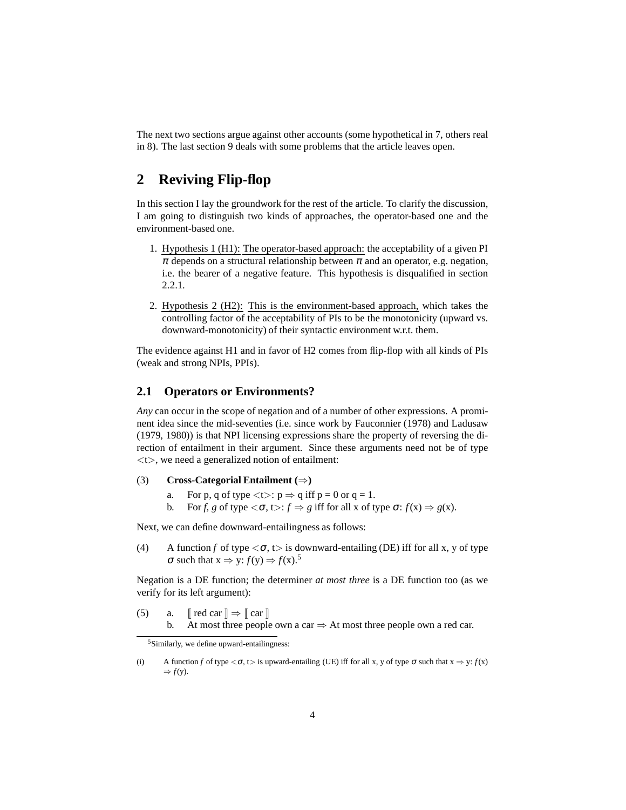The next two sections argue against other accounts (some hypothetical in [7,](#page-47-0) others real in [8\)](#page-52-0). The last section [9](#page-56-0) deals with some problems that the article leaves open.

# <span id="page-3-0"></span>**2 Reviving Flip-flop**

<span id="page-3-2"></span>In this section I lay the groundwork for the rest of the article. To clarify the discussion, I am going to distinguish two kinds of approaches, the operator-based one and the environment-based one.

- 1. Hypothesis 1 (H1): The operator-based approach: the acceptability of a given PI  $\pi$  depends on a structural relationship between  $\pi$  and an operator, e.g. negation, i.e. the bearer of a negative feature. This hypothesis is disqualified in section [2.2.1.](#page-6-1)
- <span id="page-3-3"></span>2. Hypothesis 2 (H2): This is the environment-based approach, which takes the controlling factor of the acceptability of PIs to be the monotonicity (upward vs. downward-monotonicity) of their syntactic environment w.r.t. them.

The evidence against [H1](#page-3-2) and in favor of [H2](#page-3-3) comes from flip-flop with all kinds of PIs (weak and strong NPIs, PPIs).

### <span id="page-3-1"></span>**2.1 Operators or Environments?**

*Any* can occur in the scope of negation and of a number of other expressions. A prominent idea since the mid-seventies (i.e. since work by Fauconnier [\(1978](#page-61-0)) and Ladusaw [\(1979,](#page-63-3) [1980\)](#page-63-4)) is that NPI licensing expressions share the property of reversing the direction of entailment in their argument. Since these arguments need not be of type <t>, we need a generalized notion of entailment:

### (3) **Cross-Categorial Entailment (**⇒**)**

- a. For p, q of type  $lt>$ :  $p \Rightarrow q$  iff  $p = 0$  or  $q = 1$ .
- b. For *f*, *g* of type  $\langle \sigma, t \rangle : f \Rightarrow g$  iff for all x of type  $\sigma : f(x) \Rightarrow g(x)$ .

Next, we can define downward-entailingness as follows:

(4) A function *f* of type  $\langle \sigma, t \rangle$  is downward-entailing (DE) iff for all x, y of type  $\sigma$  such that  $x \Rightarrow y: f(y) \Rightarrow f(x)$ .<sup>[5](#page-3-4)</sup>

Negation is a DE function; the determiner *at most three* is a DE function too (as we verify for its left argument):

(5) a.  $\lceil \text{red car} \rceil \Rightarrow \lceil \text{car} \rceil$ b. At most three people own a car  $\Rightarrow$  At most three people own a red car.

<span id="page-3-4"></span>(i) A function *f* of type  $\langle \sigma, t \rangle$  is upward-entailing (UE) iff for all x, y of type  $\sigma$  such that  $x \Rightarrow y: f(x)$  $\Rightarrow$  *f*(y).

<sup>5</sup>Similarly, we define upward-entailingness: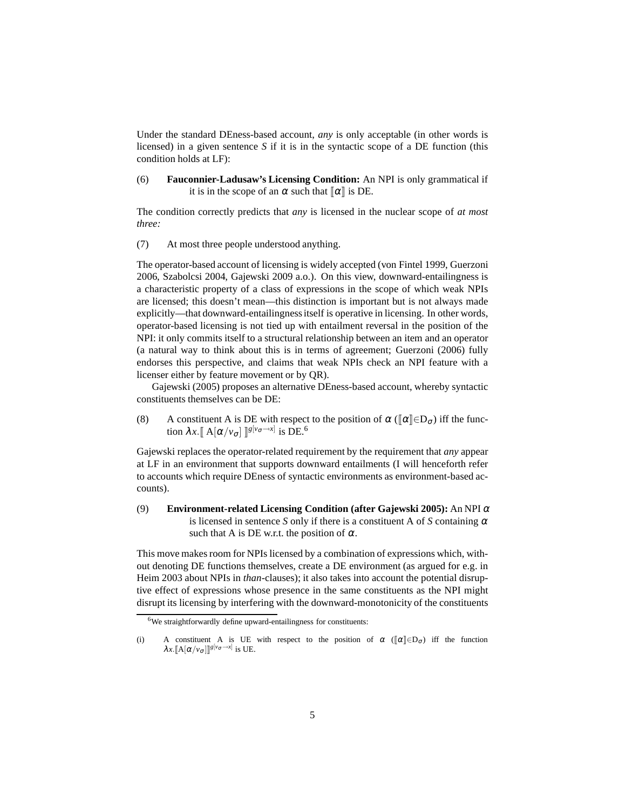Under the standard DEness-based account, *any* is only acceptable (in other words is licensed) in a given sentence *S* if it is in the syntactic scope of a DE function (this condition holds at LF):

(6) **Fauconnier-Ladusaw's Licensing Condition:** An NPI is only grammatical if it is in the scope of an  $\alpha$  such that  $\alpha$  is DE.

The condition correctly predicts that *any* is licensed in the nuclear scope of *at most three:*

(7) At most three people understood anything.

The operator-based account of licensing is widely accepted [\(von Fintel 1999,](#page-61-1) [Guerzoni](#page-62-1) [2006,](#page-62-1) [Szabolcsi 2004,](#page-64-0) [Gajewski 2009](#page-61-2) a.o.). On this view, downward-entailingness is a characteristic property of a class of expressions in the scope of which weak NPIs are licensed; this doesn't mean—this distinction is important but is not always made explicitly—that downward-entailingness itself is operative in licensing. In other words, operator-based licensing is not tied up with entailment reversal in the position of the NPI: it only commits itself to a structural relationship between an item and an operator (a natural way to think about this is in terms of agreement; [Guerzoni](#page-62-1) [\(2006\)](#page-62-1) fully endorses this perspective, and claims that weak NPIs check an NPI feature with a licenser either by feature movement or by QR).

[Gajewski](#page-61-3) [\(2005\)](#page-61-3) proposes an alternative DEness-based account, whereby syntactic constituents themselves can be DE:

(8) A constituent A is DE with respect to the position of  $\alpha$  ( $\alpha \in D_{\sigma}$ ) iff the function  $\lambda x.$   $[A(\alpha/v_{\sigma}]$   $]^{g[v_{\sigma} \rightarrow x]}$  is DE.<sup>[6](#page-4-0)</sup>

Gajewski replaces the operator-related requirement by the requirement that *any* appear at LF in an environment that supports downward entailments (I will henceforth refer to accounts which require DEness of syntactic environments as environment-based accounts).

<span id="page-4-1"></span>(9) **Environment-related Licensing Condition (after [Gajewski](#page-61-3) [2005\)](#page-61-3):** An NPI <sup>α</sup> is licensed in sentence *S* only if there is a constituent A of *S* containing  $\alpha$ such that A is DE w.r.t. the position of  $\alpha$ .

This move makes room for NPIs licensed by a combination of expressions which, without denoting DE functions themselves, create a DE environment (as argued for e.g. in [Heim 2003](#page-62-2) about NPIs in *than-*clauses); it also takes into account the potential disruptive effect of expressions whose presence in the same constituents as the NPI might disrupt its licensing by interfering with the downward-monotonicity of the constituents

 $6$ We straightforwardly define upward-entailingness for constituents:

<span id="page-4-0"></span><sup>(</sup>i) A constituent A is UE with respect to the position of  $\alpha$  ( $\alpha \in \mathbb{R}^n$ ) iff the function  $\lambda x. [\![A[\alpha/v_{\sigma}]\!]]^{g[v_{\sigma}\to x]}$  is UE.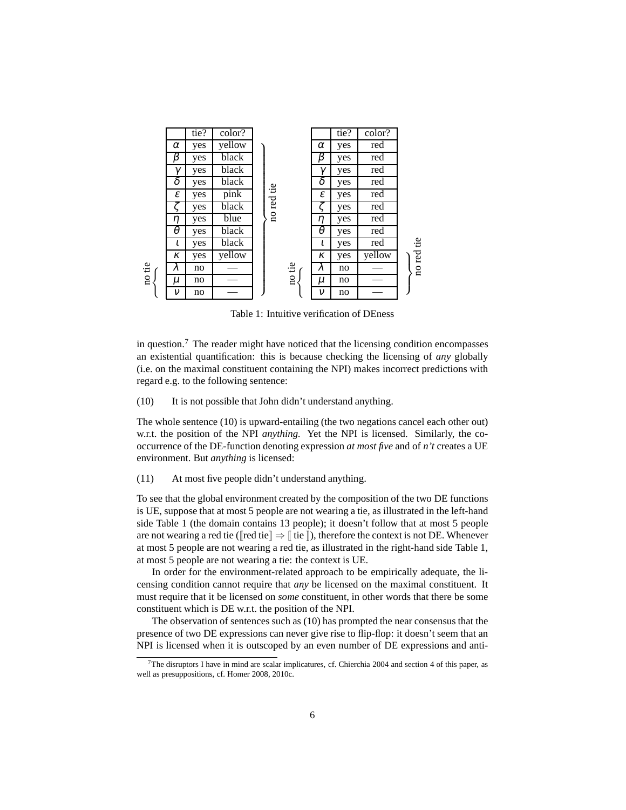

<span id="page-5-2"></span>Table 1: Intuitive verification of DEness

in question.<sup>[7](#page-5-0)</sup> The reader might have noticed that the licensing condition encompasses an existential quantification: this is because checking the licensing of *any* globally (i.e. on the maximal constituent containing the NPI) makes incorrect predictions with regard e.g. to the following sentence:

<span id="page-5-1"></span>(10) It is not possible that John didn't understand anything.

The whole sentence [\(10\)](#page-5-1) is upward-entailing (the two negations cancel each other out) w.r.t. the position of the NPI *anything.* Yet the NPI is licensed. Similarly, the cooccurrence of the DE-function denoting expression *at most five* and of *n't* creates a UE environment. But *anything* is licensed:

(11) At most five people didn't understand anything.

To see that the global environment created by the composition of the two DE functions is UE, suppose that at most 5 people are not wearing a tie, as illustrated in the left-hand side Table [1](#page-5-2) (the domain contains 13 people); it doesn't follow that at most 5 people are not wearing a red tie ( $\lceil \text{red tie} \rceil \Rightarrow \lceil \text{ tie} \rceil$ ), therefore the context is not DE. Whenever at most 5 people are not wearing a red tie, as illustrated in the right-hand side Table [1,](#page-5-2) at most 5 people are not wearing a tie: the context is UE.

In order for the environment-related approach to be empirically adequate, the licensing condition cannot require that *any* be licensed on the maximal constituent. It must require that it be licensed on *some* constituent, in other words that there be some constituent which is DE w.r.t. the position of the NPI.

The observation of sentences such as [\(10\)](#page-5-1) has prompted the near consensus that the presence of two DE expressions can never give rise to flip-flop: it doesn't seem that an NPI is licensed when it is outscoped by an even number of DE expressions and anti-

<span id="page-5-0"></span> $7$ The disruptors I have in mind are scalar implicatures, cf. [Chierchia 2004](#page-61-4) and section [4](#page-30-0) of this paper, as well as presuppositions, cf. [Homer 2008](#page-62-3), [2010c.](#page-62-4)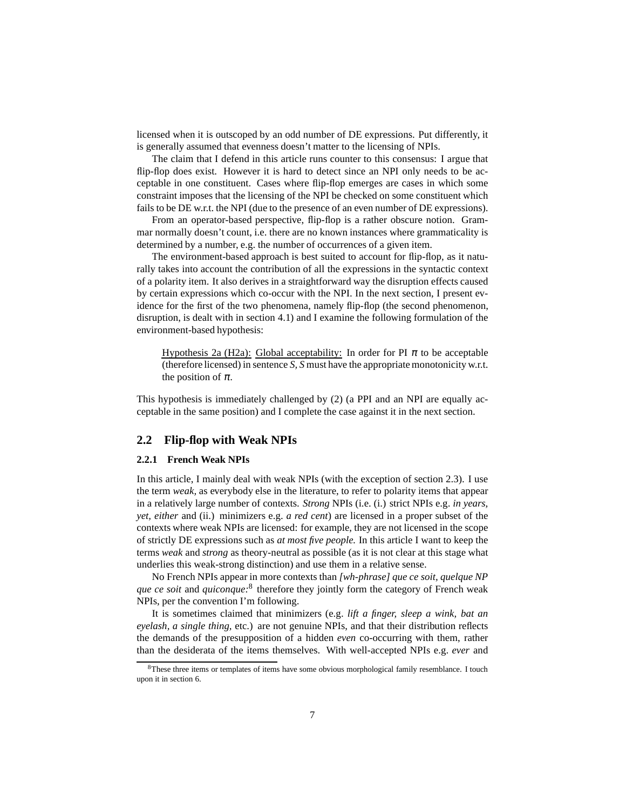licensed when it is outscoped by an odd number of DE expressions. Put differently, it is generally assumed that evenness doesn't matter to the licensing of NPIs.

The claim that I defend in this article runs counter to this consensus: I argue that flip-flop does exist. However it is hard to detect since an NPI only needs to be acceptable in one constituent. Cases where flip-flop emerges are cases in which some constraint imposes that the licensing of the NPI be checked on some constituent which fails to be DE w.r.t. the NPI (due to the presence of an even number of DE expressions).

From an operator-based perspective, flip-flop is a rather obscure notion. Grammar normally doesn't count, i.e. there are no known instances where grammaticality is determined by a number, e.g. the number of occurrences of a given item.

The environment-based approach is best suited to account for flip-flop, as it naturally takes into account the contribution of all the expressions in the syntactic context of a polarity item. It also derives in a straightforward way the disruption effects caused by certain expressions which co-occur with the NPI. In the next section, I present evidence for the first of the two phenomena, namely flip-flop (the second phenomenon, disruption, is dealt with in section [4.1\)](#page-30-1) and I examine the following formulation of the environment-based hypothesis:

Hypothesis 2a (H2a): Global acceptability: In order for PI  $\pi$  to be acceptable (therefore licensed) in sentence *S, S* must have the appropriate monotonicity w.r.t. the position of  $\pi$ .

This hypothesis is immediately challenged by [\(2\)](#page-1-3) (a PPI and an NPI are equally acceptable in the same position) and I complete the case against it in the next section.

### <span id="page-6-1"></span><span id="page-6-0"></span>**2.2 Flip-flop with Weak NPIs**

#### **2.2.1 French Weak NPIs**

In this article, I mainly deal with weak NPIs (with the exception of section [2.3\)](#page-15-0). I use the term *weak,* as everybody else in the literature, to refer to polarity items that appear in a relatively large number of contexts. *Strong* NPIs (i.e. (i.) strict NPIs e.g. *in years, yet, either* and (ii.) minimizers e.g. *a red cent*) are licensed in a proper subset of the contexts where weak NPIs are licensed: for example, they are not licensed in the scope of strictly DE expressions such as *at most five people.* In this article I want to keep the terms *weak* and *strong* as theory-neutral as possible (as it is not clear at this stage what underlies this weak-strong distinction) and use them in a relative sense.

No French NPIs appear in more contexts than *[wh-phrase] que ce soit, quelque NP que ce soit* and *quiconque:*[8](#page-6-2) therefore they jointly form the category of French weak NPIs, per the convention I'm following.

It is sometimes claimed that minimizers (e.g. *lift a finger, sleep a wink, bat an eyelash, a single thing,* etc.) are not genuine NPIs, and that their distribution reflects the demands of the presupposition of a hidden *even* co-occurring with them, rather than the desiderata of the items themselves. With well-accepted NPIs e.g. *ever* and

<span id="page-6-2"></span><sup>&</sup>lt;sup>8</sup>These three items or templates of items have some obvious morphological family resemblance. I touch upon it in section [6.](#page-42-0)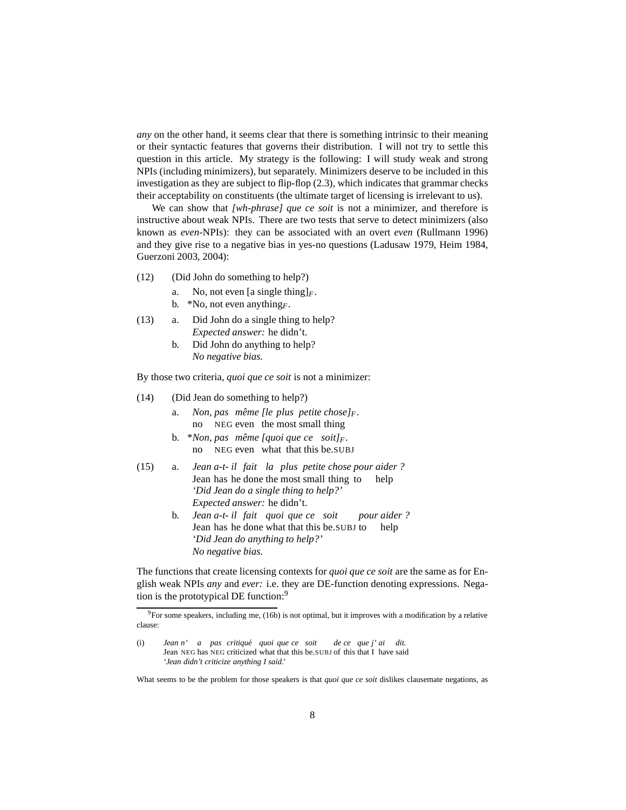*any* on the other hand, it seems clear that there is something intrinsic to their meaning or their syntactic features that governs their distribution. I will not try to settle this question in this article. My strategy is the following: I will study weak and strong NPIs (including minimizers), but separately. Minimizers deserve to be included in this investigation as they are subject to flip-flop [\(2.3\)](#page-15-0), which indicates that grammar checks their acceptability on constituents (the ultimate target of licensing is irrelevant to us).

We can show that *[wh-phrase] que ce soit* is not a minimizer, and therefore is instructive about weak NPIs. There are two tests that serve to detect minimizers (also known as *even-*NPIs): they can be associated with an overt *even* [\(Rullmann 1996](#page-64-1)) and they give rise to a negative bias in yes-no questions [\(Ladusaw 1979,](#page-63-3) [Heim 1984,](#page-62-5) [Guerzoni 2003](#page-62-6), [2004](#page-62-7)):

- (12) (Did John do something to help?)
	- a. No, not even [a single thing] $_F$ .
	- b. \*No, not even anything*F*.
- (13) a. Did John do a single thing to help? *Expected answer:* he didn't.
	- b. Did John do anything to help? *No negative bias.*

By those two criteria, *quoi que ce soit* is not a minimizer:

- (14) (Did Jean do something to help?)
	- a. *Non, pas meme ˆ [le plus petite chose]F.* no NEG even the most small thing
	- b. \**Non, pas meme ˆ [quoi que ce soit]<sup>F</sup> .* no NEG even what that this be.SUBJ
- (15) a. *Jean a-t-il fait la plus petite chose pour aider ?* Jean has he done the most small thing to help *'Did Jean do a single thing to help?' Expected answer:* he didn't.
	- b. *Jean a-t-il fait quoi que ce soit* Jean has he done what that this be.SUBJ to *pour aider ?* help *'Did Jean do anything to help?' No negative bias.*

The functions that create licensing contexts for *quoi que ce soit* are the same as for English weak NPIs *any* and *ever:* i.e. they are DE-function denoting expressions. Nega-tion is the prototypical DE function:<sup>[9](#page-7-0)</sup>

<span id="page-7-0"></span><sup>&</sup>lt;sup>9</sup>For some speakers, including me, [\(16b\)](#page-8-0) is not optimal, but it improves with a modification by a relative clause:

<sup>(</sup>i) *Jean n' a pas critiqué quoi que ce soit* Jean NEG has NEG criticized what that this be.SUBJ of this that I have said *de ce que j' ai dit. 'Jean didn't criticize anything I said.'*

What seems to be the problem for those speakers is that *quoi que ce soit* dislikes clausemate negations, as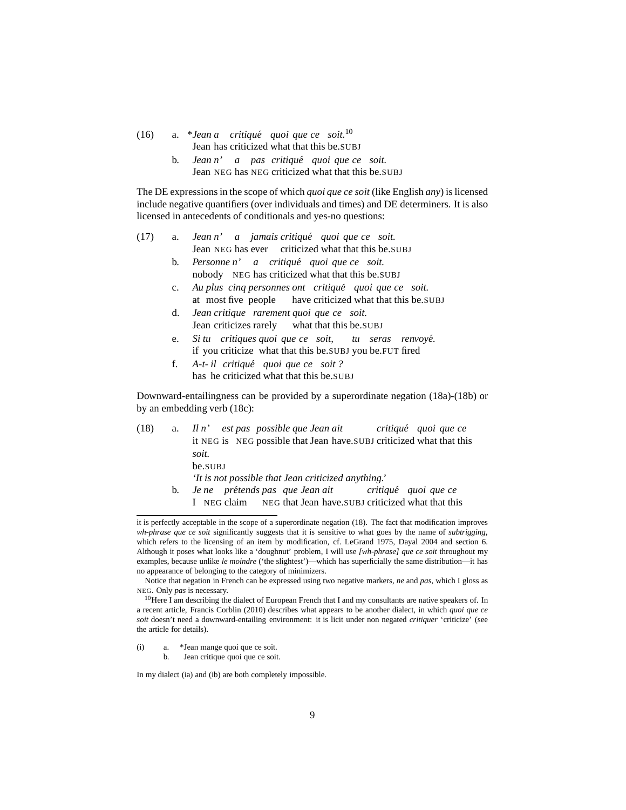<span id="page-8-0"></span>(16) a.  $*$ *Jean a* critiqué quoi que ce soit.<sup>[10](#page-8-1)</sup> Jean has criticized what that this be.SUBJ

> b. *Jean n' a pas critique´ quoi que ce soit.* Jean NEG has NEG criticized what that this be.SUBJ

The DE expressions in the scope of which *quoi que ce soit* (like English *any*) is licensed include negative quantifiers (over individuals and times) and DE determiners. It is also licensed in antecedents of conditionals and yes-no questions:

- (17) a. *Jean n' a jamais critique´ quoi que ce soit.* Jean NEG has ever criticized what that this be.SUBJ
	- b. *Personne n' a critique´ quoi que ce soit.* nobody NEG has criticized what that this be.SUBJ
	- c. *Au plus cinq personnes ont critique´ quoi que ce soit.* at most five people have criticized what that this be.SUBJ
	- d. *Jean critique rarement quoi que ce soit.* Jean criticizes rarely what that this be.SUBJ
	- e. *Si tu critiques quoi que ce soit,* if you criticize what that this be.SUBJ you be.FUT fired *tu seras renvoye.´*
	- f. *A-t-il critique´ quoi que ce soit ?* has he criticized what that this be.SUBJ

<span id="page-8-4"></span>Downward-entailingness can be provided by a superordinate negation [\(18a\)](#page-8-2)[-\(18b\)](#page-8-3) or by an embedding verb [\(18c\):](#page-9-0)

<span id="page-8-2"></span>

| (18) |    | a. Il n'est pas possible que Jean ait critiqué quoi que ce           |
|------|----|----------------------------------------------------------------------|
|      |    | it NEG is NEG possible that Jean have SUBJ criticized what that this |
|      |    | soit.                                                                |
|      |    | be.SUBJ                                                              |
|      |    | 'It is not possible that Jean criticized anything.'                  |
|      | b. | Je ne prétends pas que Jean ait critiqué quoi que ce                 |
|      |    | I NEG claim NEG that Jean have.SUBJ criticized what that this        |

<span id="page-8-3"></span>it is perfectly acceptable in the scope of a superordinate negation [\(18\).](#page-8-4) The fact that modification improves *wh-phrase que ce soit* significantly suggests that it is sensitive to what goes by the name of *subtrigging*, which refers to the licensing of an item by modification, cf. [LeGrand 1975,](#page-63-5) [Dayal 2004](#page-61-5) and section [6.](#page-42-0) Although it poses what looks like a 'doughnut' problem, I will use *[wh-phrase] que ce soit* throughout my examples, because unlike *le moindre* ('the slightest')—which has superficially the same distribution—it has no appearance of belonging to the category of minimizers.

<span id="page-8-6"></span><span id="page-8-5"></span>(i) a. \*Jean mange quoi que ce soit.

b. Jean critique quoi que ce soit.

In my dialect [\(ia\)](#page-8-5) and [\(ib\)](#page-8-6) are both completely impossible.

Notice that negation in French can be expressed using two negative markers, *ne* and *pas,* which I gloss as NEG. Only *pas* is necessary.

<span id="page-8-1"></span> $10$ Here I am describing the dialect of European French that I and my consultants are native speakers of. In a recent article, Francis Corblin [\(2010](#page-61-6)) describes what appears to be another dialect, in which *quoi que ce soit* doesn't need a downward-entailing environment: it is licit under non negated *critiquer* 'criticize' (see the article for details).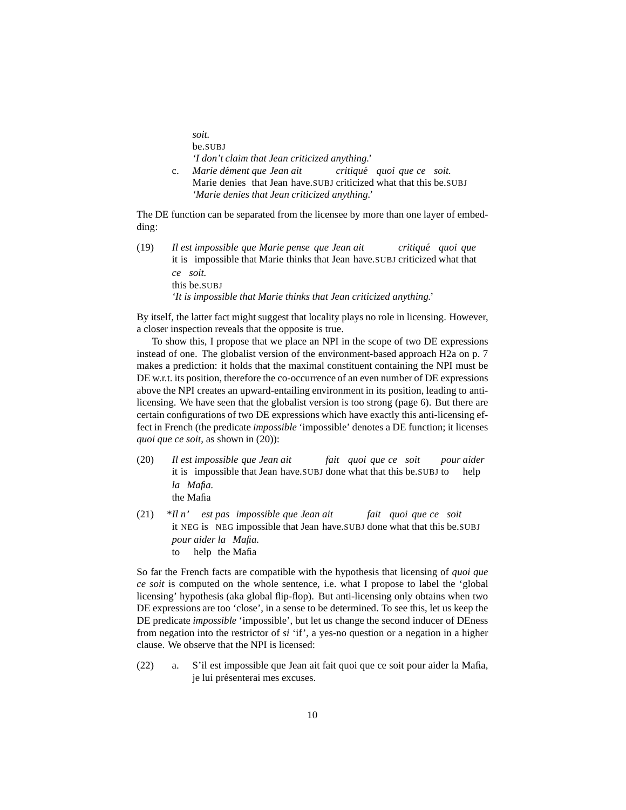*soit.* be.SUBJ *'I don't claim that Jean criticized anything.'*

c. *Marie dement ´ que Jean ait* Marie denies that Jean have.SUBJ criticized what that this be.SUBJ *critique´ quoi que ce soit. 'Marie denies that Jean criticized anything.'*

<span id="page-9-0"></span>The DE function can be separated from the licensee by more than one layer of embedding:

(19) *Il* it is impossible that Marie thinks that Jean have.SUBJ criticized what that *est impossible que Marie pense que Jean ait critique´ quoi que ce soit.* this be.SUBJ *'It is impossible that Marie thinks that Jean criticized anything.'*

By itself, the latter fact might suggest that locality plays no role in licensing. However, a closer inspection reveals that the opposite is true.

To show this, I propose that we place an NPI in the scope of two DE expressions instead of one. The globalist version of the environment-based approach [H2a](#page-5-2) on p. [7](#page-5-2) makes a prediction: it holds that the maximal constituent containing the NPI must be DE w.r.t. its position, therefore the co-occurrence of an even number of DE expressions above the NPI creates an upward-entailing environment in its position, leading to antilicensing. We have seen that the globalist version is too strong (page [6\)](#page-5-1). But there are certain configurations of two DE expressions which have exactly this anti-licensing effect in French (the predicate *impossible* 'impossible' denotes a DE function; it licenses *quoi que ce soit,* as shown in [\(20\)\)](#page-9-1):

- <span id="page-9-1"></span> $(20)$ it is impossible that Jean have.SUBJ done what that this be.SUBJ to *est impossible que Jean ait fait quoi que ce soit pour aider* help *la Mafia.* the Mafia
- <span id="page-9-2"></span> $(21)$ it NEG is NEG impossible that Jean have.SUBJ done what that this be.SUBJ *n' est pas impossible que Jean ait fait quoi que ce soit pour aider la Mafia.* to help the Mafia

So far the French facts are compatible with the hypothesis that licensing of *quoi que ce soit* is computed on the whole sentence, i.e. what I propose to label the 'global licensing' hypothesis (aka global flip-flop). But anti-licensing only obtains when two DE expressions are too 'close', in a sense to be determined. To see this, let us keep the DE predicate *impossible* 'impossible', but let us change the second inducer of DEness from negation into the restrictor of *si* 'if', a yes-no question or a negation in a higher clause. We observe that the NPI is licensed:

<span id="page-9-4"></span><span id="page-9-3"></span>(22) a. S'il est impossible que Jean ait fait quoi que ce soit pour aider la Mafia, je lui présenterai mes excuses.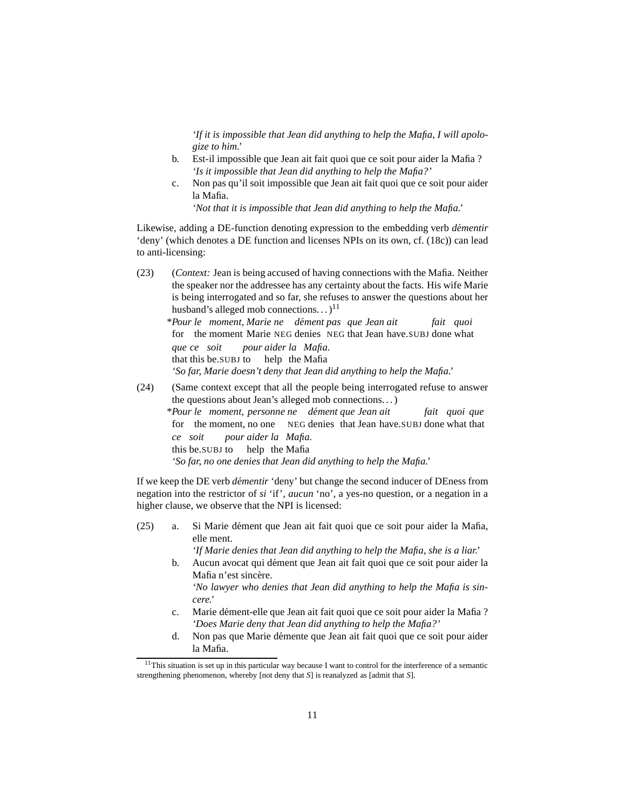*'If it is impossible that Jean did anything to help the Mafia, I will apologize to him.'*

- b. Est-il impossible que Jean ait fait quoi que ce soit pour aider la Mafia ? *'Is it impossible that Jean did anything to help the Mafia?'*
- c. Non pas qu'il soit impossible que Jean ait fait quoi que ce soit pour aider la Mafia.

*'Not that it is impossible that Jean did anything to help the Mafia.'*

Likewise, adding a DE-function denoting expression to the embedding verb *dementir ´* 'deny' (which denotes a DE function and licenses NPIs on its own, cf. [\(18c\)\)](#page-9-0) can lead to anti-licensing:

<span id="page-10-1"></span>(23) (*Context:* Jean is being accused of having connections with the Mafia. Neither the speaker nor the addressee has any certainty about the facts. His wife Marie is being interrogated and so far, she refuses to answer the questions about her husband's alleged mob connections... $)^{11}$  $)^{11}$  $)^{11}$ 

\**Pour le moment, Marie ne dement ´ pas que Jean ait* for the moment Marie NEG denies NEG that Jean have.SUBJ done what *fait quoi que ce soit* that this be.SUBJ to help the Mafia *pour aider la Mafia. 'So far, Marie doesn't deny that Jean did anything to help the Mafia.'*

<span id="page-10-2"></span>(24) (Same context except that all the people being interrogated refuse to answer the questions about Jean's alleged mob connections. . . ) \**Pour le moment, personne ne dement ´ que Jean ait* for the moment, no one NEG denies that Jean have.SUBJ done what that *fait quoi que ce soit* this be.SUBJ to help the Mafia *pour aider la Mafia. 'So far, no one denies that Jean did anything to help the Mafia.'*

If we keep the DE verb *démentir* 'deny' but change the second inducer of DEness from negation into the restrictor of *si* 'if', *aucun* 'no', a yes-no question, or a negation in a higher clause, we observe that the NPI is licensed:

<span id="page-10-3"></span>(25) a. Si Marie d´ement que Jean ait fait quoi que ce soit pour aider la Mafia, elle ment.

*'If Marie denies that Jean did anything to help the Mafia, she is a liar.'*

b. Aucun avocat qui dément que Jean ait fait quoi que ce soit pour aider la Mafia n'est sincère.

*'No lawyer who denies that Jean did anything to help the Mafia is sincere.'*

- c. Marie dément-elle que Jean ait fait quoi que ce soit pour aider la Mafia ? *'Does Marie deny that Jean did anything to help the Mafia?'*
- d. Non pas que Marie démente que Jean ait fait quoi que ce soit pour aider la Mafia.

<span id="page-10-0"></span><sup>&</sup>lt;sup>11</sup>This situation is set up in this particular way because I want to control for the interference of a semantic strengthening phenomenon, whereby [not deny that *S*] is reanalyzed as [admit that *S*].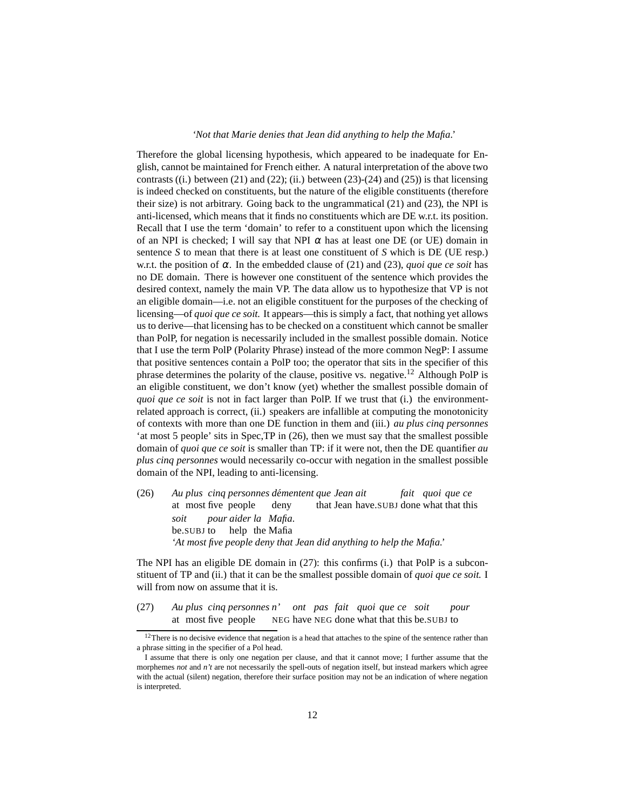#### *'Not that Marie denies that Jean did anything to help the Mafia.'*

Therefore the global licensing hypothesis, which appeared to be inadequate for English, cannot be maintained for French either. A natural interpretation of the above two contrasts ((i.) between [\(21\)](#page-9-2) and [\(22\);](#page-9-3) (ii.) between [\(23\)](#page-10-1)[-\(24\)](#page-10-2) and [\(25\)\)](#page-10-3) is that licensing is indeed checked on constituents, but the nature of the eligible constituents (therefore their size) is not arbitrary. Going back to the ungrammatical [\(21\)](#page-9-2) and [\(23\),](#page-10-1) the NPI is anti-licensed, which means that it finds no constituents which are DE w.r.t. its position. Recall that I use the term 'domain' to refer to a constituent upon which the licensing of an NPI is checked; I will say that NPI  $\alpha$  has at least one DE (or UE) domain in sentence *S* to mean that there is at least one constituent of *S* which is DE (UE resp.) w.r.t. the position of  $\alpha$ . In the embedded clause of [\(21\)](#page-9-2) and [\(23\),](#page-10-1) *quoi que ce soit* has no DE domain. There is however one constituent of the sentence which provides the desired context, namely the main VP. The data allow us to hypothesize that VP is not an eligible domain—i.e. not an eligible constituent for the purposes of the checking of licensing—of *quoi que ce soit.* It appears—this is simply a fact, that nothing yet allows us to derive—that licensing has to be checked on a constituent which cannot be smaller than PolP, for negation is necessarily included in the smallest possible domain. Notice that I use the term PolP (Polarity Phrase) instead of the more common NegP: I assume that positive sentences contain a PolP too; the operator that sits in the specifier of this phrase determines the polarity of the clause, positive vs. negative.[12](#page-11-0) Although PolP is an eligible constituent, we don't know (yet) whether the smallest possible domain of *quoi que ce soit* is not in fact larger than PolP. If we trust that (i.) the environmentrelated approach is correct, (ii.) speakers are infallible at computing the monotonicity of contexts with more than one DE function in them and (iii.) *au plus cinq personnes* 'at most 5 people' sits in Spec,TP in [\(26\),](#page-11-1) then we must say that the smallest possible domain of *quoi que ce soit* is smaller than TP: if it were not, then the DE quantifier *au plus cinq personnes* would necessarily co-occur with negation in the smallest possible domain of the NPI, leading to anti-licensing.

<span id="page-11-1"></span> $(26)$ at most five people *plus cinq personnes dementent ´ que Jean ait* deny that Jean have.SUBJ done what that this *fait quoi que ce soit* be.SUBJ to *pour aider la Mafia.* help the Mafia *'At most five people deny that Jean did anything to help the Mafia.'*

The NPI has an eligible DE domain in [\(27\):](#page-11-2) this confirms (i.) that PolP is a subconstituent of TP and (ii.) that it can be the smallest possible domain of *quoi que ce soit.* I will from now on assume that it is.

<span id="page-11-2"></span> $(27)$ at most five people *plus cinq personnes n'* NEG have NEG done what that this be.SUBJ to *ont pas fait quoi que ce soit pour*

<sup>&</sup>lt;sup>12</sup>There is no decisive evidence that negation is a head that attaches to the spine of the sentence rather than a phrase sitting in the specifier of a Pol head.

<span id="page-11-0"></span>I assume that there is only one negation per clause, and that it cannot move; I further assume that the morphemes *not* and *n't* are not necessarily the spell-outs of negation itself, but instead markers which agree with the actual (silent) negation, therefore their surface position may not be an indication of where negation is interpreted.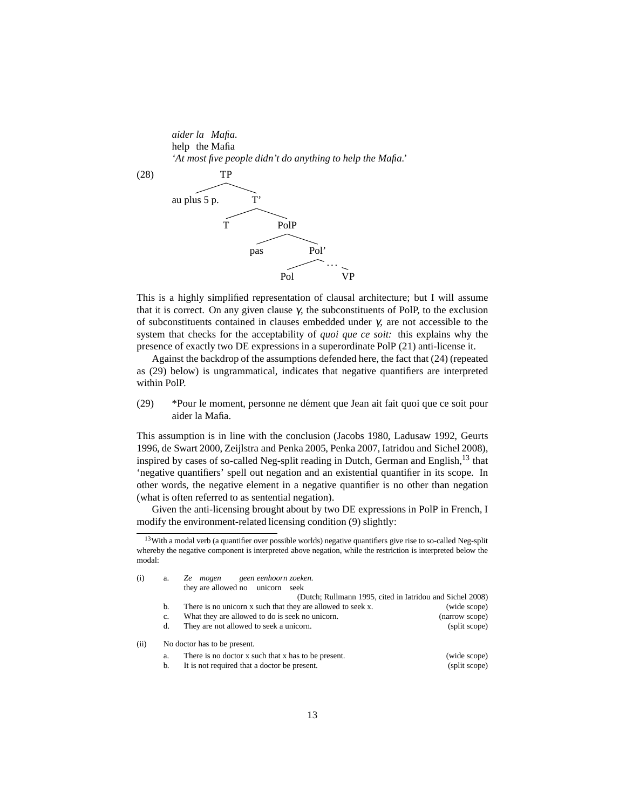*aider la Mafia.* help the Mafia *'At most five people didn't do anything to help the Mafia.'*



This is a highly simplified representation of clausal architecture; but I will assume that it is correct. On any given clause  $γ$ , the subconstituents of PolP, to the exclusion of subconstituents contained in clauses embedded under γ, are not accessible to the system that checks for the acceptability of *quoi que ce soit:* this explains why the presence of exactly two DE expressions in a superordinate PolP [\(21\)](#page-9-2) anti-license it.

Against the backdrop of the assumptions defended here, the fact that [\(24\)](#page-10-2) (repeated as [\(29\)](#page-12-0) below) is ungrammatical, indicates that negative quantifiers are interpreted within PolP.

<span id="page-12-0"></span>(29) \*Pour le moment, personne ne dément que Jean ait fait quoi que ce soit pour aider la Mafia.

This assumption is in line with the conclusion [\(Jacobs 1980,](#page-62-8) [Ladusaw 1992,](#page-63-6) [Geurts](#page-62-9) [1996,](#page-62-9) [de Swart 2000](#page-64-2), [Zeijlstra and Penka 2005,](#page-64-3) [Penka 2007,](#page-63-7) [Iatridou and Sichel 2008\)](#page-62-10), inspired by cases of so-called Neg-split reading in Dutch, German and English, $^{13}$  $^{13}$  $^{13}$  that 'negative quantifiers' spell out negation and an existential quantifier in its scope. In other words, the negative element in a negative quantifier is no other than negation (what is often referred to as sentential negation).

<span id="page-12-2"></span>Given the anti-licensing brought about by two DE expressions in PolP in French, I modify the environment-related licensing condition [\(9\)](#page-4-1) slightly:

<span id="page-12-1"></span><sup>&</sup>lt;sup>13</sup>With a modal verb (a quantifier over possible worlds) negative quantifiers give rise to so-called Neg-split whereby the negative component is interpreted above negation, while the restriction is interpreted below the modal:

| (i)  | a. | geen eenhoorn zoeken.<br>Ze mogen                           |                |
|------|----|-------------------------------------------------------------|----------------|
|      |    | they are allowed no unicorn seek                            |                |
|      |    | (Dutch; Rullmann 1995, cited in Iatridou and Sichel 2008)   |                |
|      | b. | There is no unicorn x such that they are allowed to seek x. | (wide scope)   |
|      | c. | What they are allowed to do is seek no unicorn.             | (narrow scope) |
|      | d. | They are not allowed to seek a unicorn.                     | (split scope)  |
| (ii) |    | No doctor has to be present.                                |                |
|      | a. | There is no doctor x such that x has to be present.         | (wide scope)   |
|      | b. | It is not required that a doctor be present.                | (split scope)  |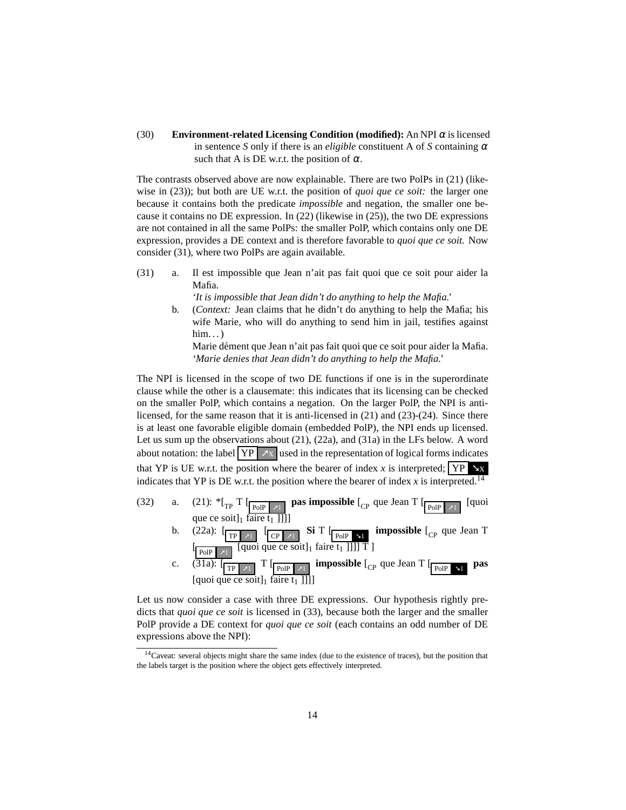(30) **Environment-related Licensing Condition (modified):** An NPI <sup>α</sup> is licensed in sentence *S* only if there is an *eligible* constituent A of *S* containing  $\alpha$ such that A is DE w.r.t. the position of  $\alpha$ .

The contrasts observed above are now explainable. There are two PolPs in [\(21\)](#page-9-2) (likewise in [\(23\)\)](#page-10-1); but both are UE w.r.t. the position of *quoi que ce soit:* the larger one because it contains both the predicate *impossible* and negation, the smaller one because it contains no DE expression. In [\(22\)](#page-9-3) (likewise in [\(25\)\)](#page-10-3), the two DE expressions are not contained in all the same PolPs: the smaller PolP, which contains only one DE expression, provides a DE context and is therefore favorable to *quoi que ce soit.* Now consider [\(31\),](#page-13-0) where two PolPs are again available.

<span id="page-13-1"></span><span id="page-13-0"></span>(31) a. Il est impossible que Jean n'ait pas fait quoi que ce soit pour aider la Mafia.

*'It is impossible that Jean didn't do anything to help the Mafia.'*

b. (*Context:* Jean claims that he didn't do anything to help the Mafia; his wife Marie, who will do anything to send him in jail, testifies against  $him.$ ..)

Marie dément que Jean n'ait pas fait quoi que ce soit pour aider la Mafia. *'Marie denies that Jean didn't do anything to help the Mafia.'*

The NPI is licensed in the scope of two DE functions if one is in the superordinate clause while the other is a clausemate: this indicates that its licensing can be checked on the smaller PolP, which contains a negation. On the larger PolP, the NPI is antilicensed, for the same reason that it is anti-licensed in [\(21\)](#page-9-2) and [\(23\)-](#page-10-1)[\(24\).](#page-10-2) Since there is at least one favorable eligible domain (embedded PolP), the NPI ends up licensed. Let us sum up the observations about [\(21\),](#page-9-2) [\(22a\),](#page-9-4) and [\(31a\)](#page-13-1) in the LFs below. A word about notation: the label  $YP \overline{X}$  used in the representation of logical forms indicates that YP is UE w.r.t. the position where the bearer of index *x* is interpreted;  $\boxed{YP \times x}$ indicates that YP is DE w.r.t. the position where the bearer of index  $x$  is interpreted.<sup>[14](#page-13-2)</sup>

- (32) a. [\(21\):](#page-9-2)  ${}^*{\lbrack}_{TP}$  T  $\lbrack_{POIP \rightarrow 1}$  **pas impossible**  $\lbrack_{CP}$  que Jean T  $\lbrack_{POIP \rightarrow 1}$  [quoi que ce soit] $_1$  faire  $t_1$  ]]]] b.  $(22a)$ :  $\boxed{\text{TP} \times \text{TP}}$   $\boxed{\text{CP} \times \text{TP}}$  **Si** T  $\boxed{\text{Pole} \times \text{TP}}$  **impossible**  $\boxed{\text{CP}}$  que Jean T  $\left[\begin{array}{c|c}\text{poly} & \text{equation:} \end{array}\right]$  [quoi que ce soit]<sub>1</sub> faire t<sub>1</sub> ]]]] T ]
	- c.  $(\overline{31a})$ :  $\boxed{\frac{\Gamma}{\text{PoIP } \pi 1}}$  **T**  $\boxed{\frac{\text{poIP } \pi 1}{\text{PoIP } \pi 1}}$  **impossible**  $\boxed{\frac{\text{c}}{\text{PoIP } \pi 1}}$  **pas** [quoi que ce soit] $_1$  faire t

Let us now consider a case with three DE expressions. Our hypothesis rightly predicts that *quoi que ce soit* is licensed in [\(33\),](#page-13-3) because both the larger and the smaller PolP provide a DE context for *quoi que ce soit* (each contains an odd number of DE expressions above the NPI):

<span id="page-13-3"></span><span id="page-13-2"></span><sup>&</sup>lt;sup>14</sup>Caveat: several objects might share the same index (due to the existence of traces), but the position that the labels target is the position where the object gets effectively interpreted.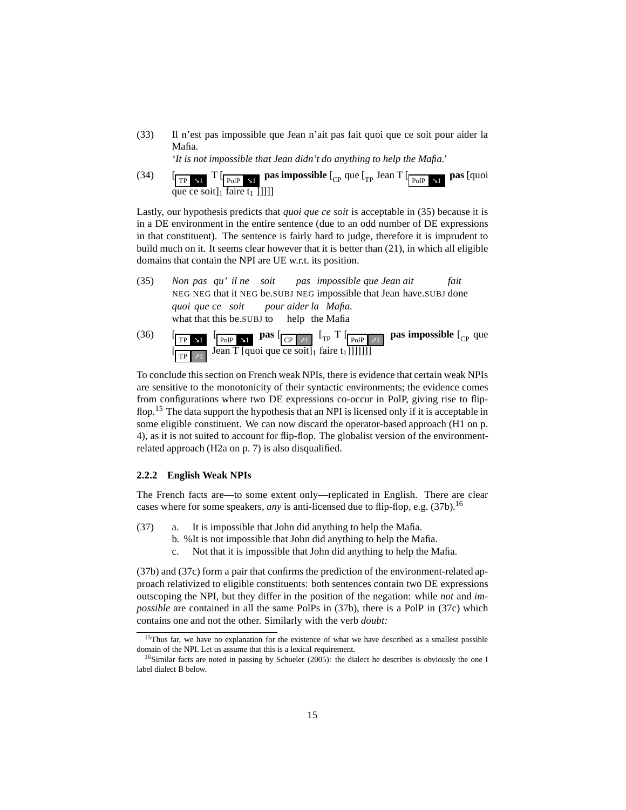(33) Il n'est pas impossible que Jean n'ait pas fait quoi que ce soit pour aider la Mafia.

*'It is not impossible that Jean didn't do anything to help the Mafia.'*

 $(34)$ TP ➘1 T [ PolP ➘<sup>1</sup> **pas impossible** [ CP que [TP Jean T [ PolP ➘<sup>1</sup> **pas** [quoi que ce soit $\frac{1}{1}$  faire  $t_1$  []]]]

Lastly, our hypothesis predicts that *quoi que ce soit* is acceptable in [\(35\)](#page-14-1) because it is in a DE environment in the entire sentence (due to an odd number of DE expressions in that constituent). The sentence is fairly hard to judge, therefore it is imprudent to build much on it. It seems clear however that it is better than [\(21\),](#page-9-2) in which all eligible domains that contain the NPI are UE w.r.t. its position.

- <span id="page-14-1"></span>(35) *Non pas qu' il ne soit* NEG NEG that it NEG be.SUBJ NEG impossible that Jean have.SUBJ done *pas impossible que Jean ait fait quoi que ce soit* what that this be.SUBJ to help the Mafia *pour aider la Mafia.*
- $(36)$  $\blacktriangleleft$  1  $\left[\begin{array}{cc} \n\text{p}_0 \cdot \text{p}_1 \cdot \text{p}_2 \cdot \text{p}_2 \cdot \text{p}_1 \cdot \text{p}_2 \cdot \text{p}_2 \cdot \text{p}_1 \cdot \text{p}_2 \cdot \text{p}_2 \cdot \text{p}_2 \cdot \text{p}_2 \cdot \text{p}_2 \cdot \text{p}_2 \cdot \text{p}_2 \cdot \text{p}_2 \cdot \text{p}_2 \cdot \text{p}_2 \cdot \text{p}_2 \cdot \text{p}_2 \cdot \text{p}_2 \cdot \text{p}_2 \cdot \text{p}_2 \cdot \text{p}_2 \cdot \text{p}_2 \cdot \text{p}_2 \cdot \$ [  $TP \mid \overline{x}1$ Jean T [quoi que ce soit]<sub>1</sub> faire t<sub>1</sub>]]]]]]]

To conclude this section on French weak NPIs, there is evidence that certain weak NPIs are sensitive to the monotonicity of their syntactic environments; the evidence comes from configurations where two DE expressions co-occur in PolP, giving rise to flip-flop.<sup>[15](#page-14-2)</sup> The data support the hypothesis that an NPI is licensed only if it is acceptable in some eligible constituent. We can now discard the operator-based approach [\(H1](#page-3-2) on p. [4\)](#page-3-2), as it is not suited to account for flip-flop. The globalist version of the environmentrelated approach [\(H2a](#page-3-2) on p. [7\)](#page-5-2) is also disqualified.

### <span id="page-14-0"></span>**2.2.2 English Weak NPIs**

The French facts are—to some extent only—replicated in English. There are clear cases where for some speakers, *any* is anti-licensed due to flip-flop, e.g. [\(37b\).](#page-14-3)<sup>[16](#page-14-4)</sup>

- <span id="page-14-5"></span><span id="page-14-3"></span>(37) a. It is impossible that John did anything to help the Mafia.
	- b. %It is not impossible that John did anything to help the Mafia.
	- c. Not that it is impossible that John did anything to help the Mafia.

[\(37b\)](#page-14-3) and [\(37c\)](#page-14-5) form a pair that confirms the prediction of the environment-related approach relativized to eligible constituents: both sentences contain two DE expressions outscoping the NPI, but they differ in the position of the negation: while *not* and *impossible* are contained in all the same PolPs in [\(37b\),](#page-14-3) there is a PolP in [\(37c\)](#page-14-5) which contains one and not the other. Similarly with the verb *doubt:*

<span id="page-14-2"></span><sup>&</sup>lt;sup>15</sup>Thus far, we have no explanation for the existence of what we have described as a smallest possible domain of the NPI. Let us assume that this is a lexical requirement.

<span id="page-14-4"></span> $16$ Similar facts are noted in passing by [Schueler \(2005](#page-64-5)): the dialect he describes is obviously the one I label dialect B below.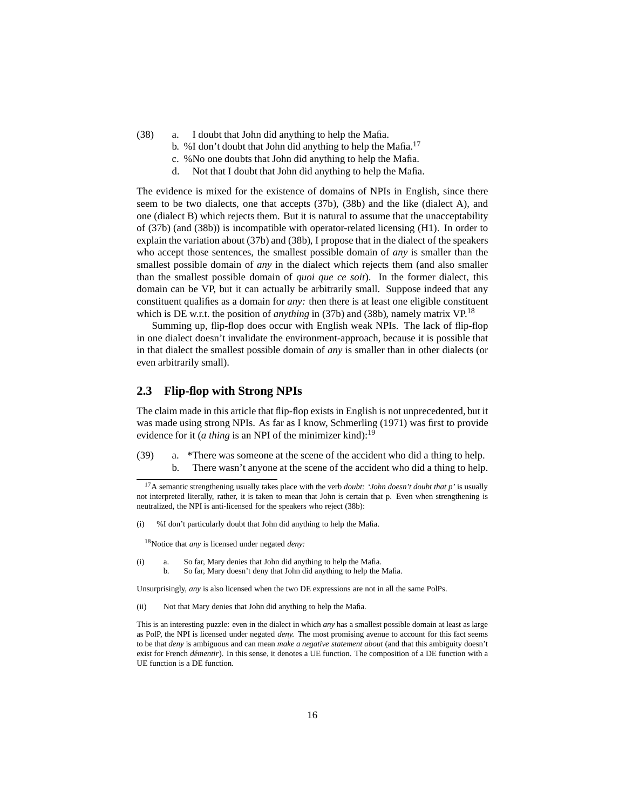- <span id="page-15-2"></span>(38) a. I doubt that John did anything to help the Mafia.
	- b. %I don't doubt that John did anything to help the Mafia.<sup>[17](#page-15-1)</sup>
	- c. %No one doubts that John did anything to help the Mafia.
	- d. Not that I doubt that John did anything to help the Mafia.

The evidence is mixed for the existence of domains of NPIs in English, since there seem to be two dialects, one that accepts [\(37b\),](#page-14-3) [\(38b\)](#page-15-2) and the like (dialect A), and one (dialect B) which rejects them. But it is natural to assume that the unacceptability of [\(37b\)](#page-14-3) (and [\(38b\)\)](#page-15-2) is incompatible with operator-related licensing [\(H1\)](#page-3-2). In order to explain the variation about [\(37b\)](#page-14-3) and [\(38b\),](#page-15-2) I propose that in the dialect of the speakers who accept those sentences, the smallest possible domain of *any* is smaller than the smallest possible domain of *any* in the dialect which rejects them (and also smaller than the smallest possible domain of *quoi que ce soit*). In the former dialect, this domain can be VP, but it can actually be arbitrarily small. Suppose indeed that any constituent qualifies as a domain for *any:* then there is at least one eligible constituent which is DE w.r.t. the position of *anything* in [\(37b\)](#page-14-3) and [\(38b\),](#page-15-2) namely matrix VP.<sup>[18](#page-15-3)</sup>

Summing up, flip-flop does occur with English weak NPIs. The lack of flip-flop in one dialect doesn't invalidate the environment-approach, because it is possible that in that dialect the smallest possible domain of *any* is smaller than in other dialects (or even arbitrarily small).

### <span id="page-15-0"></span>**2.3 Flip-flop with Strong NPIs**

The claim made in this article that flip-flop exists in English is not unprecedented, but it was made using strong NPIs. As far as I know, [Schmerling \(1971](#page-64-6)) was first to provide evidence for it (*a thing* is an NPI of the minimizer kind):<sup>[19](#page-16-0)</sup>

(39) a. \*There was someone at the scene of the accident who did a thing to help. b. There wasn't anyone at the scene of the accident who did a thing to help.

(i) %I don't particularly doubt that John did anything to help the Mafia.

<sup>18</sup>Notice that *any* is licensed under negated *deny:*

<span id="page-15-3"></span>(i) a. So far, Mary denies that John did anything to help the Mafia. b. So far, Mary doesn't deny that John did anything to help the Mafia.

Unsurprisingly, *any* is also licensed when the two DE expressions are not in all the same PolPs.

(ii) Not that Mary denies that John did anything to help the Mafia.

<span id="page-15-1"></span><sup>17</sup>A semantic strengthening usually takes place with the verb *doubt: 'John doesn't doubt that p'* is usually not interpreted literally, rather, it is taken to mean that John is certain that p. Even when strengthening is neutralized, the NPI is anti-licensed for the speakers who reject [\(38b\):](#page-15-2)

This is an interesting puzzle: even in the dialect in which *any* has a smallest possible domain at least as large as PolP, the NPI is licensed under negated *deny.* The most promising avenue to account for this fact seems to be that *deny* is ambiguous and can mean *make a negative statement about* (and that this ambiguity doesn't exist for French *démentir*). In this sense, it denotes a UE function. The composition of a DE function with a UE function is a DE function.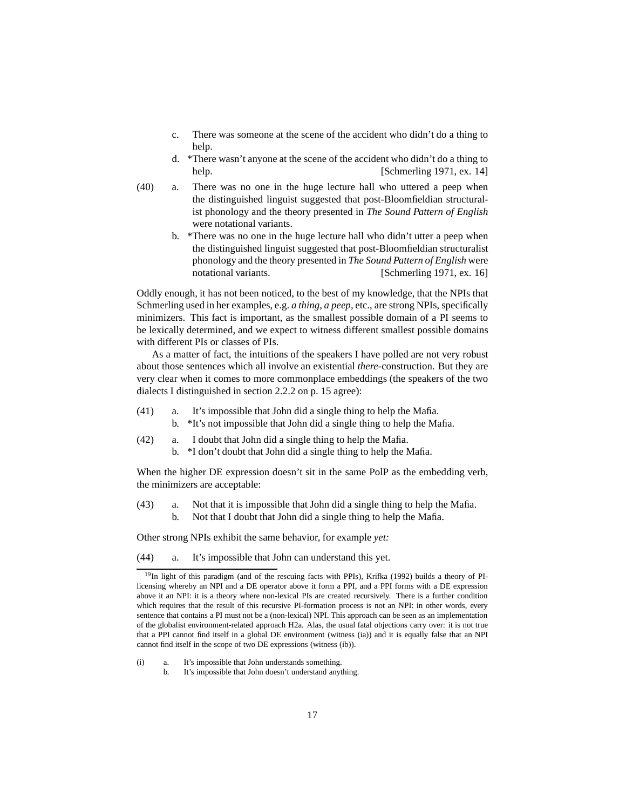- c. There was someone at the scene of the accident who didn't do a thing to help.
- d. \*There wasn't anyone at the scene of the accident who didn't do a thing to help. [\[Schmerling 1971,](#page-64-6) ex. 14]
- (40) a. There was no one in the huge lecture hall who uttered a peep when the distinguished linguist suggested that post-Bloomfieldian structuralist phonology and the theory presented in *The Sound Pattern of English* were notational variants.
	- b. \*There was no one in the huge lecture hall who didn't utter a peep when the distinguished linguist suggested that post-Bloomfieldian structuralist phonology and the theory presented in *The Sound Pattern of English* were notational variants. [\[Schmerling 1971,](#page-64-6) ex. 16]

Oddly enough, it has not been noticed, to the best of my knowledge, that the NPIs that Schmerling used in her examples, e.g. *a thing, a peep,* etc., are strong NPIs, specifically minimizers. This fact is important, as the smallest possible domain of a PI seems to be lexically determined, and we expect to witness different smallest possible domains with different PIs or classes of PIs.

As a matter of fact, the intuitions of the speakers I have polled are not very robust about those sentences which all involve an existential *there-*construction. But they are very clear when it comes to more commonplace embeddings (the speakers of the two dialects I distinguished in section [2.2.2](#page-14-0) on p. [15](#page-14-0) agree):

- (41) a. It's impossible that John did a single thing to help the Mafia.
	- b. \*It's not impossible that John did a single thing to help the Mafia.
- (42) a. I doubt that John did a single thing to help the Mafia. b. \*I don't doubt that John did a single thing to help the Mafia.

When the higher DE expression doesn't sit in the same PolP as the embedding verb, the minimizers are acceptable:

(43) a. Not that it is impossible that John did a single thing to help the Mafia. b. Not that I doubt that John did a single thing to help the Mafia.

Other strong NPIs exhibit the same behavior, for example *yet:*

(44) a. It's impossible that John can understand this yet.

<span id="page-16-0"></span><sup>&</sup>lt;sup>19</sup>In light of this paradigm (and of the rescuing facts with PPIs), [Krifka \(1992\)](#page-63-8) builds a theory of PIlicensing whereby an NPI and a DE operator above it form a PPI, and a PPI forms with a DE expression above it an NPI: it is a theory where non-lexical PIs are created recursively. There is a further condition which requires that the result of this recursive PI-formation process is not an NPI: in other words, every sentence that contains a PI must not be a (non-lexical) NPI. This approach can be seen as an implementation of the globalist environment-related approach [H2a.](#page-5-2) Alas, the usual fatal objections carry over: it is not true that a PPI cannot find itself in a global DE environment (witness [\(ia\)\)](#page-16-1) and it is equally false that an NPI cannot find itself in the scope of two DE expressions (witness [\(ib\)\)](#page-16-2).

<span id="page-16-2"></span><span id="page-16-1"></span><sup>(</sup>i) a. It's impossible that John understands something.

b. It's impossible that John doesn't understand anything.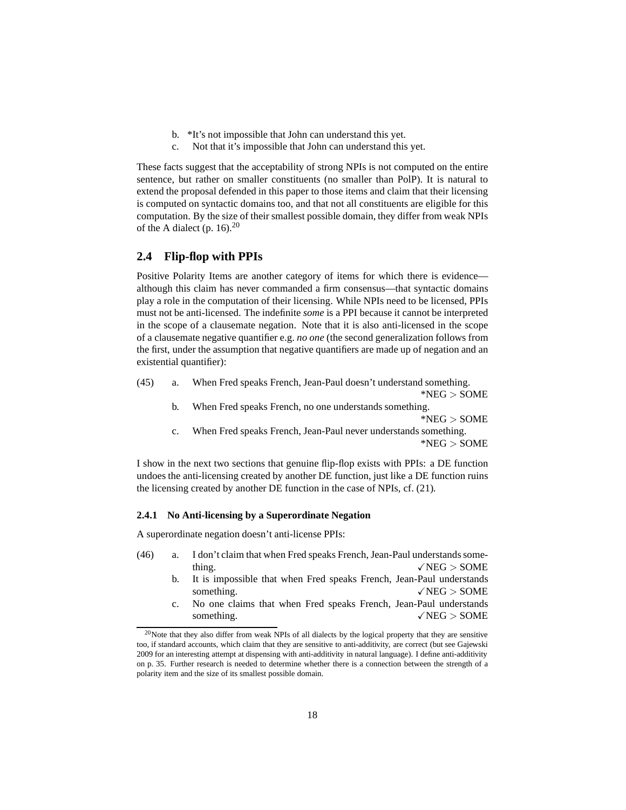- b. \*It's not impossible that John can understand this yet.
- c. Not that it's impossible that John can understand this yet.

These facts suggest that the acceptability of strong NPIs is not computed on the entire sentence, but rather on smaller constituents (no smaller than PolP). It is natural to extend the proposal defended in this paper to those items and claim that their licensing is computed on syntactic domains too, and that not all constituents are eligible for this computation. By the size of their smallest possible domain, they differ from weak NPIs of the A dialect (p. [16\)](#page-60-1). $^{20}$  $^{20}$  $^{20}$ 

### <span id="page-17-0"></span>**2.4 Flip-flop with PPIs**

Positive Polarity Items are another category of items for which there is evidence although this claim has never commanded a firm consensus—that syntactic domains play a role in the computation of their licensing. While NPIs need to be licensed, PPIs must not be anti-licensed. The indefinite *some* is a PPI because it cannot be interpreted in the scope of a clausemate negation. Note that it is also anti-licensed in the scope of a clausemate negative quantifier e.g. *no one* (the second generalization follows from the first, under the assumption that negative quantifiers are made up of negation and an existential quantifier):

<span id="page-17-6"></span><span id="page-17-5"></span><span id="page-17-3"></span>(45) a. When Fred speaks French, Jean-Paul doesn't understand something.

\*NEG > SOME

- b. When Fred speaks French, no one understands something. \*NEG > SOME
- c. When Fred speaks French, Jean-Paul never understands something. \*NEG > SOME

I show in the next two sections that genuine flip-flop exists with PPIs: a DE function undoes the anti-licensing created by another DE function, just like a DE function ruins the licensing created by another DE function in the case of NPIs, cf. [\(21\).](#page-9-2)

#### <span id="page-17-1"></span>**2.4.1 No Anti-licensing by a Superordinate Negation**

<span id="page-17-7"></span><span id="page-17-4"></span>A superordinate negation doesn't anti-license PPIs:

- (46) a. I don't claim that when Fred speaks French, Jean-Paul understands something.  $\sqrt{\text{NEG}} > \text{SOME}$ 
	- b. It is impossible that when Fred speaks French, Jean-Paul understands something.  $\sqrt{\text{NEG}} > \text{SOME}$
	- c. No one claims that when Fred speaks French, Jean-Paul understands something.  $\sqrt{\text{NEG}} > \text{SOME}$

<span id="page-17-2"></span> $^{20}$ Note that they also differ from weak NPIs of all dialects by the logical property that they are sensitive too, if standard accounts, which claim that they are sensitive to anti-additivity, are correct (but see [Gajewski](#page-61-2) [2009](#page-61-2) for an interesting attempt at dispensing with anti-additivity in natural language). I define anti-additivity on p. [35.](#page-34-0) Further research is needed to determine whether there is a connection between the strength of a polarity item and the size of its smallest possible domain.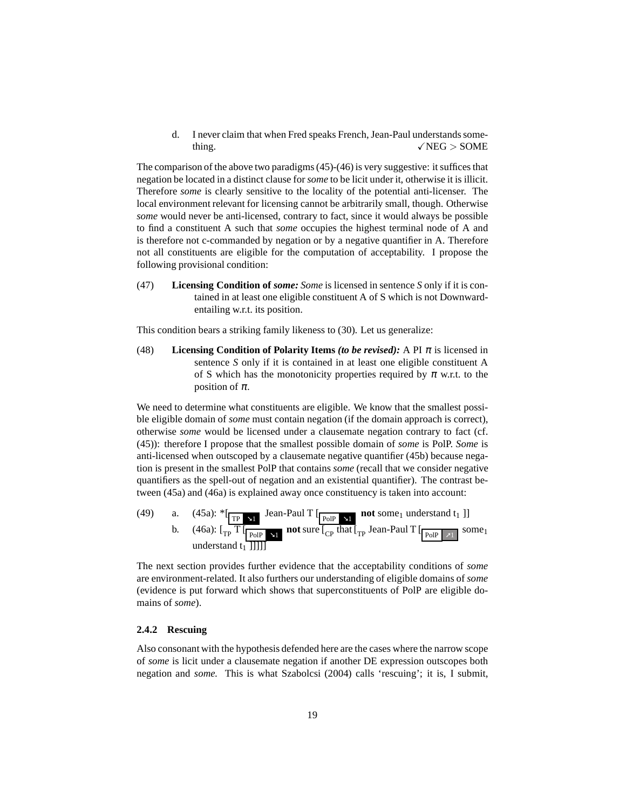d. I never claim that when Fred speaks French, Jean-Paul understands something.  $\sqrt{\text{NEG}} > \text{SOME}$ 

The comparison of the above two paradigms [\(45\)](#page-17-3)[-\(46\)](#page-17-4) is very suggestive: it suffices that negation be located in a distinct clause for *some* to be licit under it, otherwise it is illicit. Therefore *some* is clearly sensitive to the locality of the potential anti-licenser. The local environment relevant for licensing cannot be arbitrarily small, though. Otherwise *some* would never be anti-licensed, contrary to fact, since it would always be possible to find a constituent A such that *some* occupies the highest terminal node of A and is therefore not c-commanded by negation or by a negative quantifier in A. Therefore not all constituents are eligible for the computation of acceptability. I propose the following provisional condition:

(47) **Licensing Condition of** *some: Some* is licensed in sentence *S* only if it is contained in at least one eligible constituent A of S which is not Downwardentailing w.r.t. its position.

This condition bears a striking family likeness to [\(30\).](#page-12-2) Let us generalize:

(48) **Licensing Condition of Polarity Items** *(to be revised)*: A PI  $\pi$  is licensed in sentence *S* only if it is contained in at least one eligible constituent A of S which has the monotonicity properties required by  $\pi$  w.r.t. to the position of  $\pi$ .

We need to determine what constituents are eligible. We know that the smallest possible eligible domain of *some* must contain negation (if the domain approach is correct), otherwise *some* would be licensed under a clausemate negation contrary to fact (cf. [\(45\)\)](#page-17-3): therefore I propose that the smallest possible domain of *some* is PolP. *Some* is anti-licensed when outscoped by a clausemate negative quantifier [\(45b\)](#page-17-5) because negation is present in the smallest PolP that contains *some* (recall that we consider negative quantifiers as the spell-out of negation and an existential quantifier). The contrast between [\(45a\)](#page-17-6) and [\(46a\)](#page-17-7) is explained away once constituency is taken into account:

(49) a. (45a): 
$$
\left\{ \frac{1}{TP} \times 1 \right\}
$$
 Jean-Paul T  $\left[ \frac{P_{OIP} \times 1}{P_{OIP} \times 1} \right]$  not some<sub>1</sub> understand  $t_1$  ]]

The next section provides further evidence that the acceptability conditions of *some* are environment-related. It also furthers our understanding of eligible domains of *some* (evidence is put forward which shows that superconstituents of PolP are eligible domains of *some*).

#### <span id="page-18-0"></span>**2.4.2 Rescuing**

Also consonant with the hypothesis defended here are the cases where the narrow scope of *some* is licit under a clausemate negation if another DE expression outscopes both negation and *some.* This is what [Szabolcsi \(2004\)](#page-64-0) calls 'rescuing'; it is, I submit,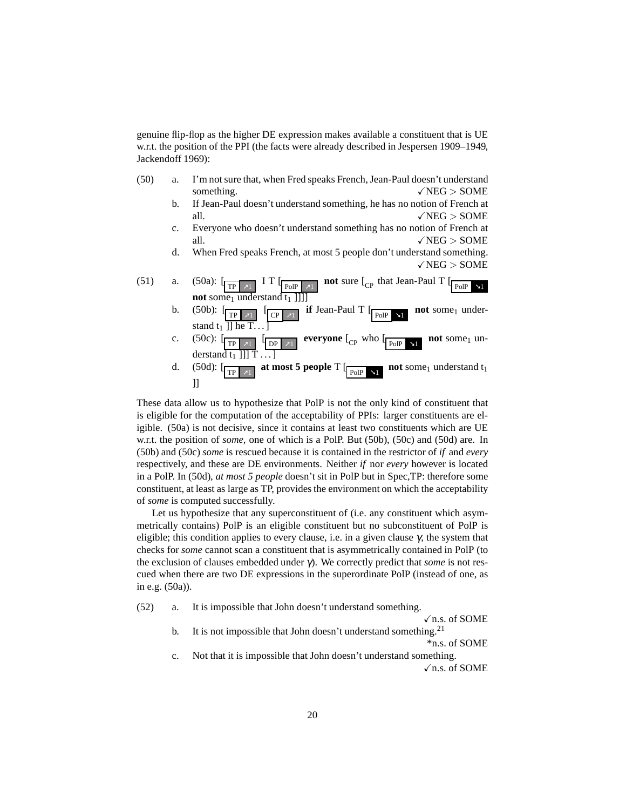genuine flip-flop as the higher DE expression makes available a constituent that is UE w.r.t. the position of the PPI (the facts were already described in [Jespersen 1909–1949,](#page-62-11) [Jackendoff 1969\)](#page-62-12):

- <span id="page-19-5"></span><span id="page-19-2"></span><span id="page-19-1"></span><span id="page-19-0"></span>(50) a. I'm not sure that, when Fred speaks French, Jean-Paul doesn't understand something.  $\sqrt{\text{NEG}} > \text{SOME}$ 
	- b. If Jean-Paul doesn't understand something, he has no notion of French at all.  $\sqrt{NEG} > 50ME$
	- c. Everyone who doesn't understand something has no notion of French at all.  $\sqrt{\text{NEG}} > \text{SOME}$
	- d. When Fred speaks French, at most 5 people don't understand something.  $\sqrt{NEG}$  > SOME

<span id="page-19-3"></span>

These data allow us to hypothesize that PolP is not the only kind of constituent that is eligible for the computation of the acceptability of PPIs: larger constituents are eligible. [\(50a\)](#page-19-0) is not decisive, since it contains at least two constituents which are UE w.r.t. the position of *some,* one of which is a PolP. But [\(50b\),](#page-19-1) [\(50c\)](#page-19-2) and [\(50d\)](#page-19-3) are. In [\(50b\)](#page-19-1) and [\(50c\)](#page-19-2) *some* is rescued because it is contained in the restrictor of *if* and *every* respectively, and these are DE environments. Neither *if* nor *every* however is located in a PolP. In [\(50d\),](#page-19-3) *at most 5 people* doesn't sit in PolP but in Spec,TP: therefore some constituent, at least as large as TP, provides the environment on which the acceptability of *some* is computed successfully.

Let us hypothesize that any superconstituent of (i.e. any constituent which asymmetrically contains) PolP is an eligible constituent but no subconstituent of PolP is eligible; this condition applies to every clause, i.e. in a given clause  $\gamma$ , the system that checks for *some* cannot scan a constituent that is asymmetrically contained in PolP (to the exclusion of clauses embedded under γ). We correctly predict that *some* is not rescued when there are two DE expressions in the superordinate PolP (instead of one, as in e.g. [\(50a\)\)](#page-19-0).

<span id="page-19-4"></span>(52) a. It is impossible that John doesn't understand something.

 $\sqrt{$  n.s. of SOME b. It is not impossible that John doesn't understand something.<sup>[21](#page-20-1)</sup>

\*n.s. of SOME

c. Not that it is impossible that John doesn't understand something.  $\sqrt{n.s.}$  of SOME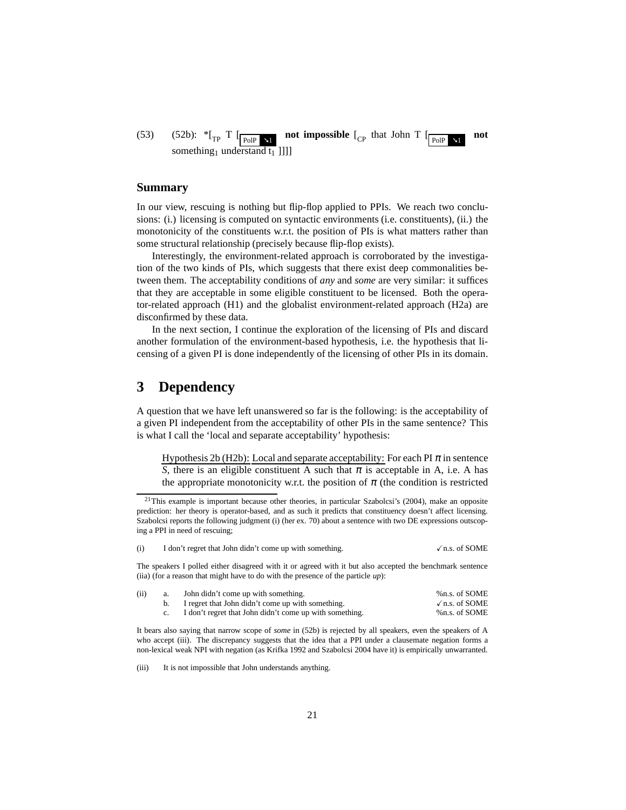(53) [\(52b\):](#page-19-4)  $*_{\text{TP}} T \left[ \text{poly } n \right]$ **not impossible**  $\begin{bmatrix} C_{\text{P}} \end{bmatrix}$  that John T  $\begin{bmatrix} P_{\text{OIP}} & \mathbf{Y} \end{bmatrix}$ **not** something<sub>1</sub> understand  $t_1$  ]]]]

#### **Summary**

In our view, rescuing is nothing but flip-flop applied to PPIs. We reach two conclusions: (i.) licensing is computed on syntactic environments (i.e. constituents), (ii.) the monotonicity of the constituents w.r.t. the position of PIs is what matters rather than some structural relationship (precisely because flip-flop exists).

Interestingly, the environment-related approach is corroborated by the investigation of the two kinds of PIs, which suggests that there exist deep commonalities between them. The acceptability conditions of *any* and *some* are very similar: it suffices that they are acceptable in some eligible constituent to be licensed. Both the operator-related approach [\(H1\)](#page-3-2) and the globalist environment-related approach [\(H2a\)](#page-5-2) are disconfirmed by these data.

In the next section, I continue the exploration of the licensing of PIs and discard another formulation of the environment-based hypothesis, i.e. the hypothesis that licensing of a given PI is done independently of the licensing of other PIs in its domain.

# <span id="page-20-0"></span>**3 Dependency**

A question that we have left unanswered so far is the following: is the acceptability of a given PI independent from the acceptability of other PIs in the same sentence? This is what I call the 'local and separate acceptability' hypothesis:

Hypothesis 2b (H2b): Local and separate acceptability: For each PI  $\pi$  in sentence *S*, there is an eligible constituent A such that  $\pi$  is acceptable in A, i.e. A has the appropriate monotonicity w.r.t. the position of  $\pi$  (the condition is restricted

<span id="page-20-1"></span><sup>&</sup>lt;sup>21</sup>This example is important because other theories, in particular [Szabolcsi](#page-64-0)'s [\(2004\)](#page-64-0), make an opposite prediction: her theory is operator-based, and as such it predicts that constituency doesn't affect licensing. Szabolcsi reports the following judgment [\(i\)](#page-60-1) (her ex. 70) about a sentence with two DE expressions outscoping a PPI in need of rescuing;

|  | I don't regret that John didn't come up with something. | $\sqrt{$ n.s. of SOME |
|--|---------------------------------------------------------|-----------------------|
|  |                                                         |                       |

The speakers I polled either disagreed with it or agreed with it but also accepted the benchmark sentence [\(iia\)](#page-20-2) (for a reason that might have to do with the presence of the particle *up*):

<span id="page-20-2"></span>

| (ii) | a. | John didn't come up with something.                     | %n.s. of SOME         |
|------|----|---------------------------------------------------------|-----------------------|
|      |    | I regret that John didn't come up with something.       | $\sqrt{$ n.s. of SOME |
|      |    | I don't regret that John didn't come up with something. | %n.s. of SOME         |

It bears also saying that narrow scope of *some* in [\(52b\)](#page-19-4) is rejected by all speakers, even the speakers of A who accept [\(iii\).](#page-52-1) The discrepancy suggests that the idea that a PPI under a clausemate negation forms a non-lexical weak NPI with negation (as [Krifka 1992](#page-63-8) and [Szabolcsi 2004](#page-64-0) have it) is empirically unwarranted.

(iii) It is not impossible that John understands anything.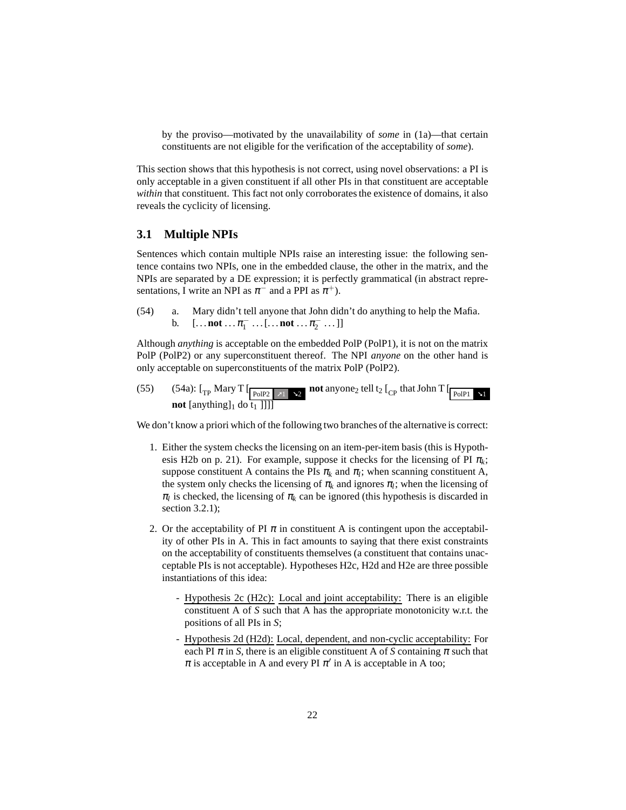by the proviso—motivated by the unavailability of *some* in [\(1a\)—](#page-1-4)that certain constituents are not eligible for the verification of the acceptability of *some*).

This section shows that this hypothesis is not correct, using novel observations: a PI is only acceptable in a given constituent if all other PIs in that constituent are acceptable *within* that constituent. This fact not only corroborates the existence of domains, it also reveals the cyclicity of licensing.

### <span id="page-21-0"></span>**3.1 Multiple NPIs**

Sentences which contain multiple NPIs raise an interesting issue: the following sentence contains two NPIs, one in the embedded clause, the other in the matrix, and the NPIs are separated by a DE expression; it is perfectly grammatical (in abstract representations, I write an NPI as  $\pi^-$  and a PPI as  $\pi^+$ ).

<span id="page-21-1"></span>(54) a. Mary didn't tell anyone that John didn't do anything to help the Mafia. b.  $[\dots \text{not} \dots \pi_1^- \dots [\dots \text{not} \dots \pi_2^- \dots]]$ 

Although *anything* is acceptable on the embedded PolP (PolP1), it is not on the matrix PolP (PolP2) or any superconstituent thereof. The NPI *anyone* on the other hand is only acceptable on superconstituents of the matrix PolP (PolP2).

(55) [\(54a\):](#page-21-1)  $\left[\begin{array}{cc} \Gamma_{\text{Fol}} \end{array} \right]$   $\left[\begin{array}{cc} \text{Nary T} & \text{S2} \end{array}\right]$  **not** anyone<sub>2</sub> tell t<sub>2</sub>  $\left[\begin{array}{cc} \Gamma_{\text{Fol}} \end{array}$  that John T  $\left[\begin{array}{cc} \text{PolPI} & \text{S1} \end{array}\right]$ **not** [anything]<sub>1</sub> do  $\overline{t_1}$  ]]]]

We don't know a priori which of the following two branches of the alternative is correct:

- 1. Either the system checks the licensing on an item-per-item basis (this is Hypoth-esis [H2b](#page-20-0) on p. [21\)](#page-20-0). For example, suppose it checks for the licensing of PI  $\pi_k$ ; suppose constituent A contains the PIs  $\pi_k$  and  $\pi_l$ ; when scanning constituent A, the system only checks the licensing of  $\pi_k$  and ignores  $\pi_l$ ; when the licensing of  $\pi_l$  is checked, the licensing of  $\pi_k$  can be ignored (this hypothesis is discarded in section [3.2.1\)](#page-23-0);
- <span id="page-21-2"></span>2. Or the acceptability of PI  $\pi$  in constituent A is contingent upon the acceptability of other PIs in A. This in fact amounts to saying that there exist constraints on the acceptability of constituents themselves (a constituent that contains unacceptable PIs is not acceptable). Hypotheses [H2c, H2d](#page-21-2) and [H2e](#page-21-2) are three possible instantiations of this idea:
	- Hypothesis 2c (H2c): Local and joint acceptability: There is an eligible constituent A of *S* such that A has the appropriate monotonicity w.r.t. the positions of all PIs in *S*;
	- Hypothesis 2d (H2d): Local, dependent, and non-cyclic acceptability: For each PI  $\pi$  in *S*, there is an eligible constituent A of *S* containing  $\pi$  such that  $\pi$  is acceptable in A and every PI  $\pi'$  in A is acceptable in A too;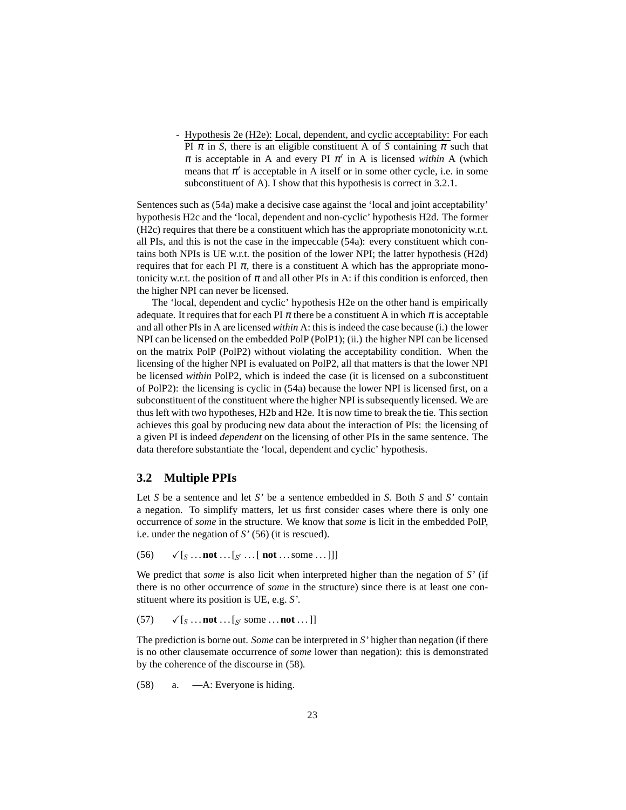- Hypothesis 2e (H2e): Local, dependent, and cyclic acceptability: For each PI  $\pi$  in *S*, there is an eligible constituent A of *S* containing  $\pi$  such that  $\pi$  is acceptable in A and every PI  $\pi'$  in A is licensed *within* A (which means that  $\pi'$  is acceptable in A itself or in some other cycle, i.e. in some subconstituent of A). I show that this hypothesis is correct in [3.2.1.](#page-23-0)

Sentences such as [\(54a\)](#page-21-1) make a decisive case against the 'local and joint acceptability' hypothesis [H2c](#page-21-2) and the 'local, dependent and non-cyclic' hypothesis [H2d.](#page-21-2) The former [\(H2c\)](#page-21-2) requires that there be a constituent which has the appropriate monotonicity w.r.t. all PIs, and this is not the case in the impeccable [\(54a\):](#page-21-1) every constituent which contains both NPIs is UE w.r.t. the position of the lower NPI; the latter hypothesis [\(H2d\)](#page-21-2) requires that for each PI  $\pi$ , there is a constituent A which has the appropriate monotonicity w.r.t. the position of  $\pi$  and all other PIs in A: if this condition is enforced, then the higher NPI can never be licensed.

The 'local, dependent and cyclic' hypothesis [H2e](#page-21-2) on the other hand is empirically adequate. It requires that for each PI  $\pi$  there be a constituent A in which  $\pi$  is acceptable and all other PIs in A are licensed *within* A: this is indeed the case because (i.) the lower NPI can be licensed on the embedded PolP (PolP1); (ii.) the higher NPI can be licensed on the matrix PolP (PolP2) without violating the acceptability condition. When the licensing of the higher NPI is evaluated on PolP2, all that matters is that the lower NPI be licensed *within* PolP2, which is indeed the case (it is licensed on a subconstituent of PolP2): the licensing is cyclic in [\(54a\)](#page-21-1) because the lower NPI is licensed first, on a subconstituent of the constituent where the higher NPI is subsequently licensed. We are thus left with two hypotheses, [H2b](#page-20-0) and [H2e.](#page-21-2) It is now time to break the tie. This section achieves this goal by producing new data about the interaction of PIs: the licensing of a given PI is indeed *dependent* on the licensing of other PIs in the same sentence. The data therefore substantiate the 'local, dependent and cyclic' hypothesis.

# <span id="page-22-0"></span>**3.2 Multiple PPIs**

Let *S* be a sentence and let *S'* be a sentence embedded in *S.* Both *S* and *S'* contain a negation. To simplify matters, let us first consider cases where there is only one occurrence of *some* in the structure. We know that *some* is licit in the embedded PolP, i.e. under the negation of *S'* [\(56\)](#page-22-1) (it is rescued).

<span id="page-22-1"></span>(56) 
$$
\checkmark
$$
 [s ... not ... [s' ... [ not ... some ...]]]

We predict that *some* is also licit when interpreted higher than the negation of *S'* (if there is no other occurrence of *some* in the structure) since there is at least one constituent where its position is UE, e.g. *S'.*

(57) 
$$
\checkmark
$$
 [s ... not ... [s' some ... not ...]]

The prediction is borne out. *Some* can be interpreted in *S'* higher than negation (if there is no other clausemate occurrence of *some* lower than negation): this is demonstrated by the coherence of the discourse in [\(58\).](#page-22-2)

<span id="page-22-2"></span>(58) a. —A: Everyone is hiding.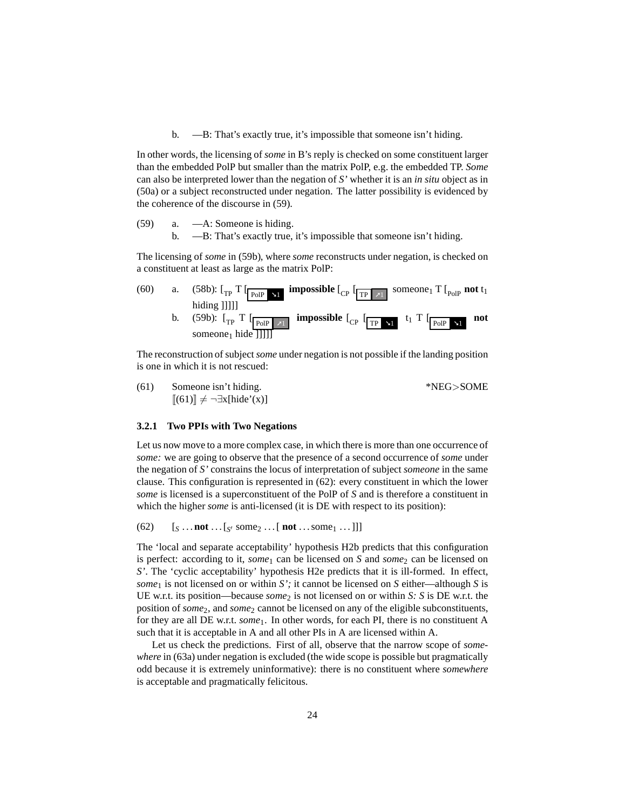b. —B: That's exactly true, it's impossible that someone isn't hiding.

<span id="page-23-3"></span>In other words, the licensing of *some* in B's reply is checked on some constituent larger than the embedded PolP but smaller than the matrix PolP, e.g. the embedded TP. *Some* can also be interpreted lower than the negation of *S'* whether it is an *in situ* object as in [\(50a\)](#page-19-0) or a subject reconstructed under negation. The latter possibility is evidenced by the coherence of the discourse in [\(59\).](#page-23-1)

<span id="page-23-2"></span><span id="page-23-1"></span>(59) a. —A: Someone is hiding. b. —B: That's exactly true, it's impossible that someone isn't hiding.

The licensing of *some* in [\(59b\),](#page-23-2) where *some* reconstructs under negation, is checked on a constituent at least as large as the matrix PolP:



<span id="page-23-4"></span>The reconstruction of subject*some* under negation is not possible if the landing position is one in which it is not rescued:

| (61) | Someone isn't hiding.                         | *NEG>SOME |  |  |
|------|-----------------------------------------------|-----------|--|--|
|      | $[(61)] \neq \neg \exists x[\text{hide'}(x)]$ |           |  |  |

### <span id="page-23-0"></span>**3.2.1 Two PPIs with Two Negations**

Let us now move to a more complex case, in which there is more than one occurrence of *some:* we are going to observe that the presence of a second occurrence of *some* under the negation of *S'* constrains the locus of interpretation of subject *someone* in the same clause. This configuration is represented in [\(62\):](#page-23-5) every constituent in which the lower *some* is licensed is a superconstituent of the PolP of *S* and is therefore a constituent in which the higher *some* is anti-licensed (it is DE with respect to its position):

<span id="page-23-5"></span>(62)  $[s \dots \text{not} \dots [s] \text{ some } j \dots [ \text{not} \dots \text{some} \dots]]]$ 

The 'local and separate acceptability' hypothesis [H2b](#page-20-0) predicts that this configuration is perfect: according to it, *some*<sub>1</sub> can be licensed on *S* and *some*<sub>2</sub> can be licensed on *S'*. The 'cyclic acceptability' hypothesis [H2e](#page-21-2) predicts that it is ill-formed. In effect, *some*<sup>1</sup> is not licensed on or within *S';* it cannot be licensed on *S* either—although *S* is UE w.r.t. its position—because *some*<sub>2</sub> is not licensed on or within *S*: *S* is DE w.r.t. the position of *some*2, and *some*<sup>2</sup> cannot be licensed on any of the eligible subconstituents, for they are all DE w.r.t. *some*1. In other words, for each PI, there is no constituent A such that it is acceptable in A and all other PIs in A are licensed within A.

Let us check the predictions. First of all, observe that the narrow scope of *somewhere* in [\(63a\)](#page-24-0) under negation is excluded (the wide scope is possible but pragmatically odd because it is extremely uninformative): there is no constituent where *somewhere* is acceptable and pragmatically felicitous.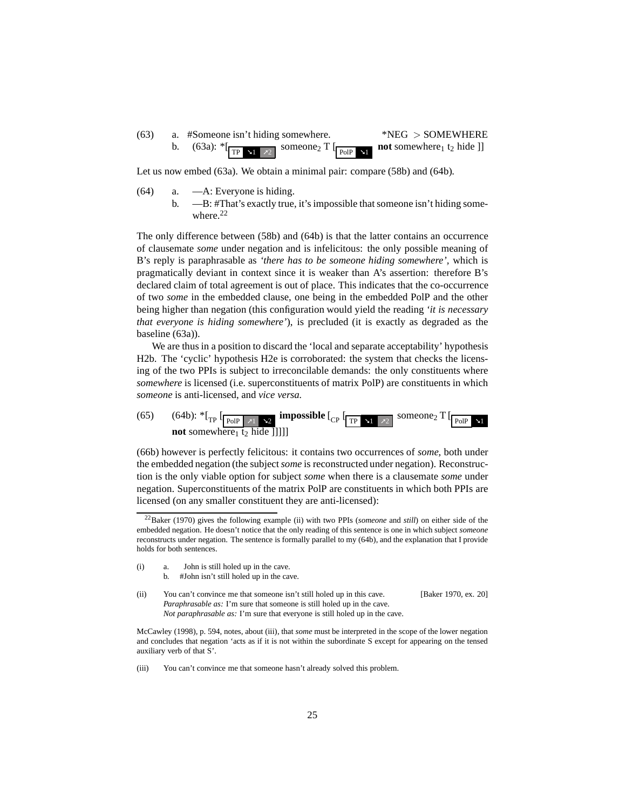<span id="page-24-0"></span> $(63)$  a. #Someone isn't hiding somewhere. \*NEG > SOMEWHERE b.  $(63a):$   $\sqrt[*]{\text{TP}+1}$   $\sqrt{2}$ someone<sub>2</sub> T  $\lbrack$  PolP  $\lbrack$  Y1 **not** somewhere<sub>1</sub> t<sub>2</sub> hide ]]

Let us now embed [\(63a\).](#page-24-0) We obtain a minimal pair: compare [\(58b\)](#page-23-3) and [\(64b\).](#page-24-1)

- <span id="page-24-1"></span>(64) a. —A: Everyone is hiding.
	- b. —B: #That's exactly true, it's impossible that someone isn't hiding some-where.<sup>[22](#page-24-2)</sup>

The only difference between [\(58b\)](#page-23-3) and [\(64b\)](#page-24-1) is that the latter contains an occurrence of clausemate *some* under negation and is infelicitous: the only possible meaning of B's reply is paraphrasable as *'there has to be someone hiding somewhere',* which is pragmatically deviant in context since it is weaker than A's assertion: therefore B's declared claim of total agreement is out of place. This indicates that the co-occurrence of two *some* in the embedded clause, one being in the embedded PolP and the other being higher than negation (this configuration would yield the reading *'it is necessary that everyone is hiding somewhere'*), is precluded (it is exactly as degraded as the baseline [\(63a\)\)](#page-24-0).

We are thus in a position to discard the 'local and separate acceptability' hypothesis [H2b.](#page-20-0) The 'cyclic' hypothesis [H2e](#page-21-2) is corroborated: the system that checks the licensing of the two PPIs is subject to irreconcilable demands: the only constituents where *somewhere* is licensed (i.e. superconstituents of matrix PolP) are constituents in which *someone* is anti-licensed, and *vice versa.*

<span id="page-24-3"></span>(65) [\(64b\):](#page-24-1)  ${}^*$ [<sub>TP</sub>  $\left[\frac{}{\text{poly } |X_1|} \times 2 \right]$  impossible  $\left[\frac{}{\text{CP }} \left[\frac{}{\text{TP }} \times 1 \right] \times 2 \right]$  someone<sub>2</sub> T  $\left[\frac{}{\text{poly } |X_1|} \times 2 \right]$ **not** somewhere<sub>1</sub> t<sub>2</sub> hide []]]]

[\(66b\)](#page-25-1) however is perfectly felicitous: it contains two occurrences of *some,* both under the embedded negation (the subject*some* is reconstructed under negation). Reconstruction is the only viable option for subject *some* when there is a clausemate *some* under negation. Superconstituents of the matrix PolP are constituents in which both PPIs are licensed (on any smaller constituent they are anti-licensed):

- (i) a. John is still holed up in the cave.
	- b. #John isn't still holed up in the cave.
- (ii) You can't convince me that someone isn't still holed up in this cave. [\[Baker 1970,](#page-61-7) ex. 20] *Paraphrasable as:* I'm sure that someone is still holed up in the cave. *Not paraphrasable as:* I'm sure that everyone is still holed up in the cave.

[McCawley \(1998](#page-63-9)), p. 594, notes, about [\(iii\),](#page-52-1) that *some* must be interpreted in the scope of the lower negation and concludes that negation 'acts as if it is not within the subordinate S except for appearing on the tensed auxiliary verb of that S'.

(iii) You can't convince me that someone hasn't already solved this problem.

<span id="page-24-2"></span><sup>22</sup>[Baker \(1970](#page-61-7)) gives the following example [\(ii\)](#page-57-0) with two PPIs (*someone* and *still*) on either side of the embedded negation. He doesn't notice that the only reading of this sentence is one in which subject *someone* reconstructs under negation. The sentence is formally parallel to my [\(64b\),](#page-24-1) and the explanation that I provide holds for both sentences.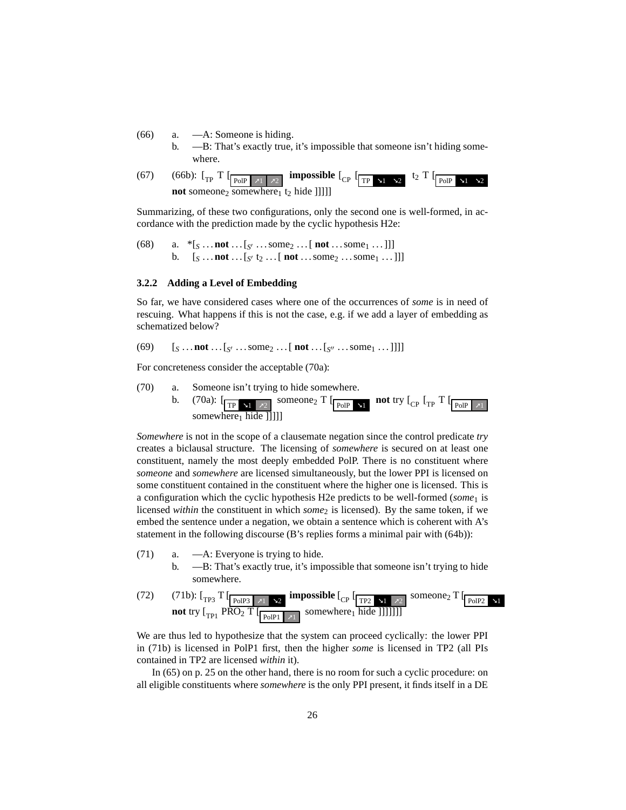- <span id="page-25-1"></span>(66) a. —A: Someone is hiding.
	- b. —B: That's exactly true, it's impossible that someone isn't hiding somewhere.
- (67) [\(66b\):](#page-25-1)  $\lbrack \frac{\text{ }}{\text{ }T\text{}}\rbrack$   $\lbrack \frac{\text{ }}{\text{ }T\text{}}\rbrack$   $\lbrack \frac{\text{ }}{\text{ }T\text{}}\rbrack$   $\lbrack \frac{\text{ }}{\text{ }T\text{}}\rbrack$   $\lbrack \frac{\text{ }}{\text{ }T\text{}}\rbrack$   $\lbrack \frac{\text{ }}{\text{ }T\text{}}\rbrack$   $\lbrack \frac{\text{ }}{\text{ }T\text{}}\rbrack$   $\lbrack \frac{\text{ }}{\text{ }T\text{$ **not** someone<sub>2</sub> somewhere<sub>1</sub> t<sub>2</sub> hide []]]]

Summarizing, of these two configurations, only the second one is well-formed, in accordance with the prediction made by the cyclic hypothesis [H2e:](#page-21-2)

(68) a.  $* [S \dots \textbf{not} \dots [S \dots \textbf{some} 2 \dots [ \textbf{not} \dots \textbf{some} 1 \dots ] ] ]$ b.  $[s \dots \text{not} \dots [s \, t_2 \dots [ \text{not} \dots \text{some}_2 \dots \text{some}_1 \dots ]]]$ 

#### <span id="page-25-0"></span>**3.2.2 Adding a Level of Embedding**

So far, we have considered cases where one of the occurrences of *some* is in need of rescuing. What happens if this is not the case, e.g. if we add a layer of embedding as schematized below?

(69)  $[s \dots \text{not} \dots [s] \dots \text{some}_2 \dots [ \text{not} \dots [s] \dots \text{some}_1 \dots]] ]$ 

For concreteness consider the acceptable [\(70a\):](#page-25-2)

<span id="page-25-2"></span>

*Somewhere* is not in the scope of a clausemate negation since the control predicate *try* creates a biclausal structure. The licensing of *somewhere* is secured on at least one constituent, namely the most deeply embedded PolP. There is no constituent where *someone* and *somewhere* are licensed simultaneously, but the lower PPI is licensed on some constituent contained in the constituent where the higher one is licensed. This is a configuration which the cyclic hypothesis [H2e](#page-21-2) predicts to be well-formed (*some*<sup>1</sup> is licensed *within* the constituent in which *some*<sub>2</sub> is licensed). By the same token, if we embed the sentence under a negation, we obtain a sentence which is coherent with A's statement in the following discourse (B's replies forms a minimal pair with [\(64b\)\)](#page-24-1):

- <span id="page-25-3"></span>(71) a. —A: Everyone is trying to hide.
	- b. —B: That's exactly true, it's impossible that someone isn't trying to hide somewhere.
- (72) [\(71b\):](#page-25-3)  $\left[\begin{array}{cc} T_{\text{PO}} & T_{\text{PoIP3}} & T_{\text{N1}} \rightarrow 2 \end{array} \right]$  impossible  $\left[\begin{array}{cc} T_{\text{P2}} & T_{\text{N1}} & T_{\text{N2}} \end{array} \right]$  someone<sub>2</sub> T  $\left[\begin{array}{cc} T_{\text{POIP2}} & T_{\text{N2}} \end{array} \right]$ **not** try  $\begin{bmatrix} T_{\text{P1}} & P\overline{RO_2} & T \end{bmatrix}$  [ $\begin{bmatrix} T_{\text{PolP1}} & x_1 \end{bmatrix}$  somewhere<sub>1</sub> hide []]]]]]

We are thus led to hypothesize that the system can proceed cyclically: the lower PPI in [\(71b\)](#page-25-3) is licensed in PolP1 first, then the higher *some* is licensed in TP2 (all PIs contained in TP2 are licensed *within* it).

In [\(65\)](#page-24-3) on p. [25](#page-24-3) on the other hand, there is no room for such a cyclic procedure: on all eligible constituents where *somewhere* is the only PPI present, it finds itself in a DE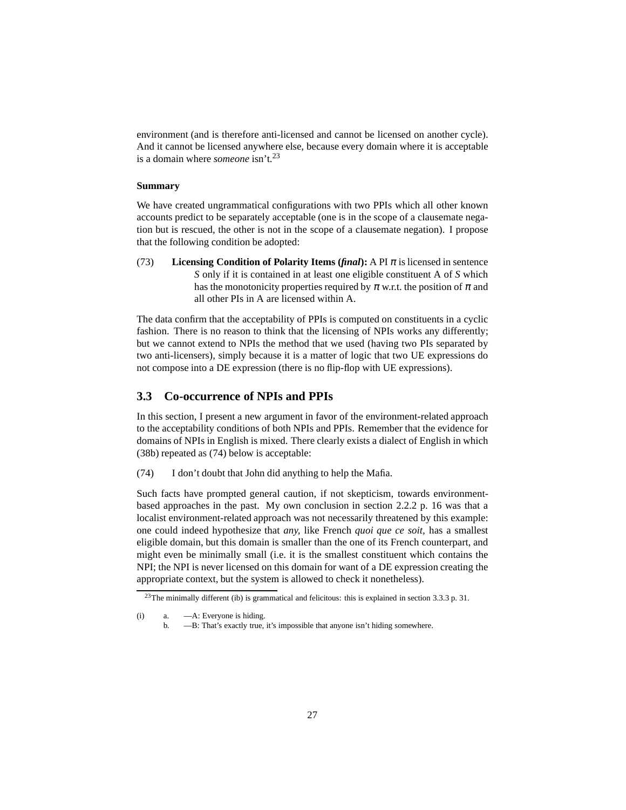environment (and is therefore anti-licensed and cannot be licensed on another cycle). And it cannot be licensed anywhere else, because every domain where it is acceptable is a domain where *someone* isn't.<sup>[23](#page-26-1)</sup>

### **Summary**

We have created ungrammatical configurations with two PPIs which all other known accounts predict to be separately acceptable (one is in the scope of a clausemate negation but is rescued, the other is not in the scope of a clausemate negation). I propose that the following condition be adopted:

<span id="page-26-4"></span>(73) **Licensing Condition of Polarity Items (** $\theta$ *final***): A PI**  $\pi$  **is licensed in sentence** *S* only if it is contained in at least one eligible constituent A of *S* which has the monotonicity properties required by  $\pi$  w.r.t. the position of  $\pi$  and all other PIs in A are licensed within A.

The data confirm that the acceptability of PPIs is computed on constituents in a cyclic fashion. There is no reason to think that the licensing of NPIs works any differently; but we cannot extend to NPIs the method that we used (having two PIs separated by two anti-licensers), simply because it is a matter of logic that two UE expressions do not compose into a DE expression (there is no flip-flop with UE expressions).

### <span id="page-26-0"></span>**3.3 Co-occurrence of NPIs and PPIs**

In this section, I present a new argument in favor of the environment-related approach to the acceptability conditions of both NPIs and PPIs. Remember that the evidence for domains of NPIs in English is mixed. There clearly exists a dialect of English in which [\(38b\)](#page-15-2) repeated as [\(74\)](#page-26-2) below is acceptable:

<span id="page-26-2"></span>(74) I don't doubt that John did anything to help the Mafia.

Such facts have prompted general caution, if not skepticism, towards environmentbased approaches in the past. My own conclusion in section [2.2.2](#page-14-0) p. [16](#page-60-1) was that a localist environment-related approach was not necessarily threatened by this example: one could indeed hypothesize that *any,* like French *quoi que ce soit,* has a smallest eligible domain, but this domain is smaller than the one of its French counterpart, and might even be minimally small (i.e. it is the smallest constituent which contains the NPI; the NPI is never licensed on this domain for want of a DE expression creating the appropriate context, but the system is allowed to check it nonetheless).

<sup>23</sup>The minimally different [\(ib\)](#page-26-3) is grammatical and felicitous: this is explained in section [3.3.3](#page-29-0) p. [31.](#page-30-3)

<span id="page-26-3"></span><span id="page-26-1"></span><sup>(</sup>i) a. —A: Everyone is hiding.

b. —B: That's exactly true, it's impossible that anyone isn't hiding somewhere.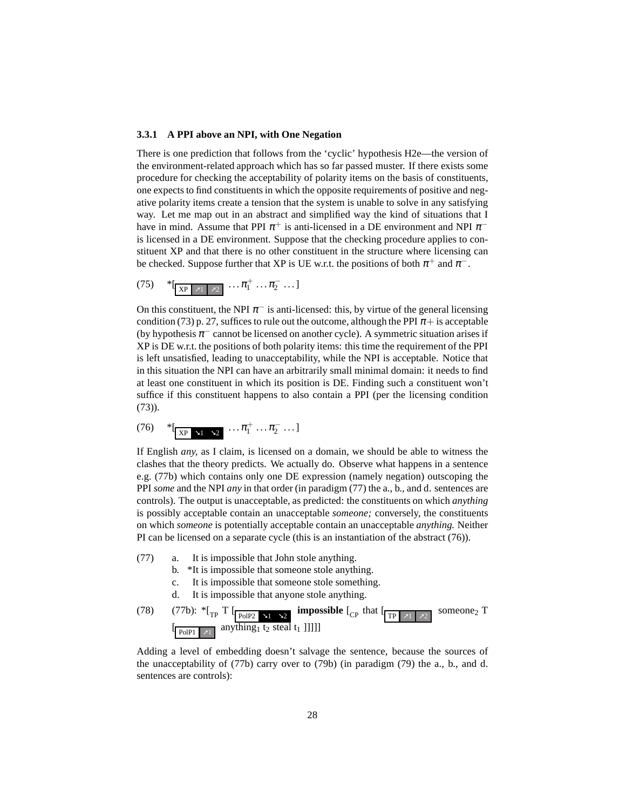#### <span id="page-27-0"></span>**3.3.1 A PPI above an NPI, with One Negation**

There is one prediction that follows from the 'cyclic' hypothesis [H2e—](#page-21-2)the version of the environment-related approach which has so far passed muster. If there exists some procedure for checking the acceptability of polarity items on the basis of constituents, one expects to find constituents in which the opposite requirements of positive and negative polarity items create a tension that the system is unable to solve in any satisfying way. Let me map out in an abstract and simplified way the kind of situations that I have in mind. Assume that PPI  $\pi^+$  is anti-licensed in a DE environment and NPI  $\pi^$ is licensed in a DE environment. Suppose that the checking procedure applies to constituent XP and that there is no other constituent in the structure where licensing can be checked. Suppose further that XP is UE w.r.t. the positions of both  $\pi^+$  and  $\pi^-$ .

$$
(75) \quad *[\frac{}{\text{XP} \mid \pi_1 \mid \pi_2} \ldots \pi_1^+ \ldots \pi_2^- \ldots]
$$

On this constituent, the NPI  $\pi^-$  is anti-licensed: this, by virtue of the general licensing condition [\(73\)](#page-26-4) p. [27,](#page-26-4) suffices to rule out the outcome, although the PPI  $\pi$ + is acceptable (by hypothesis  $\pi^-$  cannot be licensed on another cycle). A symmetric situation arises if XP is DE w.r.t. the positions of both polarity items: this time the requirement of the PPI is left unsatisfied, leading to unacceptability, while the NPI is acceptable. Notice that in this situation the NPI can have an arbitrarily small minimal domain: it needs to find at least one constituent in which its position is DE. Finding such a constituent won't suffice if this constituent happens to also contain a PPI (per the licensing condition [\(73\)\)](#page-26-4).

<span id="page-27-3"></span>
$$
(76) \quad *[\frac{}{\text{XP} \rightarrow 1} \rightarrow 2} \ldots \pi_1^+ \ldots \pi_2^- \ldots]
$$

If English *any,* as I claim, is licensed on a domain, we should be able to witness the clashes that the theory predicts. We actually do. Observe what happens in a sentence e.g. [\(77b\)](#page-27-1) which contains only one DE expression (namely negation) outscoping the PPI *some* and the NPI *any* in that order (in paradigm [\(77\)](#page-27-2) the a., b., and d. sentences are controls). The output is unacceptable, as predicted: the constituents on which *anything* is possibly acceptable contain an unacceptable *someone;* conversely, the constituents on which *someone* is potentially acceptable contain an unacceptable *anything.* Neither PI can be licensed on a separate cycle (this is an instantiation of the abstract [\(76\)\)](#page-27-3).

- <span id="page-27-2"></span><span id="page-27-1"></span>(77) a. It is impossible that John stole anything.
	- b. \*It is impossible that someone stole anything.
	- c. It is impossible that someone stole something.
	- d. It is impossible that anyone stole anything.

(78) (77b): 
$$
{}^*[\text{TP} \text{ T } [\text{Pole2 } \text{ N}] \text{ = } \text{25 } \text{ [mpossible } [\text{CP } \text{ that } [\text{TP } \text{ N}] \text{ = } \text{27 } \text{]}
$$

<span id="page-27-4"></span>Adding a level of embedding doesn't salvage the sentence, because the sources of the unacceptability of [\(77b\)](#page-27-1) carry over to [\(79b\)](#page-28-1) (in paradigm [\(79\)](#page-27-4) the a., b., and d. sentences are controls):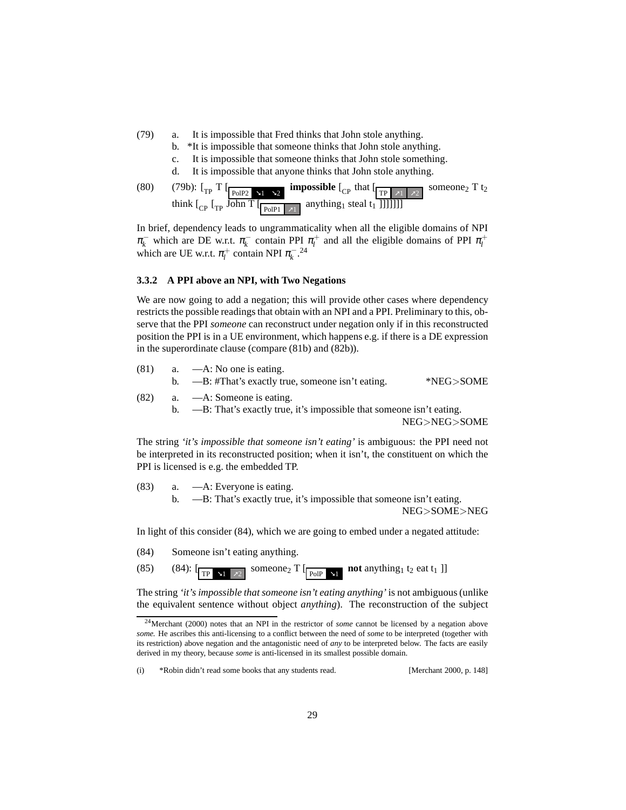- <span id="page-28-1"></span>(79) a. It is impossible that Fred thinks that John stole anything.
	- b. \*It is impossible that someone thinks that John stole anything.
	- c. It is impossible that someone thinks that John stole something.
	- d. It is impossible that anyone thinks that John stole anything.

(80) (79b): 
$$
\left[\begin{array}{cc} \Gamma \end{array}\right]
$$
 [top 1 x2] \n**impossible**  $\left[\begin{array}{cc} \Gamma \end{array}\right]$  that  $\left[\begin{array}{cc} \Gamma \end{array}\right]$ 

In brief, dependency leads to ungrammaticality when all the eligible domains of NPI  $\pi_k^-$  which are DE w.r.t.  $\pi_k^-$  contain PPI  $\pi_l^+$  and all the eligible domains of PPI  $\pi_l^+$ which are UE w.r.t.  $\pi_l^+$  contain NPI  $\pi_k^-$ .<sup>[24](#page-28-2)</sup>

#### <span id="page-28-0"></span>**3.3.2 A PPI above an NPI, with Two Negations**

We are now going to add a negation; this will provide other cases where dependency restricts the possible readings that obtain with an NPI and a PPI. Preliminary to this, observe that the PPI *someone* can reconstruct under negation only if in this reconstructed position the PPI is in a UE environment, which happens e.g. if there is a DE expression in the superordinate clause (compare [\(81b\)](#page-28-3) and [\(82b\)\)](#page-28-4).

<span id="page-28-4"></span><span id="page-28-3"></span>

| (81) | a. $-A$ : No one is eating.<br>b. $\overline{-B}$ : #That's exactly true, someone isn't eating.                 | *NEG>SOME |
|------|-----------------------------------------------------------------------------------------------------------------|-----------|
| (82) | a. $-A$ : Someone is eating.<br>b. $\quad$ —B: That's exactly true, it's impossible that some one isn't eating. |           |

NEG>NEG>SOME

The string *'it's impossible that someone isn't eating'* is ambiguous: the PPI need not be interpreted in its reconstructed position; when it isn't, the constituent on which the PPI is licensed is e.g. the embedded TP.

(83) a. —A: Everyone is eating. b. —B: That's exactly true, it's impossible that someone isn't eating. NEG>SOME>NEG

<span id="page-28-5"></span>In light of this consider [\(84\),](#page-28-5) which we are going to embed under a negated attitude:

(84) Someone isn't eating anything.

(85) [\(84\):](#page-28-5)  $\left[\frac{}{\text{TP } x1 \quad x2}\right]$  someone<sub>2</sub> T  $\left[\frac{}{\text{PoIP } x1}\right]$  **not** anything<sub>1</sub> t<sub>2</sub> eat t<sub>1</sub> ]

The string *'it's impossible that someone isn't eating anything'* is not ambiguous (unlike the equivalent sentence without object *anything*). The reconstruction of the subject

<span id="page-28-2"></span><sup>24</sup>[Merchant \(2000](#page-63-10)) notes that an NPI in the restrictor of *some* cannot be licensed by a negation above *some.* He ascribes this anti-licensing to a conflict between the need of *some* to be interpreted (together with its restriction) above negation and the antagonistic need of *any* to be interpreted below. The facts are easily derived in my theory, because *some* is anti-licensed in its smallest possible domain.

<sup>(</sup>i) \*Robin didn't read some books that any students read. [\[Merchant 2000,](#page-63-10) p. 148]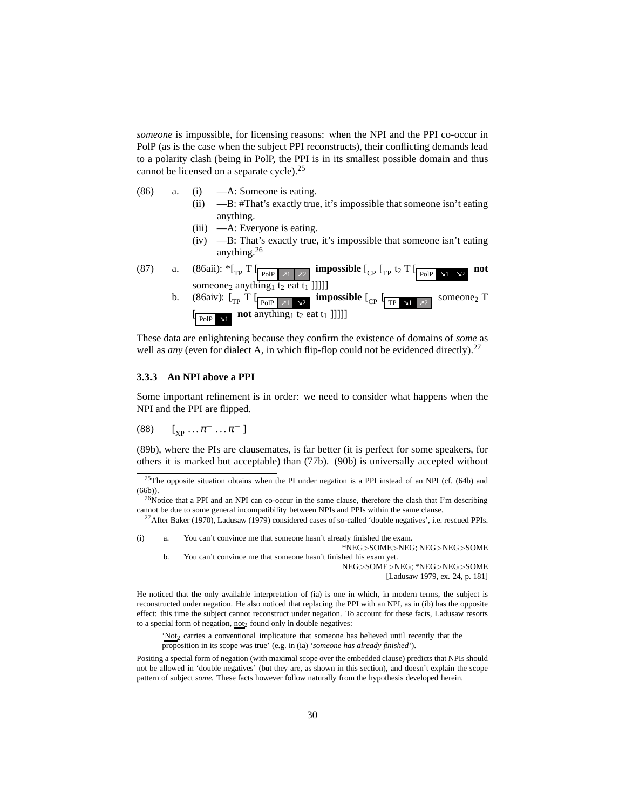*someone* is impossible, for licensing reasons: when the NPI and the PPI co-occur in PolP (as is the case when the subject PPI reconstructs), their conflicting demands lead to a polarity clash (being in PolP, the PPI is in its smallest possible domain and thus cannot be licensed on a separate cycle).<sup>[25](#page-29-1)</sup>

- <span id="page-29-4"></span><span id="page-29-3"></span>(86) a. (i) —A: Someone is eating.
	- (ii) —B: #That's exactly true, it's impossible that someone isn't eating anything.
	- (iii) —A: Everyone is eating.
	- (iv) —B: That's exactly true, it's impossible that someone isn't eating anything.[26](#page-29-2)
- (87) a. [\(86aii\):](#page-29-3)  ${}^*{\lbrack_{\text{TP}} \, \Gamma}$   $\lbrack_{\text{PoIP}} \rbrack_{\text{Z1}}$   $\rbrack_{\text{Z2}}$  impossible  $\lbrack_{\text{CP}} \, \lbrack_{\text{TP}}$  t<sub>2</sub>  $\lbrack_{\text{PoIP}} \rbrack_{\text{Z1}}$   $\rbrack_{\text{Z2}}$ **not** someone<sub>2</sub> anything<sub>1</sub> t<sub>2</sub> eat t<sub>1</sub> ]]]]]
	- b. [\(86aiv\):](#page-29-4)  $\left[\begin{array}{cc} \Gamma \end{array} \right]$  **T**  $\left[\begin{array}{cc} \text{p}_{\text{olP}} & \text{y}_1 \\ \text{p}_{\text{olP}} & \text{y}_2 \end{array} \right]$  **impossible**  $\left[\begin{array}{cc} \Gamma \end{array} \right]$   $\left[\begin{array}{cc} \text{p}_{\text{N1}} & \text{y}_2 \end{array} \right]$ someone<sub>2</sub> T  $\left[\begin{array}{|c|c|}\n\hline\n\text{PolP} & \text{and} & \text{anything1 to} & \text{and} & \text{not} & \text{and} & \text{not} \\
	\hline\n\end{array}\right]$

These data are enlightening because they confirm the existence of domains of *some* as well as *any* (even for dialect A, in which flip-flop could not be evidenced directly).<sup>[27](#page-29-5)</sup>

### <span id="page-29-0"></span>**3.3.3 An NPI above a PPI**

Some important refinement is in order: we need to consider what happens when the NPI and the PPI are flipped.

(88)  $[\,]_{\text{XP}} \ldots \pi^{-} \ldots \pi^{+} \,]$ 

[\(89b\),](#page-30-4) where the PIs are clausemates, is far better (it is perfect for some speakers, for others it is marked but acceptable) than [\(77b\).](#page-27-1) [\(90b\)](#page-30-5) is universally accepted without

b. You can't convince me that someone hasn't finished his exam yet. NEG>SOME>NEG; \*NEG>NEG>SOME

[\[Ladusaw 1979](#page-63-3), ex. 24, p. 181]

He noticed that the only available interpretation of [\(ia\)](#page-29-6) is one in which, in modern terms, the subject is reconstructed under negation. He also noticed that replacing the PPI with an NPI, as in [\(ib\)](#page-29-7) has the opposite effect: this time the subject cannot reconstruct under negation. To account for these facts, Ladusaw resorts to a special form of negation,  $not_2$  found only in double negatives:

'Not<sub>2</sub> carries a conventional implicature that someone has believed until recently that the proposition in its scope was true' (e.g. in [\(ia\)](#page-29-6) *'someone has already finished'*).

Positing a special form of negation (with maximal scope over the embedded clause) predicts that NPIs should not be allowed in 'double negatives' (but they are, as shown in this section), and doesn't explain the scope pattern of subject *some.* These facts however follow naturally from the hypothesis developed herein.

<span id="page-29-1"></span> $25$ The opposite situation obtains when the PI under negation is a PPI instead of an NPI (cf. [\(64b\)](#page-24-1) and [\(66b\)\)](#page-25-1).

<span id="page-29-2"></span><sup>&</sup>lt;sup>26</sup>Notice that a PPI and an NPI can co-occur in the same clause, therefore the clash that I'm describing cannot be due to some general incompatibility between NPIs and PPIs within the same clause.

<sup>&</sup>lt;sup>27</sup>After [Baker \(1970](#page-61-7)), [Ladusaw \(1979\)](#page-63-3) considered cases of so-called 'double negatives', i.e. rescued PPIs.

<span id="page-29-7"></span><span id="page-29-6"></span><span id="page-29-5"></span><sup>(</sup>i) a. You can't convince me that someone hasn't already finished the exam. \*NEG>SOME>NEG; NEG>NEG>SOME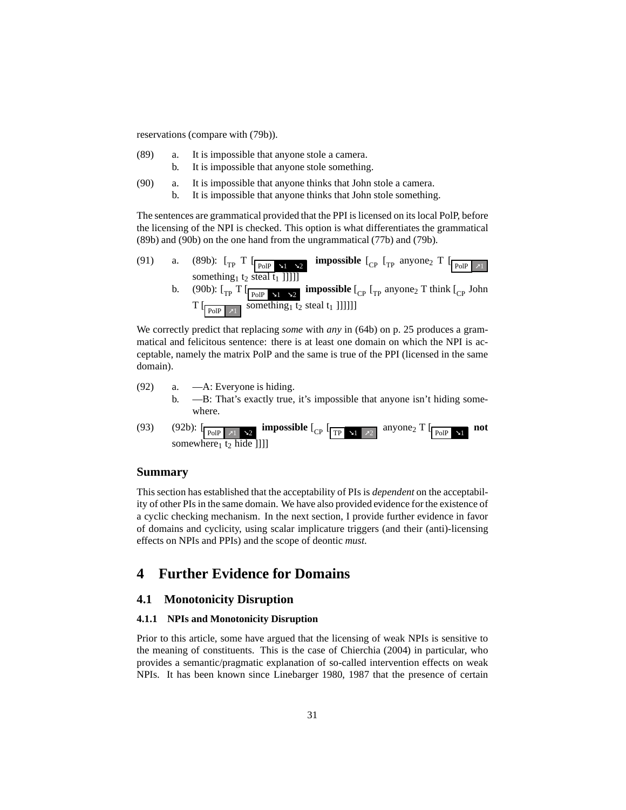reservations (compare with [\(79b\)\)](#page-28-1).

- <span id="page-30-4"></span>(89) a. It is impossible that anyone stole a camera. b. It is impossible that anyone stole something.
- <span id="page-30-5"></span>(90) a. It is impossible that anyone thinks that John stole a camera.
	- b. It is impossible that anyone thinks that John stole something.

The sentences are grammatical provided that the PPI is licensed on its local PolP, before the licensing of the NPI is checked. This option is what differentiates the grammatical [\(89b\)](#page-30-4) and [\(90b\)](#page-30-5) on the one hand from the ungrammatical [\(77b\)](#page-27-1) and [\(79b\).](#page-28-1)

(91) a. [\(89b\):](#page-30-4)  $\lbrack_{\text{TP}}$  **T**  $\lbrack_{\text{PoIP}}$  **x<sub>2</sub> impossible**  $\lbrack_{\text{CP}}$   $\lbrack_{\text{TP}}$  anyone<sub>2</sub> **T**  $\lbrack_{\text{PoIP}}$  **x**<sub>1</sub> something<sub>1</sub> t<sub>2</sub> steal t<sub>1</sub> ]]]]] b. [\(90b\):](#page-30-5)  $\left[\begin{matrix} 1 \end{matrix}\right]$  **[**  $\left[\begin{matrix} P_{\text{O}} \end{matrix}\right]$  **impossible**  $\left[\begin{matrix} 1 \end{matrix}\right]$  **[**  $\left[\begin{matrix} 1 \end{matrix}\right]$  **[**  $\left[\begin{matrix} 1 \end{matrix}\right]$  **f**  $\left[\begin{matrix} 1 \end{matrix}\right]$  **f**  $\left[\begin{matrix} 1 \end{matrix}\right]$  **f**  $\left[\begin{matrix} 1 \end{matrix}\right]$  **f**  $\left[\begin{matrix} 1 \end{$  $T$  [ $_{\text{PoIP}}$   $_{\text{x1}}$  something<sub>1</sub> t<sub>2</sub> steal t<sub>1</sub> ]]]]]]

We correctly predict that replacing *some* with *any* in [\(64b\)](#page-24-1) on p. [25](#page-24-1) produces a grammatical and felicitous sentence: there is at least one domain on which the NPI is acceptable, namely the matrix PolP and the same is true of the PPI (licensed in the same domain).

- <span id="page-30-3"></span>(92) a. —A: Everyone is hiding. b. —B: That's exactly true, it's impossible that anyone isn't hiding somewhere.
- (93) [\(92b\):](#page-30-3)  $\left[\frac{\text{poly}(1)}{\text{poly}(1)}\right]$  **impossible**  $\left[\frac{\text{poly}(1)}{\text{poly}(1)}\right]$  anyone<sub>2</sub> T  $\left[\frac{\text{poly}(1)}{\text{poly}(1)}\right]$  not somewhere<sub>1</sub> t<sub>2</sub> hide []]]

# **Summary**

This section has established that the acceptability of PIs is *dependent* on the acceptability of other PIs in the same domain. We have also provided evidence for the existence of a cyclic checking mechanism. In the next section, I provide further evidence in favor of domains and cyclicity, using scalar implicature triggers (and their (anti)-licensing effects on NPIs and PPIs) and the scope of deontic *must*.

# <span id="page-30-1"></span><span id="page-30-0"></span>**4 Further Evidence for Domains**

### <span id="page-30-2"></span>**4.1 Monotonicity Disruption**

### **4.1.1 NPIs and Monotonicity Disruption**

Prior to this article, some have argued that the licensing of weak NPIs is sensitive to the meaning of constituents. This is the case of [Chierchia](#page-61-4) [\(2004\)](#page-61-4) in particular, who provides a semantic/pragmatic explanation of so-called intervention effects on weak NPIs. It has been known since [Linebarger 1980,](#page-63-2) [1987](#page-63-11) that the presence of certain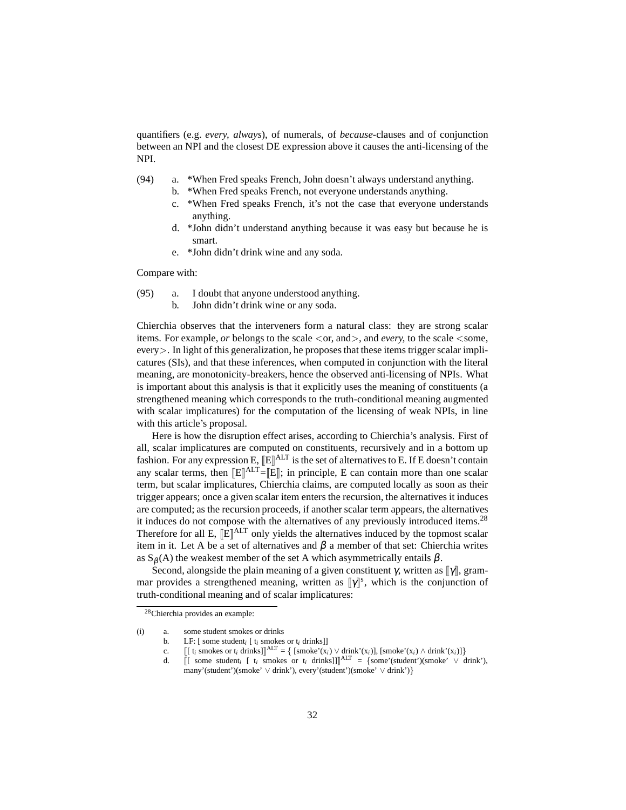<span id="page-31-2"></span>quantifiers (e.g. *every, always*), of numerals, of *because-*clauses and of conjunction between an NPI and the closest DE expression above it causes the anti-licensing of the NPI.

- <span id="page-31-1"></span>(94) a. \*When Fred speaks French, John doesn't always understand anything.
	- b. \*When Fred speaks French, not everyone understands anything.
	- c. \*When Fred speaks French, it's not the case that everyone understands anything.
	- d. \*John didn't understand anything because it was easy but because he is smart.
	- e. \*John didn't drink wine and any soda.

Compare with:

- (95) a. I doubt that anyone understood anything.
	- b. John didn't drink wine or any soda.

Chierchia observes that the interveners form a natural class: they are strong scalar items. For example, *or* belongs to the scale  $\langle$  or, and $\rangle$ , and *every*, to the scale  $\langle$  some, every>. In light of this generalization, he proposes that these items trigger scalar implicatures (SIs), and that these inferences, when computed in conjunction with the literal meaning, are monotonicity-breakers, hence the observed anti-licensing of NPIs. What is important about this analysis is that it explicitly uses the meaning of constituents (a strengthened meaning which corresponds to the truth-conditional meaning augmented with scalar implicatures) for the computation of the licensing of weak NPIs, in line with this article's proposal.

Here is how the disruption effect arises, according to Chierchia's analysis. First of all, scalar implicatures are computed on constituents, recursively and in a bottom up fashion. For any expression E,  $[\![E]\!]^{\mathrm{ALT}}$  is the set of alternatives to E. If E doesn't contain any scalar terms, then  $[[E]]^{ALT} = [[E]]$ ; in principle, E can contain more than one scalar term, but scalar implicatures, Chierchia claims, are computed locally as soon as their trigger appears; once a given scalar item enters the recursion, the alternatives it induces are computed; as the recursion proceeds, if another scalar term appears, the alternatives it induces do not compose with the alternatives of any previously introduced items.<sup>[28](#page-31-0)</sup> Therefore for all E,  $[\mathbb{E}]^{\text{ALT}}$  only yields the alternatives induced by the topmost scalar item in it. Let A be a set of alternatives and  $β$  a member of that set: Chierchia writes as  $S_\beta(A)$  the weakest member of the set A which asymmetrically entails  $\beta$ .

Second, alongside the plain meaning of a given constituent  $\gamma$ , written as  $\llbracket \gamma \rrbracket$ , grammar provides a strengthened meaning, written as  $[\![\gamma]\!]^s$ , which is the conjunction of truth-conditional meaning and of scalar implicatures:

- <span id="page-31-0"></span>(i) a. some student smokes or drinks
	- b. LF: [ some student*<sup>i</sup>* [ t*<sup>i</sup>* smokes or t*<sup>i</sup>* drinks]]
	- c.  $[[ [t_i$  smokes or  $t_i$  drinks]]<sup>ALT</sup> = {  $[smoke'(x_i) \vee \text{drink}'(x_i)],$   $[smoke'(x_i) \wedge \text{drink}'(x_i)]\}$
	- d.  $[[$  some student<sub>*i*</sub>  $[$  t<sub>i</sub> smokes or t<sub>i</sub> drinks]]]<sup>ALT</sup> = {some'(student')(smoke'  $\vee$  drink'),
		- many'(student')(smoke' ∨ drink'), every'(student')(smoke' ∨ drink')}

<sup>28</sup>Chierchia provides an example: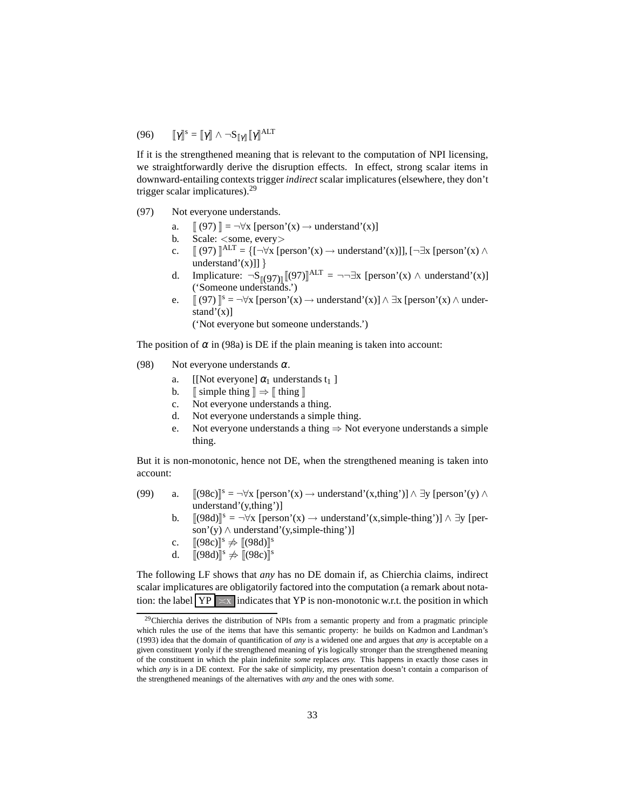# (96)  $[\![\gamma]\!]^s = [\![\gamma]\!] \wedge \neg S_{[\![\gamma]\!]} [\![\gamma]\!]^{\text{ALT}}$

If it is the strengthened meaning that is relevant to the computation of NPI licensing, we straightforwardly derive the disruption effects. In effect, strong scalar items in downward-entailing contexts trigger *indirect* scalar implicatures (elsewhere, they don't trigger scalar implicatures).[29](#page-32-0)

- <span id="page-32-1"></span>(97) Not everyone understands.
	- a.  $\left[ (97) \right] = \neg \forall x \ [\text{person'}(x) \rightarrow \text{understand'}(x)]$  $\left[ (97) \right] = \neg \forall x \ [\text{person'}(x) \rightarrow \text{understand'}(x)]$  $\left[ (97) \right] = \neg \forall x \ [\text{person'}(x) \rightarrow \text{understand'}(x)]$
	- b. Scale: <some, every>
	- c.  $\left[ \begin{array}{c} (97) \end{array} \right]^{ALT} = \left\{ \left[ \neg \forall x \left[ \text{person}'(x) \rightarrow \text{understand}'(x) \right] \right], \left[ \neg \exists x \left[ \text{person}'(x) \land \right. \right) \right\}$  $\left[ \begin{array}{c} (97) \end{array} \right]^{ALT} = \left\{ \left[ \neg \forall x \left[ \text{person}'(x) \rightarrow \text{understand}'(x) \right] \right], \left[ \neg \exists x \left[ \text{person}'(x) \land \right. \right) \right\}$  $\left[ \begin{array}{c} (97) \end{array} \right]^{ALT} = \left\{ \left[ \neg \forall x \left[ \text{person}'(x) \rightarrow \text{understand}'(x) \right] \right], \left[ \neg \exists x \left[ \text{person}'(x) \land \right. \right) \right\}$ understand'(x)]]  $\}$
	- d. Implicature:  $\neg S_{\llbracket (97) \rrbracket} \llbracket (97) \rrbracket^{ALT} = \neg \neg \exists x \text{ [person'(x) } \land \text{ understand'(x)}$  $\neg S_{\llbracket (97) \rrbracket} \llbracket (97) \rrbracket^{ALT} = \neg \neg \exists x \text{ [person'(x) } \land \text{ understand'(x)}$  $\neg S_{\llbracket (97) \rrbracket} \llbracket (97) \rrbracket^{ALT} = \neg \neg \exists x \text{ [person'(x) } \land \text{ understand'(x)}$ ('Someone understands.')
	- e.  $[(97)]^s = \neg \forall x$  $[(97)]^s = \neg \forall x$  $[(97)]^s = \neg \forall x$  [person'(x)  $\rightarrow$  understand'(x)]  $\land \exists x$  [person'(x)  $\land$  understand'(x)]

('Not everyone but someone understands.')

The position of  $\alpha$  in [\(98a\)](#page-32-2) is DE if the plain meaning is taken into account:

- <span id="page-32-4"></span><span id="page-32-3"></span><span id="page-32-2"></span>(98) Not everyone understands  $\alpha$ .
	- a. [[Not everyone]  $\alpha_1$  understands t<sub>1</sub>]
	- b.  $\sinh(\theta) \to \sinh(\theta)$
	- c. Not everyone understands a thing.
	- d. Not everyone understands a simple thing.
	- e. Not everyone understands a thing  $\Rightarrow$  Not everyone understands a simple thing.

<span id="page-32-5"></span>But it is non-monotonic, hence not DE, when the strengthened meaning is taken into account:

- (99) a.  $[(98c)]^s = \neg \forall x$  $[(98c)]^s = \neg \forall x$  $[(98c)]^s = \neg \forall x$  [person'(x)  $\rightarrow$  understand'(x,thing')]  $\land \exists y$  [person'(y)  $\land$ understand'(y,thing')]
	- b.  $[(98d)]^s = \neg \forall x$  $[(98d)]^s = \neg \forall x$  $[(98d)]^s = \neg \forall x$  [person'(x)  $\rightarrow$  understand'(x,simple-thing')]  $\land \exists y$  [person'(y) ∧ understand'(y,simple-thing')]
	- c.  $[(98c)]^s \neq [(98d)]^s$  $[(98c)]^s \neq [(98d)]^s$  $[(98c)]^s \neq [(98d)]^s$  $[(98c)]^s \neq [(98d)]^s$  $[(98c)]^s \neq [(98d)]^s$
	- d.  $\left[\left(98d\right)\right]^{s} \neq \left[\left(98c\right)\right]^{s}$

The following LF shows that *any* has no DE domain if, as Chierchia claims, indirect scalar implicatures are obligatorily factored into the computation (a remark about notation: the label  $YP \times x$  indicates that YP is non-monotonic w.r.t. the position in which

<span id="page-32-0"></span><sup>&</sup>lt;sup>29</sup>Chierchia derives the distribution of NPIs from a semantic property and from a pragmatic principle which rules the use of the items that have this semantic property: he builds on [Kadmon and Landman](#page-63-12)'s [\(1993](#page-63-12)) idea that the domain of quantification of *any* is a widened one and argues that *any* is acceptable on a given constituent  $\gamma$  only if the strengthened meaning of  $\gamma$  is logically stronger than the strengthened meaning of the constituent in which the plain indefinite *some* replaces *any.* This happens in exactly those cases in which *any* is in a DE context. For the sake of simplicity, my presentation doesn't contain a comparison of the strengthened meanings of the alternatives with *any* and the ones with *some*.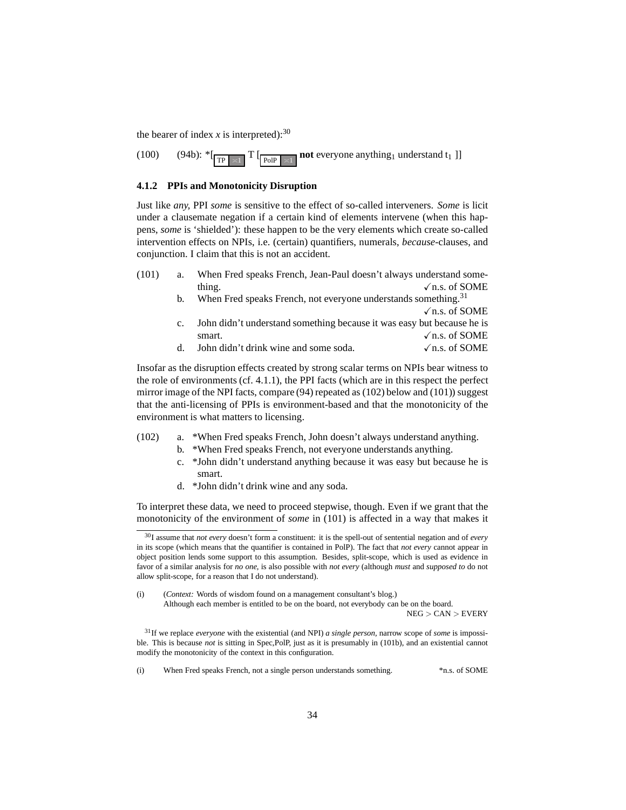the bearer of index  $x$  is interpreted):<sup>[30](#page-33-1)</sup>

 $(100)$   $(94b):$   $\sqrt[*]{\text{TP}}$   $\approx 1$  $T$   $\begin{bmatrix} P_{\text{old}} \end{bmatrix}$   $\approx 1$ **not** everyone anything<sub>1</sub> understand t<sub>1</sub> ]]

### <span id="page-33-0"></span>**4.1.2 PPIs and Monotonicity Disruption**

Just like *any,* PPI *some* is sensitive to the effect of so-called interveners. *Some* is licit under a clausemate negation if a certain kind of elements intervene (when this happens, *some* is 'shielded'): these happen to be the very elements which create so-called intervention effects on NPIs, i.e. (certain) quantifiers, numerals, *because-*clauses, and conjunction. I claim that this is not an accident.

- <span id="page-33-6"></span><span id="page-33-5"></span><span id="page-33-4"></span>(101) a. When Fred speaks French, Jean-Paul doesn't always understand something.  $\sqrt{n}$ s. of SOME
	- b. When Fred speaks French, not everyone understands something.<sup>[31](#page-33-2)</sup>  $\sqrt{n}$ .s. of SOME
	- c. John didn't understand something because it was easy but because he is smart.  $\sqrt{n}$ s. of SOME
	- d. John didn't drink wine and some soda.  $\sqrt{n}$ .s. of SOME

Insofar as the disruption effects created by strong scalar terms on NPIs bear witness to the role of environments (cf. [4.1.1\)](#page-30-2), the PPI facts (which are in this respect the perfect mirror image of the NPI facts, compare [\(94\)](#page-31-2) repeated as [\(102\)](#page-33-3) below and [\(101\)\)](#page-33-4) suggest that the anti-licensing of PPIs is environment-based and that the monotonicity of the environment is what matters to licensing.

- <span id="page-33-3"></span>(102) a. \*When Fred speaks French, John doesn't always understand anything.
	- b. \*When Fred speaks French, not everyone understands anything.
	- c. \*John didn't understand anything because it was easy but because he is smart.
	- d. \*John didn't drink wine and any soda.

To interpret these data, we need to proceed stepwise, though. Even if we grant that the monotonicity of the environment of *some* in [\(101\)](#page-33-4) is affected in a way that makes it

(i) (*Context:* Words of wisdom found on a management consultant's blog.) Although each member is entitled to be on the board, not everybody can be on the board.

NEG > CAN > EVERY

(i) When Fred speaks French, not a single person understands something. \*n.s. of SOME

<span id="page-33-1"></span><sup>30</sup>I assume that *not every* doesn't form a constituent: it is the spell-out of sentential negation and of *every* in its scope (which means that the quantifier is contained in PolP). The fact that *not every* cannot appear in object position lends some support to this assumption. Besides, split-scope, which is used as evidence in favor of a similar analysis for *no one,* is also possible with *not every* (although *must* and *supposed to* do not allow split-scope, for a reason that I do not understand).

<span id="page-33-2"></span><sup>31</sup>If we replace *everyone* with the existential (and NPI) *a single person,* narrow scope of *some* is impossible. This is because *not* is sitting in Spec,PolP, just as it is presumably in [\(101b\),](#page-33-5) and an existential cannot modify the monotonicity of the context in this configuration.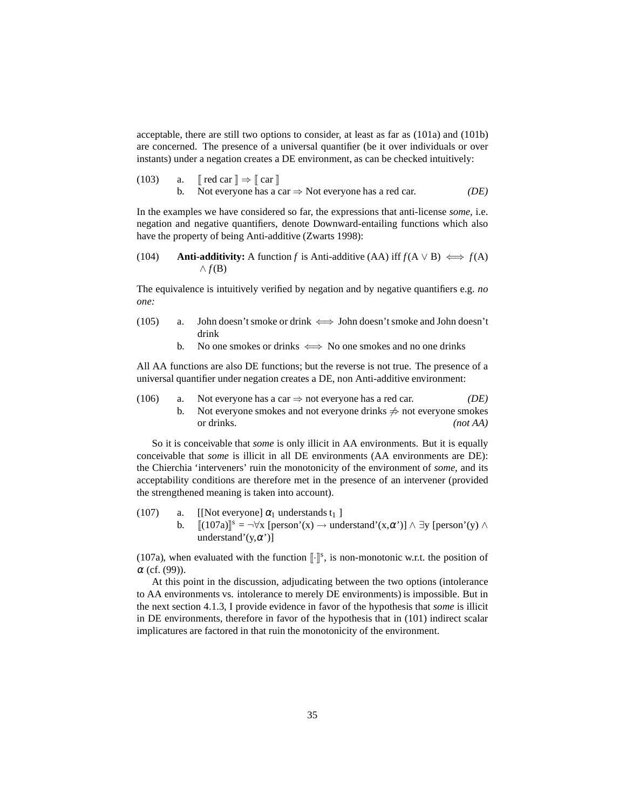acceptable, there are still two options to consider, at least as far as [\(101a\)](#page-33-6) and [\(101b\)](#page-33-5) are concerned. The presence of a universal quantifier (be it over individuals or over instants) under a negation creates a DE environment, as can be checked intuitively:

(103) a. 
$$
\[ \[ \text{red car} \] \Rightarrow \[ \text{car} \]
$$
  
b. Not everyone has a car  $\Rightarrow$  Not everyone has a red car. *(DE)*

In the examples we have considered so far, the expressions that anti-license *some,* i.e. negation and negative quantifiers, denote Downward-entailing functions which also have the property of being Anti-additive [\(Zwarts 1998\)](#page-64-7):

<span id="page-34-0"></span>(104) **Anti-additivity:** A function *f* is Anti-additive (AA) iff 
$$
f(A \lor B) \iff f(A) \land f(B)
$$

The equivalence is intuitively verified by negation and by negative quantifiers e.g. *no one:*

- (105) a. John doesn't smoke or drink  $\iff$  John doesn't smoke and John doesn't drink
	- b. No one smokes or drinks  $\iff$  No one smokes and no one drinks

<span id="page-34-2"></span>All AA functions are also DE functions; but the reverse is not true. The presence of a universal quantifier under negation creates a DE, non Anti-additive environment:

(106) a. Not everyone has a car  $\Rightarrow$  not everyone has a red car. *(DE)* b. Not everyone smokes and not everyone drinks  $\neq$  not everyone smokes or drinks. *(not AA)*

So it is conceivable that *some* is only illicit in AA environments. But it is equally conceivable that *some* is illicit in all DE environments (AA environments are DE): the Chierchia 'interveners' ruin the monotonicity of the environment of *some,* and its acceptability conditions are therefore met in the presence of an intervener (provided the strengthened meaning is taken into account).

<span id="page-34-1"></span>(107) a. [[Not everyone]  $\alpha_1$  understands t<sub>1</sub>] b.  $[(107a)]^s = \neg \forall x$  $[(107a)]^s = \neg \forall x$  $[(107a)]^s = \neg \forall x$  [person'(x)  $\rightarrow$  understand'(x, $\alpha$ ')]  $\land \exists y$  [person'(y)  $\land$ understand'(y, $\alpha'$ )]

[\(107a\),](#page-34-1) when evaluated with the function  $\lbrack \cdot \rbrack^s$ , is non-monotonic w.r.t. the position of  $\alpha$  (cf. [\(99\)\)](#page-32-5).

At this point in the discussion, adjudicating between the two options (intolerance to AA environments vs. intolerance to merely DE environments) is impossible. But in the next section [4.1.3,](#page-35-0) I provide evidence in favor of the hypothesis that *some* is illicit in DE environments, therefore in favor of the hypothesis that in [\(101\)](#page-33-4) indirect scalar implicatures are factored in that ruin the monotonicity of the environment.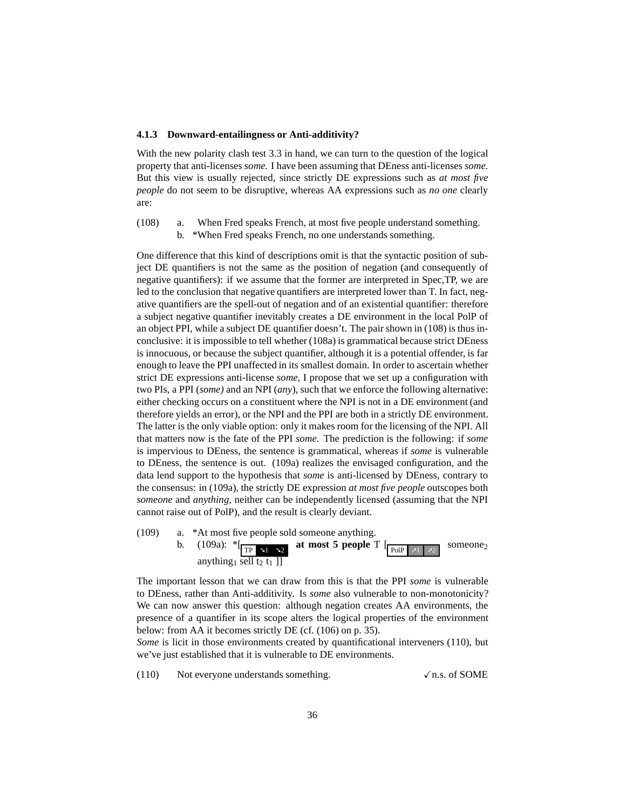#### <span id="page-35-0"></span>**4.1.3 Downward-entailingness or Anti-additivity?**

With the new polarity clash test [3.3](#page-26-0) in hand, we can turn to the question of the logical property that anti-licenses *some.* I have been assuming that DEness anti-licenses *some.* But this view is usually rejected, since strictly DE expressions such as *at most five people* do not seem to be disruptive, whereas AA expressions such as *no one* clearly are:

<span id="page-35-2"></span><span id="page-35-1"></span>(108) a. When Fred speaks French, at most five people understand something. b. \*When Fred speaks French, no one understands something.

One difference that this kind of descriptions omit is that the syntactic position of subject DE quantifiers is not the same as the position of negation (and consequently of negative quantifiers): if we assume that the former are interpreted in Spec,TP, we are led to the conclusion that negative quantifiers are interpreted lower than T. In fact, negative quantifiers are the spell-out of negation and of an existential quantifier: therefore a subject negative quantifier inevitably creates a DE environment in the local PolP of an object PPI, while a subject DE quantifier doesn't. The pair shown in [\(108\)](#page-35-1) is thus inconclusive: it is impossible to tell whether [\(108a\)](#page-35-2) is grammatical because strict DEness is innocuous, or because the subject quantifier, although it is a potential offender, is far enough to leave the PPI unaffected in its smallest domain. In order to ascertain whether strict DE expressions anti-license *some,* I propose that we set up a configuration with two PIs, a PPI (*some)* and an NPI (*any*), such that we enforce the following alternative: either checking occurs on a constituent where the NPI is not in a DE environment (and therefore yields an error), or the NPI and the PPI are both in a strictly DE environment. The latter is the only viable option: only it makes room for the licensing of the NPI. All that matters now is the fate of the PPI *some.* The prediction is the following: if *some* is impervious to DEness, the sentence is grammatical, whereas if *some* is vulnerable to DEness, the sentence is out. [\(109a\)](#page-35-3) realizes the envisaged configuration, and the data lend support to the hypothesis that *some* is anti-licensed by DEness, contrary to the consensus: in [\(109a\),](#page-35-3) the strictly DE expression *at most five people* outscopes both *someone* and *anything*, neither can be independently licensed (assuming that the NPI cannot raise out of PolP), and the result is clearly deviant.

<span id="page-35-3"></span>(109) a. \*At most five people sold someone anything. b.  $(109a):$   $*[\overline{TP \times 1 \times 2}]$ at most 5 people  $T$   $\left[\frac{P_{\text{OIP}}}{P_{\text{OIP}}}\right]$ someone<sub>2</sub> anything<sub>1</sub> sell t<sub>2</sub> t<sub>1</sub> ]]

The important lesson that we can draw from this is that the PPI *some* is vulnerable to DEness, rather than Anti-additivity. Is *some* also vulnerable to non-monotonicity? We can now answer this question: although negation creates AA environments, the presence of a quantifier in its scope alters the logical properties of the environment below: from AA it becomes strictly DE (cf. [\(106\)](#page-34-2) on p. [35\)](#page-34-2).

<span id="page-35-4"></span>*Some* is licit in those environments created by quantificational interveners [\(110\),](#page-35-4) but we've just established that it is vulnerable to DE environments.

 $(110)$  Not everyone understands something.  $\checkmark$  n.s. of SOME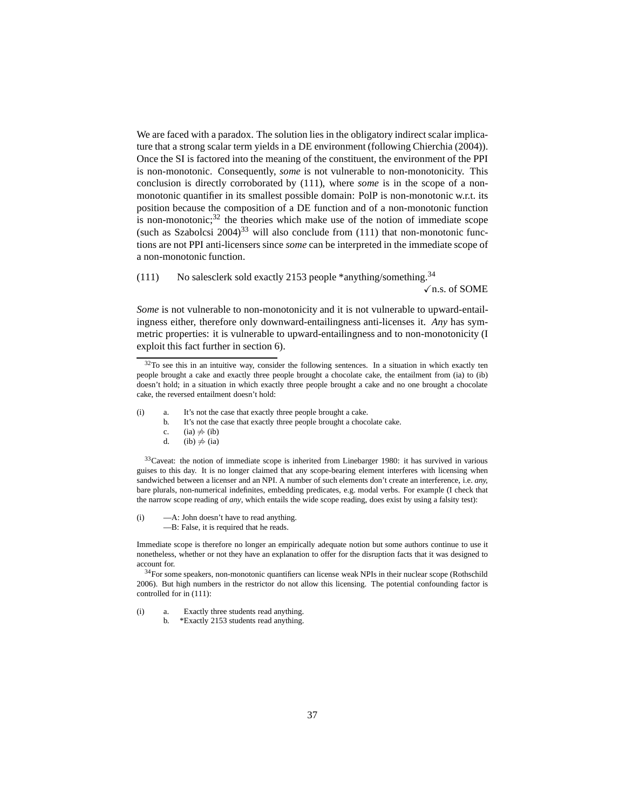We are faced with a paradox. The solution lies in the obligatory indirect scalar implicature that a strong scalar term yields in a DE environment (following [Chierchia \(2004\)](#page-61-4)). Once the SI is factored into the meaning of the constituent, the environment of the PPI is non-monotonic. Consequently, *some* is not vulnerable to non-monotonicity. This conclusion is directly corroborated by [\(111\),](#page-36-0) where *some* is in the scope of a nonmonotonic quantifier in its smallest possible domain: PolP is non-monotonic w.r.t. its position because the composition of a DE function and of a non-monotonic function is non-monotonic; $32$  the theories which make use of the notion of immediate scope (such as [Szabolcsi 2004\)](#page-64-0)<sup>[33](#page-36-2)</sup> will also conclude from [\(111\)](#page-36-0) that non-monotonic functions are not PPI anti-licensers since *some* can be interpreted in the immediate scope of a non-monotonic function.

<span id="page-36-0"></span>(111) No salesclerk sold exactly 2153 people \*anything/something.[34](#page-36-3)  $\sqrt{n}$ .s. of SOME

*Some* is not vulnerable to non-monotonicity and it is not vulnerable to upward-entailingness either, therefore only downward-entailingness anti-licenses it. *Any* has symmetric properties: it is vulnerable to upward-entailingness and to non-monotonicity (I exploit this fact further in section [6\)](#page-42-0).

<span id="page-36-5"></span><span id="page-36-4"></span>(i) a. It's not the case that exactly three people brought a cake.<br>b. It's not the case that exactly three people brought a choce

- It's not the case that exactly three people brought a chocolate cake.
- c. [\(ia\)](#page-36-4)  $\neq$  [\(ib\)](#page-36-5)
- d. [\(ib\)](#page-36-5)  $\neq$  [\(ia\)](#page-36-4)

<span id="page-36-2"></span> $33$ Caveat: the notion of immediate scope is inherited from [Linebarger 1980:](#page-63-2) it has survived in various guises to this day. It is no longer claimed that any scope-bearing element interferes with licensing when sandwiched between a licenser and an NPI. A number of such elements don't create an interference, i.e. *any,* bare plurals, non-numerical indefinites, embedding predicates, e.g. modal verbs. For example (I check that the narrow scope reading of *any*, which entails the wide scope reading, does exist by using a falsity test):

(i) —A: John doesn't have to read anything. —B: False, it is required that he reads.

Immediate scope is therefore no longer an empirically adequate notion but some authors continue to use it nonetheless, whether or not they have an explanation to offer for the disruption facts that it was designed to account for.

<span id="page-36-3"></span><sup>34</sup>For some speakers, non-monotonic quantifiers can license weak NPIs in their nuclear scope [\(Rothschild](#page-64-8) [2006\)](#page-64-8). But high numbers in the restrictor do not allow this licensing. The potential confounding factor is controlled for in [\(111\):](#page-36-0)

(i) a. Exactly three students read anything.

b. \*Exactly 2153 students read anything.

<span id="page-36-1"></span> $32$ To see this in an intuitive way, consider the following sentences. In a situation in which exactly ten people brought a cake and exactly three people brought a chocolate cake, the entailment from [\(ia\)](#page-36-4) to [\(ib\)](#page-36-5) doesn't hold; in a situation in which exactly three people brought a cake and no one brought a chocolate cake, the reversed entailment doesn't hold: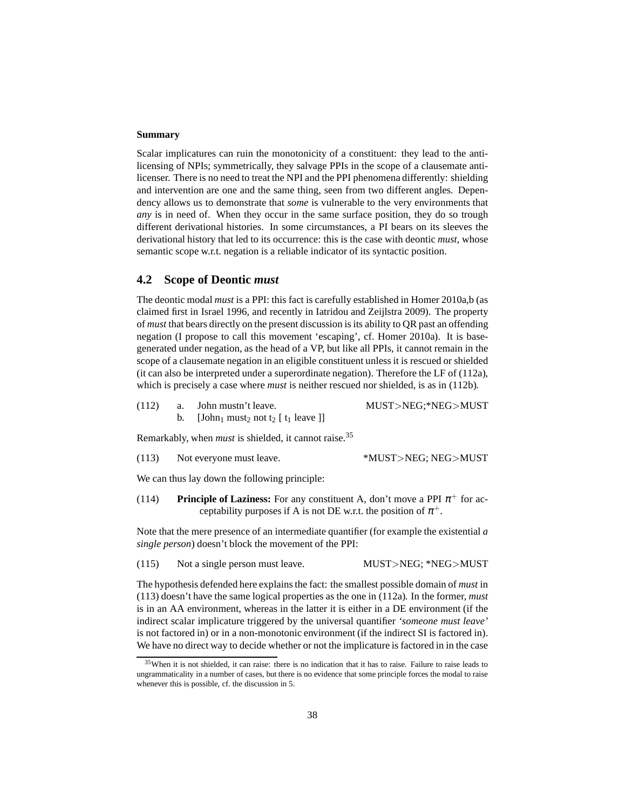#### **Summary**

Scalar implicatures can ruin the monotonicity of a constituent: they lead to the antilicensing of NPIs; symmetrically, they salvage PPIs in the scope of a clausemate antilicenser. There is no need to treat the NPI and the PPI phenomena differently: shielding and intervention are one and the same thing, seen from two different angles. Dependency allows us to demonstrate that *some* is vulnerable to the very environments that *any* is in need of. When they occur in the same surface position, they do so trough different derivational histories. In some circumstances, a PI bears on its sleeves the derivational history that led to its occurrence: this is the case with deontic *must,* whose semantic scope w.r.t. negation is a reliable indicator of its syntactic position.

### <span id="page-37-0"></span>**4.2 Scope of Deontic** *must*

The deontic modal *must* is a PPI: this fact is carefully established in [Homer 2010a](#page-62-13)[,b](#page-62-14) (as claimed first in [Israel 1996,](#page-62-15) and recently in [Iatridou and Zeijlstra 2009\)](#page-62-16). The property of *must* that bears directly on the present discussion is its ability to QR past an offending negation (I propose to call this movement 'escaping', cf. [Homer 2010a](#page-62-13)). It is basegenerated under negation, as the head of a VP, but like all PPIs, it cannot remain in the scope of a clausemate negation in an eligible constituent unless it is rescued or shielded (it can also be interpreted under a superordinate negation). Therefore the LF of [\(112a\),](#page-37-1) which is precisely a case where *must* is neither rescued nor shielded, is as in [\(112b\).](#page-37-2)

<span id="page-37-2"></span><span id="page-37-1"></span>(112) a. John mustn't leave. MUST>NEG;\*NEG>MUST b. [John<sub>1</sub> must<sub>2</sub> not t<sub>2</sub> [ t<sub>1</sub> leave ]]

<span id="page-37-4"></span>Remarkably, when *must* is shielded, it cannot raise.[35](#page-37-3)

| (113) | Not everyone must leave. | *MUST>NEG; NEG>MUST |
|-------|--------------------------|---------------------|
|       |                          |                     |

<span id="page-37-5"></span>We can thus lay down the following principle:

(114) **Principle of Laziness:** For any constituent A, don't move a PPI  $\pi^+$  for acceptability purposes if A is not DE w.r.t. the position of  $\pi^+$ .

Note that the mere presence of an intermediate quantifier (for example the existential *a single person*) doesn't block the movement of the PPI:

(115) Not a single person must leave. MUST>NEG; \*NEG>MUST

The hypothesis defended here explains the fact: the smallest possible domain of *must* in [\(113\)](#page-37-4) doesn't have the same logical properties as the one in [\(112a\).](#page-37-1) In the former, *must* is in an AA environment, whereas in the latter it is either in a DE environment (if the indirect scalar implicature triggered by the universal quantifier *'someone must leave'* is not factored in) or in a non-monotonic environment (if the indirect SI is factored in). We have no direct way to decide whether or not the implicature is factored in in the case

<span id="page-37-3"></span><sup>&</sup>lt;sup>35</sup>When it is not shielded, it can raise: there is no indication that it has to raise. Failure to raise leads to ungrammaticality in a number of cases, but there is no evidence that some principle forces the modal to raise whenever this is possible, cf. the discussion in [5.](#page-40-0)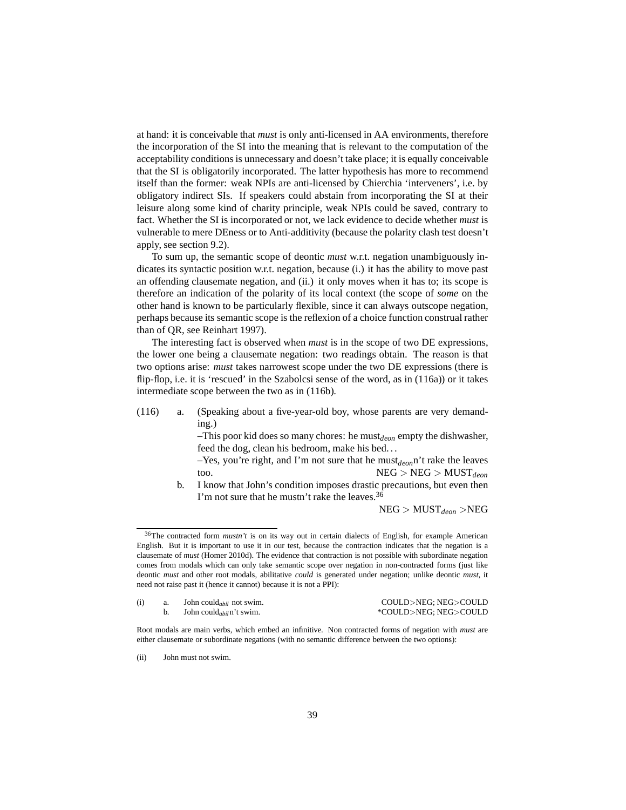at hand: it is conceivable that *must* is only anti-licensed in AA environments, therefore the incorporation of the SI into the meaning that is relevant to the computation of the acceptability conditions is unnecessary and doesn't take place; it is equally conceivable that the SI is obligatorily incorporated. The latter hypothesis has more to recommend itself than the former: weak NPIs are anti-licensed by Chierchia 'interveners', i.e. by obligatory indirect SIs. If speakers could abstain from incorporating the SI at their leisure along some kind of charity principle, weak NPIs could be saved, contrary to fact. Whether the SI is incorporated or not, we lack evidence to decide whether *must* is vulnerable to mere DEness or to Anti-additivity (because the polarity clash test doesn't apply, see section [9.2\)](#page-59-0).

To sum up, the semantic scope of deontic *must* w.r.t. negation unambiguously indicates its syntactic position w.r.t. negation, because (i.) it has the ability to move past an offending clausemate negation, and (ii.) it only moves when it has to; its scope is therefore an indication of the polarity of its local context (the scope of *some* on the other hand is known to be particularly flexible, since it can always outscope negation, perhaps because its semantic scope is the reflexion of a choice function construal rather than of QR, see [Reinhart 1997](#page-64-9)).

The interesting fact is observed when *must* is in the scope of two DE expressions, the lower one being a clausemate negation: two readings obtain. The reason is that two options arise: *must* takes narrowest scope under the two DE expressions (there is flip-flop, i.e. it is 'rescued' in the Szabolcsi sense of the word, as in [\(116a\)\)](#page-38-0) or it takes intermediate scope between the two as in [\(116b\).](#page-38-1)

<span id="page-38-3"></span><span id="page-38-0"></span>(116) a. (Speaking about a five-year-old boy, whose parents are very demanding.)

> $-$ This poor kid does so many chores: he must<sub>deon</sub> empty the dishwasher, feed the dog, clean his bedroom, make his bed. . .

> –Yes, you're right, and I'm not sure that he must*deon*n't rake the leaves too.  $NEG > NEG > MUST_{deon}$

b. I know that John's condition imposes drastic precautions, but even then I'm not sure that he mustn't rake the leaves.  $36$ 

NEG > MUST*deon* >NEG

<span id="page-38-2"></span><span id="page-38-1"></span><sup>36</sup>The contracted form *mustn't* is on its way out in certain dialects of English, for example American English. But it is important to use it in our test, because the contraction indicates that the negation is a clausemate of *must* [\(Homer 2010d\)](#page-62-17). The evidence that contraction is not possible with subordinate negation comes from modals which can only take semantic scope over negation in non-contracted forms (just like deontic *must* and other root modals, abilitative *could* is generated under negation; unlike deontic *must,* it need not raise past it (hence it cannot) because it is not a PPI):

|  | John could <sub>abil</sub> not swim. | COULD>NEG: NEG>COULD  |
|--|--------------------------------------|-----------------------|
|  | John could <sub>abil</sub> n't swim. | *COULD>NEG; NEG>COULD |

Root modals are main verbs, which embed an infinitive. Non contracted forms of negation with *must* are either clausemate or subordinate negations (with no semantic difference between the two options):

<sup>(</sup>ii) Iohn must not swim.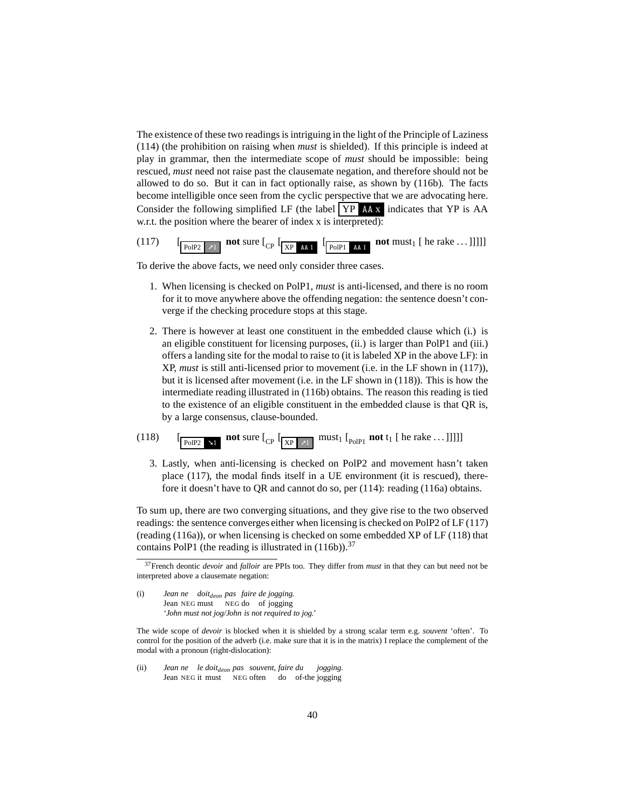The existence of these two readings is intriguing in the light of the Principle of Laziness [\(114\)](#page-37-5) (the prohibition on raising when *must* is shielded). If this principle is indeed at play in grammar, then the intermediate scope of *must* should be impossible: being rescued, *must* need not raise past the clausemate negation, and therefore should not be allowed to do so. But it can in fact optionally raise, as shown by [\(116b\).](#page-38-1) The facts become intelligible once seen from the cyclic perspective that we are advocating here. Consider the following simplified LF (the label  $\overline{YP}$  AA<sub>x</sub> indicates that YP is AA w.r.t. the position where the bearer of index x is interpreted):

<span id="page-39-0"></span>

To derive the above facts, we need only consider three cases.

- 1. When licensing is checked on PolP1, *must* is anti-licensed, and there is no room for it to move anywhere above the offending negation: the sentence doesn't converge if the checking procedure stops at this stage.
- 2. There is however at least one constituent in the embedded clause which (i.) is an eligible constituent for licensing purposes, (ii.) is larger than PolP1 and (iii.) offers a landing site for the modal to raise to (it is labeled XP in the above LF): in XP, *must* is still anti-licensed prior to movement (i.e. in the LF shown in [\(117\)\)](#page-39-0), but it is licensed after movement (i.e. in the LF shown in [\(118\)\)](#page-39-1). This is how the intermediate reading illustrated in [\(116b\)](#page-38-1) obtains. The reason this reading is tied to the existence of an eligible constituent in the embedded clause is that QR is, by a large consensus, clause-bounded.

# <span id="page-39-1"></span>(118)  $\left[\begin{array}{cc} \frac{}{\text{poly2} \times 1} & \text{not sure } [C_{\text{CP}} \sqrt{\frac{}{\text{NP} \times 1}} & \text{must}_1 [C_{\text{POIP1}} \text{not } t_1 [he \text{ take } \dots]] \end{array}\right]$

3. Lastly, when anti-licensing is checked on PolP2 and movement hasn't taken place [\(117\),](#page-39-0) the modal finds itself in a UE environment (it is rescued), therefore it doesn't have to QR and cannot do so, per [\(114\):](#page-37-5) reading [\(116a\)](#page-38-0) obtains.

To sum up, there are two converging situations, and they give rise to the two observed readings: the sentence converges either when licensing is checked on PolP2 of LF [\(117\)](#page-39-0) (reading [\(116a\)\)](#page-38-0), or when licensing is checked on some embedded XP of LF [\(118\)](#page-39-1) that contains PolP1 (the reading is illustrated in  $(116b)$ ).<sup>[37](#page-39-2)</sup>

The wide scope of *devoir* is blocked when it is shielded by a strong scalar term e.g. *souvent* 'often'. To control for the position of the adverb (i.e. make sure that it is in the matrix) I replace the complement of the modal with a pronoun (right-dislocation):

(ii) *Jean ne le doitdeon pas souvent, faire du jogging.* Jean NEG it must NEG often do of-the jogging

<span id="page-39-2"></span><sup>37</sup>French deontic *devoir* and *falloir* are PPIs too. They differ from *must* in that they can but need not be interpreted above a clausemate negation:

<sup>(</sup>i) *Jean ne doitdeon pas faire de jogging.* Jean NEG must NEG do of jogging *'John must not jog/John is not required to jog.'*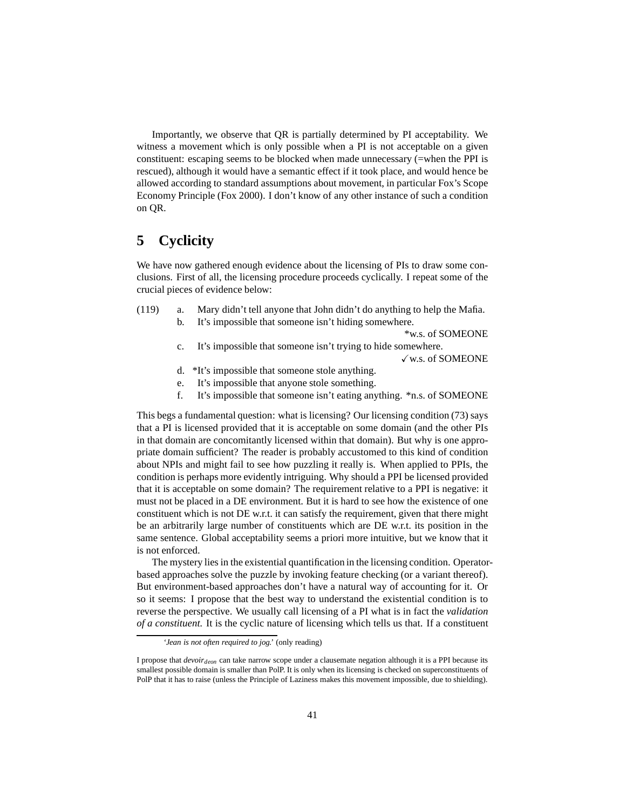Importantly, we observe that QR is partially determined by PI acceptability. We witness a movement which is only possible when a PI is not acceptable on a given constituent: escaping seems to be blocked when made unnecessary (=when the PPI is rescued), although it would have a semantic effect if it took place, and would hence be allowed according to standard assumptions about movement, in particular Fox's Scope Economy Principle [\(Fox 2000\)](#page-61-8). I don't know of any other instance of such a condition on QR.

# <span id="page-40-0"></span>**5 Cyclicity**

We have now gathered enough evidence about the licensing of PIs to draw some conclusions. First of all, the licensing procedure proceeds cyclically. I repeat some of the crucial pieces of evidence below:

<span id="page-40-1"></span>(119) a. Mary didn't tell anyone that John didn't do anything to help the Mafia. b. It's impossible that someone isn't hiding somewhere.

\*w.s. of SOMEONE

c. It's impossible that someone isn't trying to hide somewhere.

Xw.s. of SOMEONE

- d. \*It's impossible that someone stole anything.
- e. It's impossible that anyone stole something.
- f. It's impossible that someone isn't eating anything. \*n.s. of SOMEONE

This begs a fundamental question: what is licensing? Our licensing condition [\(73\)](#page-26-4) says that a PI is licensed provided that it is acceptable on some domain (and the other PIs in that domain are concomitantly licensed within that domain). But why is one appropriate domain sufficient? The reader is probably accustomed to this kind of condition about NPIs and might fail to see how puzzling it really is. When applied to PPIs, the condition is perhaps more evidently intriguing. Why should a PPI be licensed provided that it is acceptable on some domain? The requirement relative to a PPI is negative: it must not be placed in a DE environment. But it is hard to see how the existence of one constituent which is not DE w.r.t. it can satisfy the requirement, given that there might be an arbitrarily large number of constituents which are DE w.r.t. its position in the same sentence. Global acceptability seems a priori more intuitive, but we know that it is not enforced.

The mystery lies in the existential quantification in the licensing condition. Operatorbased approaches solve the puzzle by invoking feature checking (or a variant thereof). But environment-based approaches don't have a natural way of accounting for it. Or so it seems: I propose that the best way to understand the existential condition is to reverse the perspective. We usually call licensing of a PI what is in fact the *validation of a constituent.* It is the cyclic nature of licensing which tells us that. If a constituent

*<sup>&#</sup>x27;Jean is not often required to jog.'* (only reading)

I propose that *devoirdeon* can take narrow scope under a clausemate negation although it is a PPI because its smallest possible domain is smaller than PolP. It is only when its licensing is checked on superconstituents of PolP that it has to raise (unless the Principle of Laziness makes this movement impossible, due to shielding).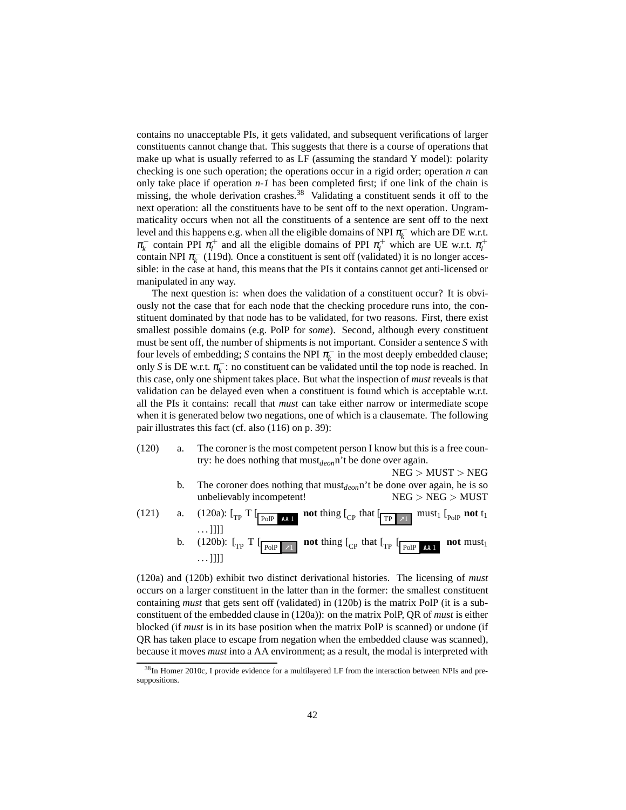contains no unacceptable PIs, it gets validated, and subsequent verifications of larger constituents cannot change that. This suggests that there is a course of operations that make up what is usually referred to as LF (assuming the standard Y model): polarity checking is one such operation; the operations occur in a rigid order; operation *n* can only take place if operation *n-1* has been completed first; if one link of the chain is missing, the whole derivation crashes.<sup>[38](#page-41-0)</sup> Validating a constituent sends it off to the next operation: all the constituents have to be sent off to the next operation. Ungrammaticality occurs when not all the constituents of a sentence are sent off to the next level and this happens e.g. when all the eligible domains of NPI  $\pi_k^-$  which are DE w.r.t.  $\pi_k^-$  contain PPI  $\pi_l^+$  and all the eligible domains of PPI  $\pi_l^+$  which are UE w.r.t.  $\pi_l^+$ contain NPI  $\pi_k^-$  [\(119d\).](#page-40-1) Once a constituent is sent off (validated) it is no longer accessible: in the case at hand, this means that the PIs it contains cannot get anti-licensed or manipulated in any way.

The next question is: when does the validation of a constituent occur? It is obviously not the case that for each node that the checking procedure runs into, the constituent dominated by that node has to be validated, for two reasons. First, there exist smallest possible domains (e.g. PolP for *some*). Second, although every constituent must be sent off, the number of shipments is not important. Consider a sentence *S* with four levels of embedding; *S* contains the NPI  $\pi_k^-$  in the most deeply embedded clause; only *S* is DE w.r.t.  $\pi_k^-$ : no constituent can be validated until the top node is reached. In this case, only one shipment takes place. But what the inspection of *must* reveals is that validation can be delayed even when a constituent is found which is acceptable w.r.t. all the PIs it contains: recall that *must* can take either narrow or intermediate scope when it is generated below two negations, one of which is a clausemate. The following pair illustrates this fact (cf. also [\(116\)](#page-38-3) on p. [39\)](#page-38-3):

- <span id="page-41-2"></span><span id="page-41-1"></span>(120) a. The coroner is the most competent person I know but this is a free country: he does nothing that must*deon*n't be done over again.
	- NEG > MUST > NEG b. The coroner does nothing that must*deon*n't be done over again, he is so unbelievably incompetent! NEG > NEG > MUST
- (121) a.  $(120a)$ :  $\left[\begin{array}{cc} T \end{array}\right]$  **not** thing  $\left[\begin{array}{cc} C \end{array}\right]$  that  $\left[\begin{array}{cc} T \end{array}\right]$  must<sub>1</sub>  $\left[\begin{array}{cc} D \end{array}\right]$  **not** t<sub>1</sub>  $\dots$ ]]]] b. [\(120b\):](#page-41-2)  $\left[\begin{array}{cc} \Gamma \end{array} \right]$  **pole**  $\left[\begin{array}{cc} \n\end{array} \right]$  **not** thing  $\left[\begin{array}{cc} C_{\text{CP}} \end{array} \right]$  that  $\left[\begin{array}{cc} \n\end{array} \right]$   $\left[\begin{array}{cc} \n\end{array} \right]$ **not** must<sub>1</sub>  $\ldots$ ]]]]

[\(120a\)](#page-41-1) and [\(120b\)](#page-41-2) exhibit two distinct derivational histories. The licensing of *must* occurs on a larger constituent in the latter than in the former: the smallest constituent containing *must* that gets sent off (validated) in [\(120b\)](#page-41-2) is the matrix PolP (it is a subconstituent of the embedded clause in [\(120a\)\)](#page-41-1): on the matrix PolP, QR of *must* is either blocked (if *must* is in its base position when the matrix PolP is scanned) or undone (if QR has taken place to escape from negation when the embedded clause was scanned), because it moves *must* into a AA environment; as a result, the modal is interpreted with

<span id="page-41-0"></span><sup>&</sup>lt;sup>38</sup>In [Homer 2010c,](#page-62-4) I provide evidence for a multilayered LF from the interaction between NPIs and presuppositions.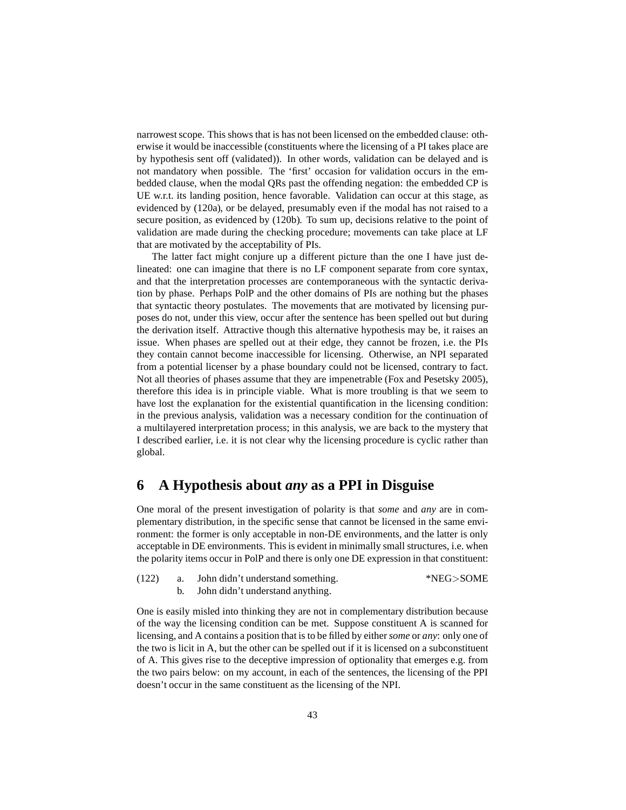narrowest scope. This shows that is has not been licensed on the embedded clause: otherwise it would be inaccessible (constituents where the licensing of a PI takes place are by hypothesis sent off (validated)). In other words, validation can be delayed and is not mandatory when possible. The 'first' occasion for validation occurs in the embedded clause, when the modal QRs past the offending negation: the embedded CP is UE w.r.t. its landing position, hence favorable. Validation can occur at this stage, as evidenced by [\(120a\),](#page-41-1) or be delayed, presumably even if the modal has not raised to a secure position, as evidenced by [\(120b\).](#page-41-2) To sum up, decisions relative to the point of validation are made during the checking procedure; movements can take place at LF that are motivated by the acceptability of PIs.

The latter fact might conjure up a different picture than the one I have just delineated: one can imagine that there is no LF component separate from core syntax, and that the interpretation processes are contemporaneous with the syntactic derivation by phase. Perhaps PolP and the other domains of PIs are nothing but the phases that syntactic theory postulates. The movements that are motivated by licensing purposes do not, under this view, occur after the sentence has been spelled out but during the derivation itself. Attractive though this alternative hypothesis may be, it raises an issue. When phases are spelled out at their edge, they cannot be frozen, i.e. the PIs they contain cannot become inaccessible for licensing. Otherwise, an NPI separated from a potential licenser by a phase boundary could not be licensed, contrary to fact. Not all theories of phases assume that they are impenetrable [\(Fox and Pesetsky 2005\)](#page-61-9), therefore this idea is in principle viable. What is more troubling is that we seem to have lost the explanation for the existential quantification in the licensing condition: in the previous analysis, validation was a necessary condition for the continuation of a multilayered interpretation process; in this analysis, we are back to the mystery that I described earlier, i.e. it is not clear why the licensing procedure is cyclic rather than global.

# <span id="page-42-0"></span>**6 A Hypothesis about** *any* **as a PPI in Disguise**

One moral of the present investigation of polarity is that *some* and *any* are in complementary distribution, in the specific sense that cannot be licensed in the same environment: the former is only acceptable in non-DE environments, and the latter is only acceptable in DE environments. This is evident in minimally small structures, i.e. when the polarity items occur in PolP and there is only one DE expression in that constituent:

| (122) | а. | John didn't understand something. | *NEG>SOME |
|-------|----|-----------------------------------|-----------|
|       |    | John didn't understand anything.  |           |

One is easily misled into thinking they are not in complementary distribution because of the way the licensing condition can be met. Suppose constituent A is scanned for licensing, and A contains a position that is to be filled by either*some* or *any*: only one of the two is licit in A, but the other can be spelled out if it is licensed on a subconstituent of A. This gives rise to the deceptive impression of optionality that emerges e.g. from the two pairs below: on my account, in each of the sentences, the licensing of the PPI doesn't occur in the same constituent as the licensing of the NPI.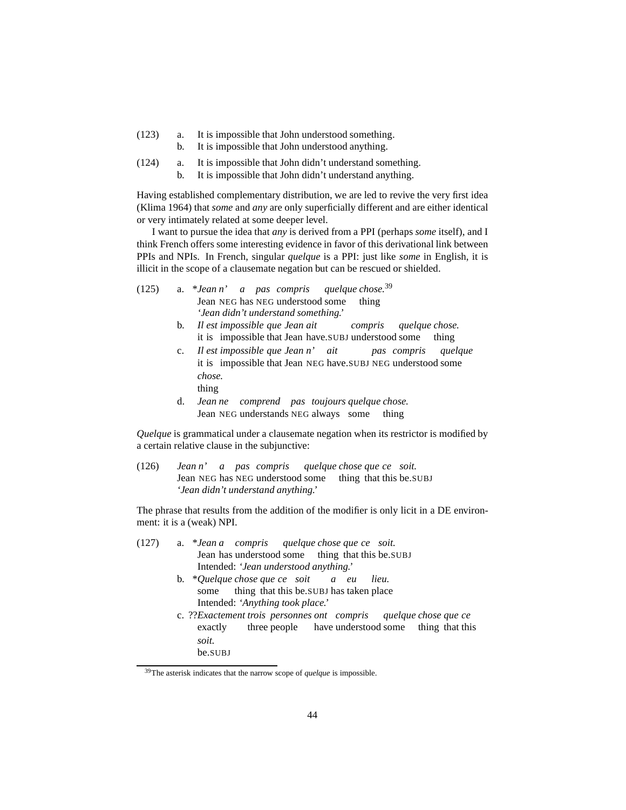- (123) a. It is impossible that John understood something.
	- b. It is impossible that John understood anything.
- (124) a. It is impossible that John didn't understand something.
	- b. It is impossible that John didn't understand anything.

Having established complementary distribution, we are led to revive the very first idea [\(Klima 1964\)](#page-63-0) that *some* and *any* are only superficially different and are either identical or very intimately related at some deeper level.

I want to pursue the idea that *any* is derived from a PPI (perhaps *some* itself), and I think French offers some interesting evidence in favor of this derivational link between PPIs and NPIs. In French, singular *quelque* is a PPI: just like *some* in English, it is illicit in the scope of a clausemate negation but can be rescued or shielded.

| (125) |  |  |                                        | a. *Jean n' a pas compris quelque chose. <sup>39</sup> |
|-------|--|--|----------------------------------------|--------------------------------------------------------|
|       |  |  | Jean NEG has NEG understood some thing |                                                        |
|       |  |  | 'Jean didn't understand something.'    |                                                        |

- b. *Il est impossible que Jean ait* it is impossible that Jean have.SUBJ understood some *compris quelque chose.* thing
- c. *Il* it is impossible that Jean NEG have.SUBJ NEG understood some *est impossible que Jean n' ait pas compris quelque chose.* thing
- d. *Jean ne comprend pas toujours quelque chose.* Jean NEG understands NEG always some thing

*Quelque* is grammatical under a clausemate negation when its restrictor is modified by a certain relative clause in the subjunctive:

 $(126)$ Jean NEG has NEG understood some *n' a pas compris quelque chose que ce soit.* thing that this be.SUBJ *'Jean didn't understand anything.'*

The phrase that results from the addition of the modifier is only licit in a DE environment: it is a (weak) NPI.

(127) a. \**Jean a compris* Jean has understood some thing that this be.SUBJ *quelque chose que ce soit.* Intended: *'Jean understood anything.'* b. \**Quelque chose que ce soit* some thing that this be.SUBJ has taken place *a eu lieu.* Intended: *'Anything took place.'* c. ??*Exactement trois personnes ont compris* exactly three people have understood some thing that this *quelque chose que ce soit.* be.SUBJ

<span id="page-43-0"></span><sup>39</sup>The asterisk indicates that the narrow scope of *quelque* is impossible.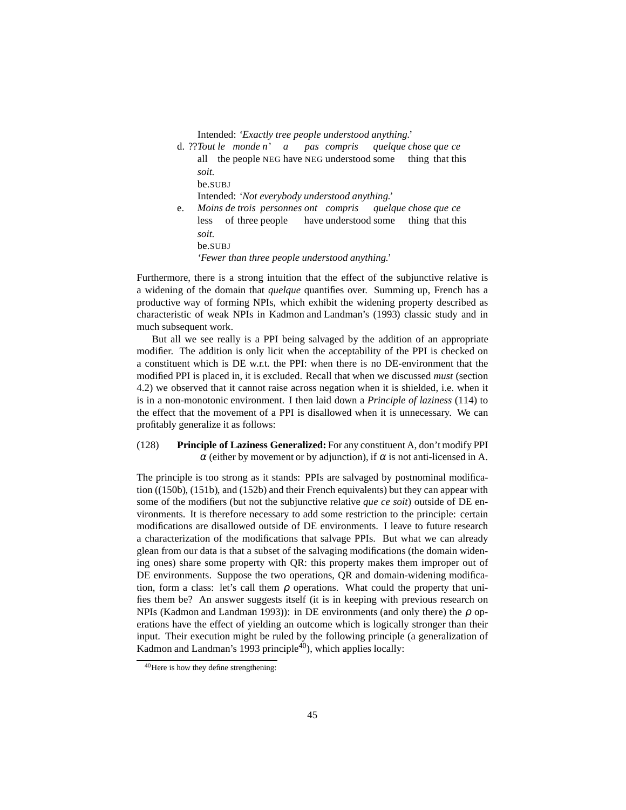Intended: *'Exactly tree people understood anything.'*

d. ??*Tout le monde n' a* all the people NEG have NEG understood some *pas compris quelque chose que ce* thing that this *soit.* be.SUBJ Intended: *'Not everybody understood anything.'* e. *Moins de trois personnes ont compris* less of three people have understood some *quelque chose que ce* thing that this *soit.*

be.SUBJ

*'Fewer than three people understood anything.'*

Furthermore, there is a strong intuition that the effect of the subjunctive relative is a widening of the domain that *quelque* quantifies over. Summing up, French has a productive way of forming NPIs, which exhibit the widening property described as characteristic of weak NPIs in [Kadmon and Landman'](#page-63-12)s [\(1993\)](#page-63-12) classic study and in much subsequent work.

But all we see really is a PPI being salvaged by the addition of an appropriate modifier. The addition is only licit when the acceptability of the PPI is checked on a constituent which is DE w.r.t. the PPI: when there is no DE-environment that the modified PPI is placed in, it is excluded. Recall that when we discussed *must* (section [4.2\)](#page-37-0) we observed that it cannot raise across negation when it is shielded, i.e. when it is in a non-monotonic environment. I then laid down a *Principle of laziness* [\(114\)](#page-37-5) to the effect that the movement of a PPI is disallowed when it is unnecessary. We can profitably generalize it as follows:

### (128) **Principle of Laziness Generalized:** For any constituent A, don't modify PPI <sup>α</sup> (either by movement or by adjunction), if <sup>α</sup> is not anti-licensed in A.

The principle is too strong as it stands: PPIs are salvaged by postnominal modification [\(\(150b\),](#page-51-0) [\(151b\),](#page-51-1) and [\(152b\)](#page-51-2) and their French equivalents) but they can appear with some of the modifiers (but not the subjunctive relative *que ce soit*) outside of DE environments. It is therefore necessary to add some restriction to the principle: certain modifications are disallowed outside of DE environments. I leave to future research a characterization of the modifications that salvage PPIs. But what we can already glean from our data is that a subset of the salvaging modifications (the domain widening ones) share some property with QR: this property makes them improper out of DE environments. Suppose the two operations, QR and domain-widening modification, form a class: let's call them  $\rho$  operations. What could the property that unifies them be? An answer suggests itself (it is in keeping with previous research on NPIs [\(Kadmon and Landman 1993\)](#page-63-12)): in DE environments (and only there) the  $\rho$  operations have the effect of yielding an outcome which is logically stronger than their input. Their execution might be ruled by the following principle (a generalization of [Kadmon and Landman](#page-63-12)'s [1993](#page-63-12) principle $40$ , which applies locally:

<span id="page-44-0"></span><sup>40</sup>Here is how they define strengthening: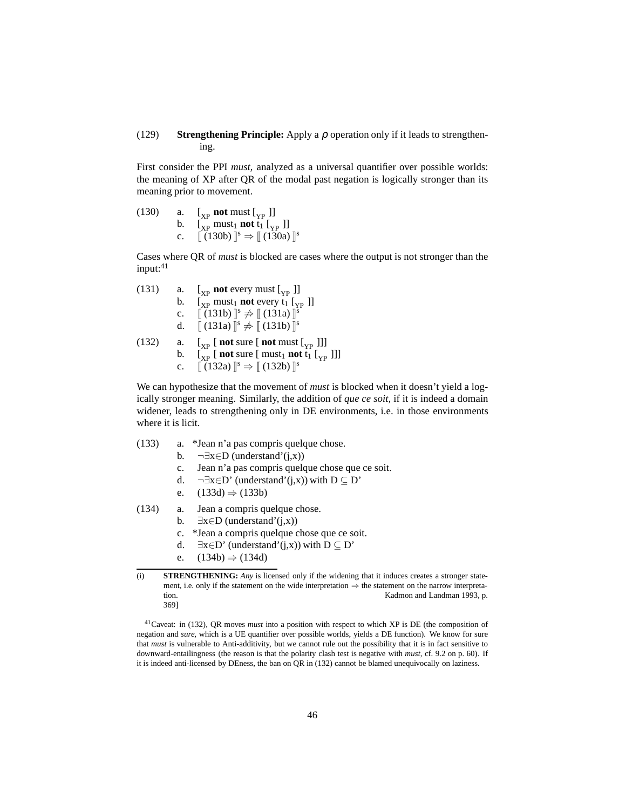### (129) **Strengthening Principle:** Apply a ρ operation only if it leads to strengthening.

First consider the PPI *must,* analyzed as a universal quantifier over possible worlds: the meaning of XP after QR of the modal past negation is logically stronger than its meaning prior to movement.

<span id="page-45-1"></span><span id="page-45-0"></span>

| (130) | a. | $\left[\begin{smallmatrix} 0 \\ \text{YD} \end{smallmatrix} \right]$ not must $\left[\begin{smallmatrix} 0 \\ \text{YD} \end{smallmatrix} \right]$                             |
|-------|----|--------------------------------------------------------------------------------------------------------------------------------------------------------------------------------|
|       | b. | $\left[\begin{smallmatrix} 0 \\ \text{YP} \end{smallmatrix} \right]$ must <sub>1</sub> not t <sub>1</sub> $\left[\begin{smallmatrix} 0 \\ \text{YP} \end{smallmatrix} \right]$ |
|       | c. | $\llbracket (130b) \rrbracket^s \Rightarrow \llbracket (130a) \rrbracket^s$                                                                                                    |

Cases where QR of *must* is blocked are cases where the output is not stronger than the  $input:$ <sup>[41](#page-45-2)</sup>

<span id="page-45-11"></span><span id="page-45-5"></span><span id="page-45-4"></span><span id="page-45-3"></span>

| (131) | a.          | $\begin{bmatrix} \mathbf{x}_\mathrm{p} \end{bmatrix}$ not every must $\begin{bmatrix} \mathbf{x}_\mathrm{p} \end{bmatrix}$                                                                   |
|-------|-------------|----------------------------------------------------------------------------------------------------------------------------------------------------------------------------------------------|
|       | b.          | $\left[\begin{smallmatrix} 0 \\ xp \end{smallmatrix}\right]$ must <sub>1</sub> not every t <sub>1</sub> $\left[\begin{smallmatrix} 0 \\ xp \end{smallmatrix}\right]$                         |
|       | $c_{\cdot}$ | $\left[ (131b)\right]^{s} \neq \left[ (131a)\right]^{s}$                                                                                                                                     |
|       | d.          | $\llbracket (131a) \rrbracket^s \neq \llbracket (131b) \rrbracket^s$                                                                                                                         |
| (132) | a.          | $\begin{bmatrix} \begin{bmatrix} x_p \\ x_p \end{bmatrix}$ [ not sure [ not must $\begin{bmatrix} \begin{bmatrix} y_p \\ y_p \end{bmatrix} \end{bmatrix}$ ]                                  |
|       | b.          | $\left[\begin{smallmatrix} 0 \\ \text{YP} \end{smallmatrix}\right]$ [ not sure [ must <sub>1</sub> not t <sub>1</sub> $\left[\begin{smallmatrix} 0 \\ \text{YP} \end{smallmatrix}\right]$ ]] |
|       | $c_{\cdot}$ | $\llbracket (132a) \rrbracket^s \Rightarrow \llbracket (132b) \rrbracket^s$                                                                                                                  |

<span id="page-45-6"></span>We can hypothesize that the movement of *must* is blocked when it doesn't yield a logically stronger meaning. Similarly, the addition of *que ce soit,* if it is indeed a domain widener, leads to strengthening only in DE environments, i.e. in those environments where it is licit.

<span id="page-45-8"></span><span id="page-45-7"></span>

| (133) | *Jean n'a pas compris quelque chose. |  |  |
|-------|--------------------------------------|--|--|
|       |                                      |  |  |

- b.  $\neg \exists x \in D$  (understand'(j,x))
- c. Jean n'a pas compris quelque chose que ce soit.
- d.  $\neg \exists x \in D'$  (understand'(j,x)) with  $D \subseteq D'$
- e.  $(133d) \Rightarrow (133b)$  $(133d) \Rightarrow (133b)$
- <span id="page-45-10"></span><span id="page-45-9"></span>(134) a. Jean a compris quelque chose.
	- b.  $\exists x \in D$  (understand'(j,x))
	- c. \*Jean a compris quelque chose que ce soit.
	- d.  $\exists x \in D'$  (understand'(j,x)) with  $D \subseteq D'$
	- e.  $(134b) \Rightarrow (134d)$  $(134b) \Rightarrow (134d)$

<sup>(</sup>i) **STRENGTHENING:** *Any* is licensed only if the widening that it induces creates a stronger statement, i.e. only if the statement on the wide interpretation ⇒ the statement on the narrow interpretation. [Kadmon and Landman 1993](#page-63-12), p. 369]

<span id="page-45-2"></span><sup>41</sup>Caveat: in [\(132\),](#page-45-11) QR moves *must* into a position with respect to which XP is DE (the composition of negation and *sure,* which is a UE quantifier over possible worlds, yields a DE function). We know for sure that *must* is vulnerable to Anti-additivity, but we cannot rule out the possibility that it is in fact sensitive to downward-entailingness (the reason is that the polarity clash test is negative with *must,* cf. [9.2](#page-59-0) on p. [60\)](#page-59-0). If it is indeed anti-licensed by DEness, the ban on QR in [\(132\)](#page-45-11) cannot be blamed unequivocally on laziness.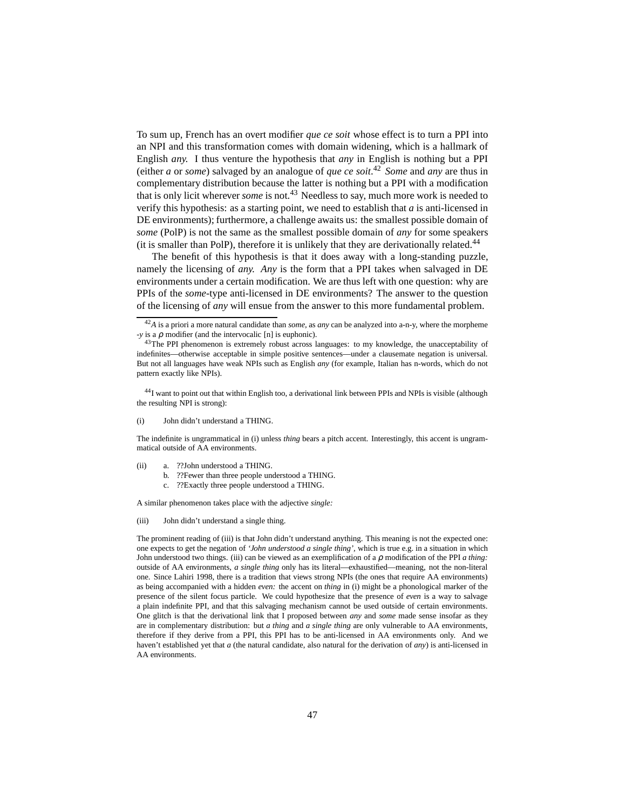To sum up, French has an overt modifier *que ce soit* whose effect is to turn a PPI into an NPI and this transformation comes with domain widening, which is a hallmark of English *any.* I thus venture the hypothesis that *any* in English is nothing but a PPI (either *a* or *some*) salvaged by an analogue of *que ce soit*. [42](#page-46-0) *Some* and *any* are thus in complementary distribution because the latter is nothing but a PPI with a modification that is only licit wherever *some* is not.[43](#page-46-1) Needless to say, much more work is needed to verify this hypothesis: as a starting point, we need to establish that *a* is anti-licensed in DE environments); furthermore, a challenge awaits us: the smallest possible domain of *some* (PolP) is not the same as the smallest possible domain of *any* for some speakers (it is smaller than PolP), therefore it is unlikely that they are derivationally related.<sup>[44](#page-46-2)</sup>

The benefit of this hypothesis is that it does away with a long-standing puzzle, namely the licensing of *any. Any* is the form that a PPI takes when salvaged in DE environments under a certain modification. We are thus left with one question: why are PPIs of the *some-*type anti-licensed in DE environments? The answer to the question of the licensing of *any* will ensue from the answer to this more fundamental problem.

The indefinite is ungrammatical in [\(i\)](#page-60-1) unless *thing* bears a pitch accent. Interestingly, this accent is ungrammatical outside of AA environments.

- (ii) a. ??John understood a THING.
	- b. ??Fewer than three people understood a THING.
	- c. ??Exactly three people understood a THING.

A similar phenomenon takes place with the adjective *single:*

(iii) John didn't understand a single thing.

The prominent reading of [\(iii\)](#page-52-1) is that John didn't understand anything. This meaning is not the expected one: one expects to get the negation of *'John understood a single thing',* which is true e.g. in a situation in which John understood two things. [\(iii\)](#page-52-1) can be viewed as an exemplification of a ρ modification of the PPI *a thing:* outside of AA environments, *a single thing* only has its literal—exhaustified—meaning, not the non-literal one. Since [Lahiri 1998,](#page-63-13) there is a tradition that views strong NPIs (the ones that require AA environments) as being accompanied with a hidden *even:* the accent on *thing* in [\(i\)](#page-60-1) might be a phonological marker of the presence of the silent focus particle. We could hypothesize that the presence of *even* is a way to salvage a plain indefinite PPI, and that this salvaging mechanism cannot be used outside of certain environments. One glitch is that the derivational link that I proposed between *any* and *some* made sense insofar as they are in complementary distribution: but *a thing* and *a single thing* are only vulnerable to AA environments, therefore if they derive from a PPI, this PPI has to be anti-licensed in AA environments only. And we haven't established yet that *a* (the natural candidate, also natural for the derivation of *any*) is anti-licensed in AA environments.

<sup>42</sup>*A* is a priori a more natural candidate than *some,* as *any* can be analyzed into a-n-y, where the morpheme *-y* is a ρ modifier (and the intervocalic [n] is euphonic).

<span id="page-46-1"></span><span id="page-46-0"></span><sup>&</sup>lt;sup>43</sup>The PPI phenomenon is extremely robust across languages: to my knowledge, the unacceptability of indefinites—otherwise acceptable in simple positive sentences—under a clausemate negation is universal. But not all languages have weak NPIs such as English *any* (for example, Italian has n-words, which do not pattern exactly like NPIs).

<span id="page-46-2"></span><sup>44</sup>I want to point out that within English too, a derivational link between PPIs and NPIs is visible (although the resulting NPI is strong):

John didn't understand a THING.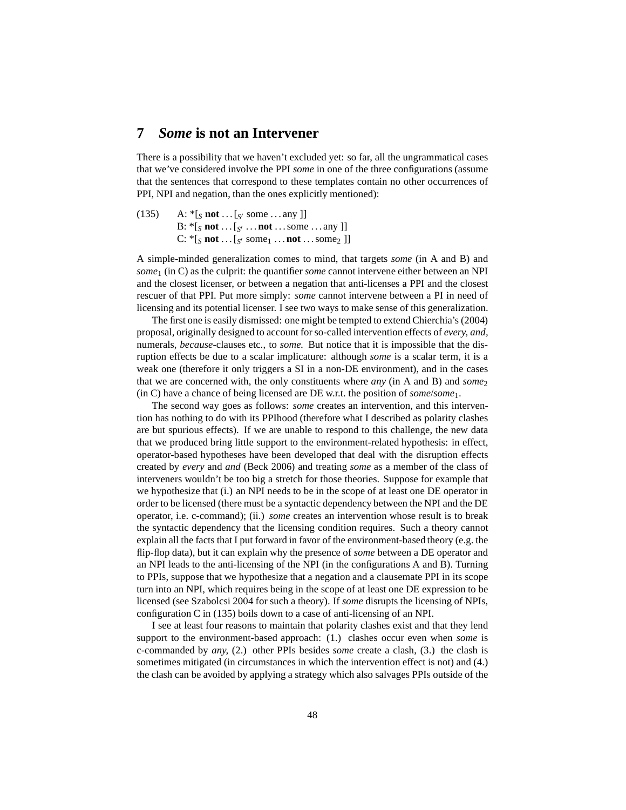# <span id="page-47-0"></span>**7** *Some* **is not an Intervener**

There is a possibility that we haven't excluded yet: so far, all the ungrammatical cases that we've considered involve the PPI *some* in one of the three configurations (assume that the sentences that correspond to these templates contain no other occurrences of PPI, NPI and negation, than the ones explicitly mentioned):

<span id="page-47-1"></span>(135) A:  $*$ [*S* **not** . . . [*S*<sup>*l*</sup> some . . . any ]] B: \*[*<sup>S</sup>* **not** . . . [*<sup>S</sup>* ′ . . . **not** . . . some . . . any ]]  $C:$   $*$  [*S* **not** . . . [*S'* some<sub>1</sub> . . . **not** . . . some<sub>2</sub> ]]

A simple-minded generalization comes to mind, that targets *some* (in A and B) and *some*<sup>1</sup> (in C) as the culprit: the quantifier *some* cannot intervene either between an NPI and the closest licenser, or between a negation that anti-licenses a PPI and the closest rescuer of that PPI. Put more simply: *some* cannot intervene between a PI in need of licensing and its potential licenser. I see two ways to make sense of this generalization.

The first one is easily dismissed: one might be tempted to extend [Chierchia](#page-61-4)'s [\(2004](#page-61-4)) proposal, originally designed to account for so-called intervention effects of *every, and,* numerals, *because-*clauses etc., to *some.* But notice that it is impossible that the disruption effects be due to a scalar implicature: although *some* is a scalar term, it is a weak one (therefore it only triggers a SI in a non-DE environment), and in the cases that we are concerned with, the only constituents where *any* (in A and B) and *some*<sub>2</sub> (in C) have a chance of being licensed are DE w.r.t. the position of *some*/*some*1.

The second way goes as follows: *some* creates an intervention, and this intervention has nothing to do with its PPIhood (therefore what I described as polarity clashes are but spurious effects). If we are unable to respond to this challenge, the new data that we produced bring little support to the environment-related hypothesis: in effect, operator-based hypotheses have been developed that deal with the disruption effects created by *every* and *and* [\(Beck 2006](#page-61-10)) and treating *some* as a member of the class of interveners wouldn't be too big a stretch for those theories. Suppose for example that we hypothesize that (i.) an NPI needs to be in the scope of at least one DE operator in order to be licensed (there must be a syntactic dependency between the NPI and the DE operator, i.e. c-command); (ii.) *some* creates an intervention whose result is to break the syntactic dependency that the licensing condition requires. Such a theory cannot explain all the facts that I put forward in favor of the environment-based theory (e.g. the flip-flop data), but it can explain why the presence of *some* between a DE operator and an NPI leads to the anti-licensing of the NPI (in the configurations A and B). Turning to PPIs, suppose that we hypothesize that a negation and a clausemate PPI in its scope turn into an NPI, which requires being in the scope of at least one DE expression to be licensed (see [Szabolcsi 2004](#page-64-0) for such a theory). If *some* disrupts the licensing of NPIs, configuration C in [\(135\)](#page-47-1) boils down to a case of anti-licensing of an NPI.

I see at least four reasons to maintain that polarity clashes exist and that they lend support to the environment-based approach: (1.) clashes occur even when *some* is c-commanded by *any,* (2.) other PPIs besides *some* create a clash, (3.) the clash is sometimes mitigated (in circumstances in which the intervention effect is not) and (4.) the clash can be avoided by applying a strategy which also salvages PPIs outside of the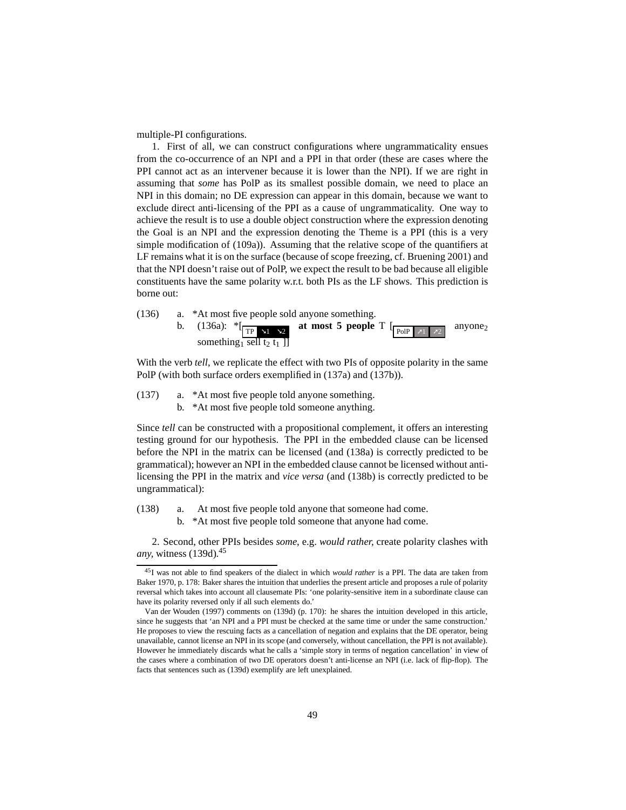multiple-PI configurations.

1. First of all, we can construct configurations where ungrammaticality ensues from the co-occurrence of an NPI and a PPI in that order (these are cases where the PPI cannot act as an intervener because it is lower than the NPI). If we are right in assuming that *some* has PolP as its smallest possible domain, we need to place an NPI in this domain; no DE expression can appear in this domain, because we want to exclude direct anti-licensing of the PPI as a cause of ungrammaticality. One way to achieve the result is to use a double object construction where the expression denoting the Goal is an NPI and the expression denoting the Theme is a PPI (this is a very simple modification of [\(109a\)\)](#page-35-3). Assuming that the relative scope of the quantifiers at LF remains what it is on the surface (because of scope freezing, cf. [Bruening 2001\)](#page-61-11) and that the NPI doesn't raise out of PolP, we expect the result to be bad because all eligible constituents have the same polarity w.r.t. both PIs as the LF shows. This prediction is borne out:

<span id="page-48-0"></span>

With the verb *tell*, we replicate the effect with two PIs of opposite polarity in the same PolP (with both surface orders exemplified in [\(137a\)](#page-48-1) and [\(137b\)\)](#page-48-2).

- <span id="page-48-2"></span><span id="page-48-1"></span>(137) a. \*At most five people told anyone something.
	- b. \*At most five people told someone anything.

Since *tell* can be constructed with a propositional complement, it offers an interesting testing ground for our hypothesis. The PPI in the embedded clause can be licensed before the NPI in the matrix can be licensed (and [\(138a\)](#page-48-3) is correctly predicted to be grammatical); however an NPI in the embedded clause cannot be licensed without antilicensing the PPI in the matrix and *vice versa* (and [\(138b\)](#page-48-4) is correctly predicted to be ungrammatical):

- <span id="page-48-4"></span><span id="page-48-3"></span>(138) a. At most five people told anyone that someone had come.
	- b. \*At most five people told someone that anyone had come.

2. Second, other PPIs besides *some,* e.g. *would rather,* create polarity clashes with *any*, witness [\(139d\).](#page-49-0)<sup>[45](#page-48-5)</sup>

<span id="page-48-5"></span><sup>45</sup>I was not able to find speakers of the dialect in which *would rather* is a PPI. The data are taken from [Baker 1970](#page-61-7), p. 178: Baker shares the intuition that underlies the present article and proposes a rule of polarity reversal which takes into account all clausemate PIs: 'one polarity-sensitive item in a subordinate clause can have its polarity reversed only if all such elements do.'

[Van der Wouden \(1997\)](#page-64-10) comments on [\(139d\)](#page-49-0) (p. 170): he shares the intuition developed in this article, since he suggests that 'an NPI and a PPI must be checked at the same time or under the same construction.' He proposes to view the rescuing facts as a cancellation of negation and explains that the DE operator, being unavailable, cannot license an NPI in its scope (and conversely, without cancellation, the PPI is not available). However he immediately discards what he calls a 'simple story in terms of negation cancellation' in view of the cases where a combination of two DE operators doesn't anti-license an NPI (i.e. lack of flip-flop). The facts that sentences such as [\(139d\)](#page-49-0) exemplify are left unexplained.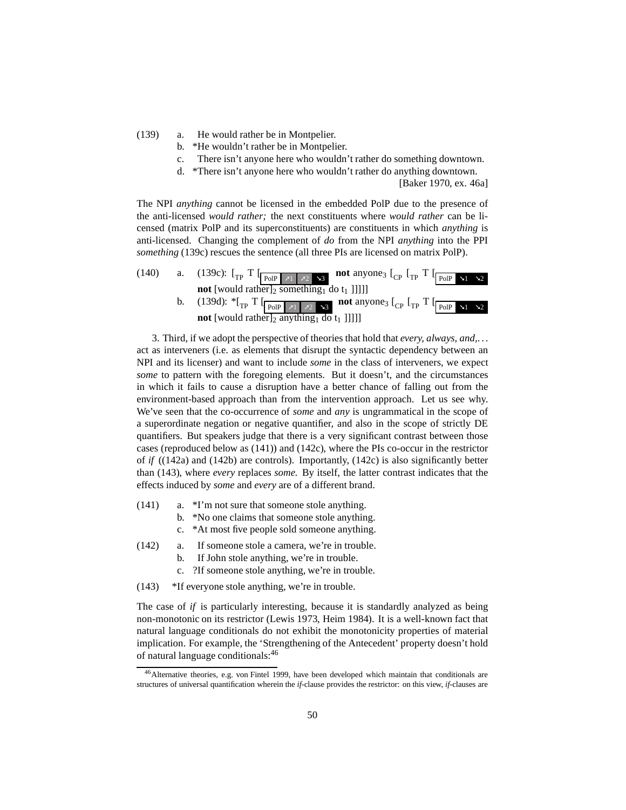<span id="page-49-1"></span><span id="page-49-0"></span>(139) a. He would rather be in Montpelier.

- b. \*He wouldn't rather be in Montpelier.
- c. There isn't anyone here who wouldn't rather do something downtown.
- d. \*There isn't anyone here who wouldn't rather do anything downtown.

[\[Baker 1970,](#page-61-7) ex. 46a]

The NPI *anything* cannot be licensed in the embedded PolP due to the presence of the anti-licensed *would rather;* the next constituents where *would rather* can be licensed (matrix PolP and its superconstituents) are constituents in which *anything* is anti-licensed. Changing the complement of *do* from the NPI *anything* into the PPI *something* [\(139c\)](#page-49-1) rescues the sentence (all three PIs are licensed on matrix PolP).

|  | <b>not</b> [would rather] <sub>2</sub> something <sub>1</sub> do $t_1$ ]]]]]                                                                                                        |
|--|-------------------------------------------------------------------------------------------------------------------------------------------------------------------------------------|
|  | b. (139d): $*_{\text{TP}}$ T $\left[\frac{}{\text{PolP}} \times 1 \right] \times 2$ as not anyones $\left[\frac{}{\text{CP}} \right]$ $\left[\frac{}{\text{PolP}} \times 1 \right]$ |
|  | <b>not</b> [would rather] <sub>2</sub> anything <sub>1</sub> do $t_1$ ]]]]                                                                                                          |

3. Third, if we adopt the perspective of theories that hold that *every, always, and,*. . . act as interveners (i.e. as elements that disrupt the syntactic dependency between an NPI and its licenser) and want to include *some* in the class of interveners, we expect *some* to pattern with the foregoing elements. But it doesn't, and the circumstances in which it fails to cause a disruption have a better chance of falling out from the environment-based approach than from the intervention approach. Let us see why. We've seen that the co-occurrence of *some* and *any* is ungrammatical in the scope of a superordinate negation or negative quantifier, and also in the scope of strictly DE quantifiers. But speakers judge that there is a very significant contrast between those cases (reproduced below as [\(141\)\)](#page-49-2) and [\(142c\),](#page-49-3) where the PIs co-occur in the restrictor of *if* [\(\(142a\)](#page-49-4) and [\(142b\)](#page-49-5) are controls). Importantly, [\(142c\)](#page-49-3) is also significantly better than [\(143\),](#page-49-6) where *every* replaces *some.* By itself, the latter contrast indicates that the effects induced by *some* and *every* are of a different brand.

- <span id="page-49-2"></span>(141) a. \*I'm not sure that someone stole anything.
	- b. \*No one claims that someone stole anything.
		- c. \*At most five people sold someone anything.
- <span id="page-49-5"></span><span id="page-49-4"></span><span id="page-49-3"></span>(142) a. If someone stole a camera, we're in trouble.
	- b. If John stole anything, we're in trouble.
	- c. ?If someone stole anything, we're in trouble.
- <span id="page-49-6"></span>(143) \*If everyone stole anything, we're in trouble.

The case of *if* is particularly interesting, because it is standardly analyzed as being non-monotonic on its restrictor [\(Lewis 1973,](#page-63-14) [Heim 1984\)](#page-62-5). It is a well-known fact that natural language conditionals do not exhibit the monotonicity properties of material implication. For example, the 'Strengthening of the Antecedent' property doesn't hold of natural language conditionals:[46](#page-49-7)

<span id="page-49-7"></span><sup>46</sup>Alternative theories, e.g. [von Fintel 1999](#page-61-1), have been developed which maintain that conditionals are structures of universal quantification wherein the *if-*clause provides the restrictor: on this view, *if-*clauses are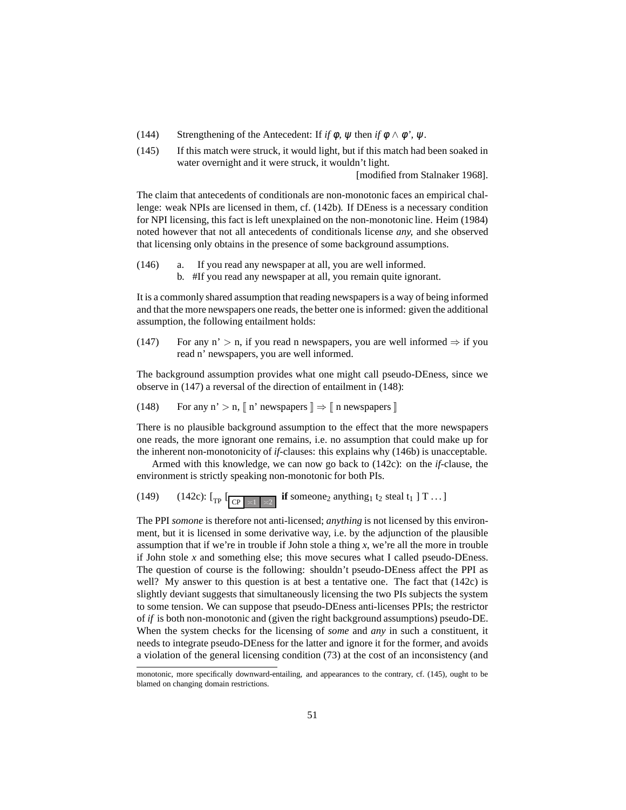- <span id="page-50-3"></span>(144) Strengthening of the Antecedent: If *if*  $\phi$ ,  $\psi$  then *if*  $\phi \wedge \phi'$ ,  $\psi$ .
- (145) If this match were struck, it would light, but if this match had been soaked in water overnight and it were struck, it wouldn't light.

[modified from [Stalnaker 1968\]](#page-64-11).

The claim that antecedents of conditionals are non-monotonic faces an empirical challenge: weak NPIs are licensed in them, cf. [\(142b\).](#page-49-5) If DEness is a necessary condition for NPI licensing, this fact is left unexplained on the non-monotonic line. [Heim \(1984](#page-62-5)) noted however that not all antecedents of conditionals license *any,* and she observed that licensing only obtains in the presence of some background assumptions.

- <span id="page-50-2"></span>(146) a. If you read any newspaper at all, you are well informed.
	- b. #If you read any newspaper at all, you remain quite ignorant.

It is a commonly shared assumption that reading newspapers is a way of being informed and that the more newspapers one reads, the better one is informed: given the additional assumption, the following entailment holds:

<span id="page-50-0"></span>(147) For any n' > n, if you read n newspapers, you are well informed  $\Rightarrow$  if you read n' newspapers, you are well informed.

<span id="page-50-1"></span>The background assumption provides what one might call pseudo-DEness, since we observe in [\(147\)](#page-50-0) a reversal of the direction of entailment in [\(148\):](#page-50-1)

(148) For any n' > n,  $\parallel$  n' newspapers  $\parallel \Rightarrow \parallel$  n newspapers  $\parallel$ 

There is no plausible background assumption to the effect that the more newspapers one reads, the more ignorant one remains, i.e. no assumption that could make up for the inherent non-monotonicity of *if-*clauses: this explains why [\(146b\)](#page-50-2) is unacceptable.

Armed with this knowledge, we can now go back to [\(142c\):](#page-49-3) on the *if-*clause, the environment is strictly speaking non-monotonic for both PIs.

(149) [\(142c\):](#page-49-3)  $\left[\begin{array}{c|c} \text{TIP} & \text{TIP} & \text{TIP} \\ \hline \text{CP} & \text{TIP} & \text{TIP} \end{array}\right]$  **if** someone<sub>2</sub> anything<sub>1</sub> t<sub>2</sub> steal t<sub>1</sub> ] T ...

The PPI *somone* is therefore not anti-licensed; *anything* is not licensed by this environment, but it is licensed in some derivative way, i.e. by the adjunction of the plausible assumption that if we're in trouble if John stole a thing *x*, we're all the more in trouble if John stole  $x$  and something else; this move secures what I called pseudo-DEness. The question of course is the following: shouldn't pseudo-DEness affect the PPI as well? My answer to this question is at best a tentative one. The fact that [\(142c\)](#page-49-3) is slightly deviant suggests that simultaneously licensing the two PIs subjects the system to some tension. We can suppose that pseudo-DEness anti-licenses PPIs; the restrictor of *if* is both non-monotonic and (given the right background assumptions) pseudo-DE. When the system checks for the licensing of *some* and *any* in such a constituent, it needs to integrate pseudo-DEness for the latter and ignore it for the former, and avoids a violation of the general licensing condition [\(73\)](#page-26-4) at the cost of an inconsistency (and

monotonic, more specifically downward-entailing, and appearances to the contrary, cf. [\(145\),](#page-50-3) ought to be blamed on changing domain restrictions.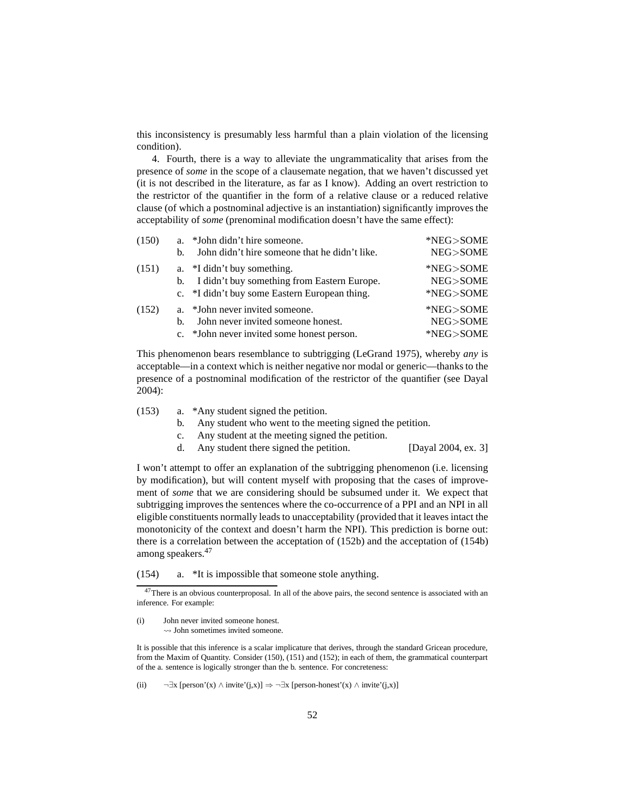this inconsistency is presumably less harmful than a plain violation of the licensing condition).

4. Fourth, there is a way to alleviate the ungrammaticality that arises from the presence of *some* in the scope of a clausemate negation, that we haven't discussed yet (it is not described in the literature, as far as I know). Adding an overt restriction to the restrictor of the quantifier in the form of a relative clause or a reduced relative clause (of which a postnominal adjective is an instantiation) significantly improves the acceptability of *some* (prenominal modification doesn't have the same effect):

<span id="page-51-6"></span><span id="page-51-5"></span><span id="page-51-4"></span><span id="page-51-1"></span><span id="page-51-0"></span>

| (150) |    | a. *John didn't hire someone.                  | *NEG>SOME |
|-------|----|------------------------------------------------|-----------|
|       | b. | John didn't hire someone that he didn't like.  | NEG>SOME  |
| (151) |    | a. *I didn't buy something.                    | *NEG>SOME |
|       |    | b. I didn't buy something from Eastern Europe. | NEG>SOME  |
|       |    | c. *I didn't buy some Eastern European thing.  | *NEG>SOME |
| (152) |    | a. *John never invited someone.                | *NEG>SOME |
|       | h. | John never invited someone honest.             | NEG>SOME  |
|       |    | c. *John never invited some honest person.     | *NEG>SOME |

<span id="page-51-2"></span>This phenomenon bears resemblance to subtrigging [\(LeGrand](#page-63-5) [1975](#page-63-5)), whereby *any* is acceptable—in a context which is neither negative nor modal or generic—thanks to the presence of a postnominal modification of the restrictor of the quantifier (see [Dayal](#page-61-5) [2004\)](#page-61-5):

- (153) a. \*Any student signed the petition.
	- b. Any student who went to the meeting signed the petition.
	- c. Any student at the meeting signed the petition.
	- d. Any student there signed the petition. [\[Dayal 2004,](#page-61-5) ex. 3]

I won't attempt to offer an explanation of the subtrigging phenomenon (i.e. licensing by modification), but will content myself with proposing that the cases of improvement of *some* that we are considering should be subsumed under it. We expect that subtrigging improves the sentences where the co-occurrence of a PPI and an NPI in all eligible constituents normally leads to unacceptability (provided that it leaves intact the monotonicity of the context and doesn't harm the NPI). This prediction is borne out: there is a correlation between the acceptation of [\(152b\)](#page-51-2) and the acceptation of [\(154b\)](#page-52-2) among speakers.[47](#page-51-3)

(154) a. \*It is impossible that someone stole anything.

It is possible that this inference is a scalar implicature that derives, through the standard Gricean procedure, from the Maxim of Quantity. Consider [\(150\),](#page-51-4) [\(151\)](#page-51-5) and [\(152\);](#page-51-6) in each of them, the grammatical counterpart of the a. sentence is logically stronger than the b. sentence. For concreteness:

(ii)  $\neg \exists x \, [\text{person'}(x) \land \text{invite'}(j,x)] \Rightarrow \neg \exists x \, [\text{person-honest'}(x) \land \text{invite'}(j,x)]$ 

<span id="page-51-3"></span><sup>&</sup>lt;sup>47</sup>There is an obvious counterproposal. In all of the above pairs, the second sentence is associated with an inference. For example:

<sup>(</sup>i) John never invited someone honest.  $\rightarrow$  John sometimes invited someone.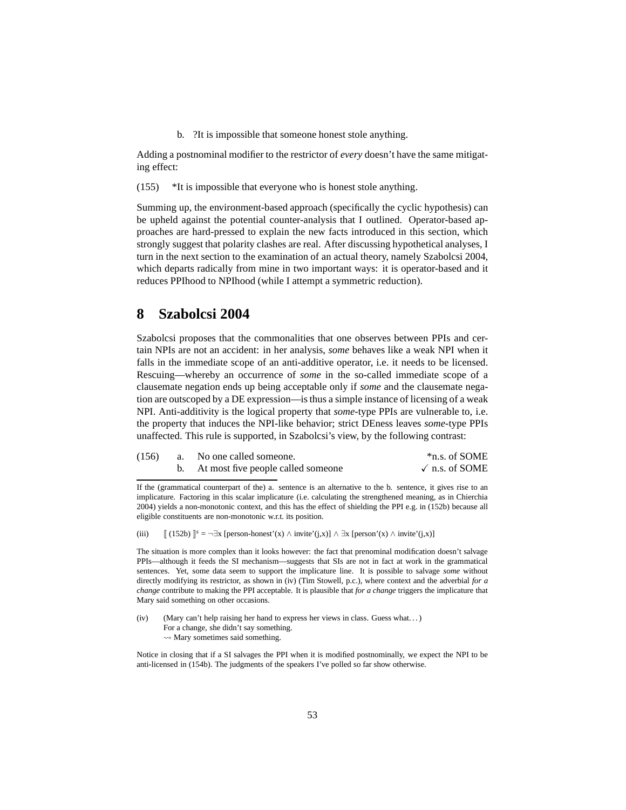b. ?It is impossible that someone honest stole anything.

<span id="page-52-2"></span>Adding a postnominal modifier to the restrictor of *every* doesn't have the same mitigating effect:

(155) \*It is impossible that everyone who is honest stole anything.

Summing up, the environment-based approach (specifically the cyclic hypothesis) can be upheld against the potential counter-analysis that I outlined. Operator-based approaches are hard-pressed to explain the new facts introduced in this section, which strongly suggest that polarity clashes are real. After discussing hypothetical analyses, I turn in the next section to the examination of an actual theory, namely [Szabolcsi 2004,](#page-64-0) which departs radically from mine in two important ways: it is operator-based and it reduces PPIhood to NPIhood (while I attempt a symmetric reduction).

# <span id="page-52-0"></span>**8 Szabolcsi 2004**

Szabolcsi proposes that the commonalities that one observes between PPIs and certain NPIs are not an accident: in her analysis, *some* behaves like a weak NPI when it falls in the immediate scope of an anti-additive operator, i.e. it needs to be licensed. Rescuing—whereby an occurrence of *some* in the so-called immediate scope of a clausemate negation ends up being acceptable only if *some* and the clausemate negation are outscoped by a DE expression—is thus a simple instance of licensing of a weak NPI. Anti-additivity is the logical property that *some-*type PPIs are vulnerable to, i.e. the property that induces the NPI-like behavior; strict DEness leaves *some-*type PPIs unaffected. This rule is supported, in Szabolcsi's view, by the following contrast:

| (156) | a. No one called someone.          | *n.s. of SOME           |
|-------|------------------------------------|-------------------------|
|       | At most five people called someone | $\sqrt{n}$ n.s. of SOME |

If the (grammatical counterpart of the) a. sentence is an alternative to the b. sentence, it gives rise to an implicature. Factoring in this scalar implicature (i.e. calculating the strengthened meaning, as in [Chierchia](#page-61-4) [2004\)](#page-61-4) yields a non-monotonic context, and this has the effect of shielding the PPI e.g. in [\(152b\)](#page-51-2) because all eligible constituents are non-monotonic w.r.t. its position.

<span id="page-52-1"></span>(iii)  $[[ (152b) ]^s = \exists x [person-honest'(x) \land invite'(j,x)] \land \exists x [person'(x) \land invite'(j,x)]$  $[[ (152b) ]^s = \exists x [person-honest'(x) \land invite'(j,x)] \land \exists x [person'(x) \land invite'(j,x)]$  $[[ (152b) ]^s = \exists x [person-honest'(x) \land invite'(j,x)] \land \exists x [person'(x) \land invite'(j,x)]$ 

The situation is more complex than it looks however: the fact that prenominal modification doesn't salvage PPIs—although it feeds the SI mechanism—suggests that SIs are not in fact at work in the grammatical sentences. Yet, some data seem to support the implicature line. It is possible to salvage *some* without directly modifying its restrictor, as shown in [\(iv\)](#page-52-3) (Tim Stowell, p.c.), where context and the adverbial *for a change* contribute to making the PPI acceptable. It is plausible that *for a change* triggers the implicature that Mary said something on other occasions.

<span id="page-52-3"></span>(iv) (Mary can't help raising her hand to express her views in class. Guess what. . . ) For a change, she didn't say something.  $\rightsquigarrow$  Mary sometimes said something.

Notice in closing that if a SI salvages the PPI when it is modified postnominally, we expect the NPI to be anti-licensed in [\(154b\).](#page-52-2) The judgments of the speakers I've polled so far show otherwise.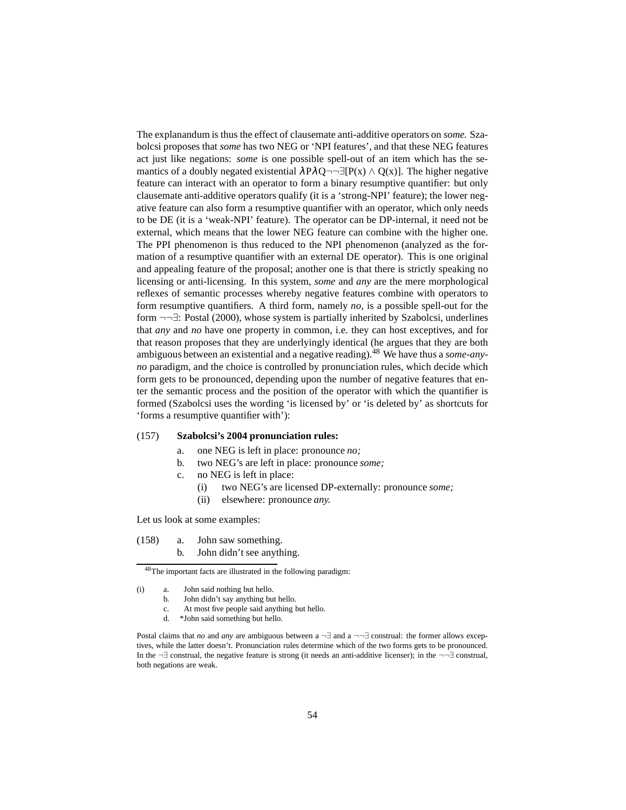The explanandum is thus the effect of clausemate anti-additive operators on *some.* Szabolcsi proposes that *some* has two NEG or 'NPI features', and that these NEG features act just like negations: *some* is one possible spell-out of an item which has the semantics of a doubly negated existential  $\lambda P \lambda Q \rightarrow \exists [P(x) \wedge Q(x)]$ . The higher negative feature can interact with an operator to form a binary resumptive quantifier: but only clausemate anti-additive operators qualify (it is a 'strong-NPI' feature); the lower negative feature can also form a resumptive quantifier with an operator, which only needs to be DE (it is a 'weak-NPI' feature). The operator can be DP-internal, it need not be external, which means that the lower NEG feature can combine with the higher one. The PPI phenomenon is thus reduced to the NPI phenomenon (analyzed as the formation of a resumptive quantifier with an external DE operator). This is one original and appealing feature of the proposal; another one is that there is strictly speaking no licensing or anti-licensing. In this system, *some* and *any* are the mere morphological reflexes of semantic processes whereby negative features combine with operators to form resumptive quantifiers. A third form, namely *no,* is a possible spell-out for the form ¬¬∃: [Postal](#page-63-15) [\(2000\)](#page-63-15), whose system is partially inherited by Szabolcsi, underlines that *any* and *no* have one property in common, i.e. they can host exceptives, and for that reason proposes that they are underlyingly identical (he argues that they are both ambiguous between an existential and a negative reading).[48](#page-53-0) We have thus a *some-anyno* paradigm, and the choice is controlled by pronunciation rules, which decide which form gets to be pronounced, depending upon the number of negative features that enter the semantic process and the position of the operator with which the quantifier is formed (Szabolcsi uses the wording 'is licensed by' or 'is deleted by' as shortcuts for 'forms a resumptive quantifier with'):

### <span id="page-53-6"></span><span id="page-53-5"></span><span id="page-53-2"></span>(157) **[Szabolcsi'](#page-64-0)s [2004](#page-64-0) pronunciation rules:**

- a. one NEG is left in place: pronounce *no;*
- b. two NEG's are left in place: pronounce *some;*
- c. no NEG is left in place:
	- (i) two NEG's are licensed DP-externally: pronounce *some;*
	- (ii) elsewhere: pronounce *any.*

<span id="page-53-4"></span><span id="page-53-1"></span>Let us look at some examples:

<span id="page-53-3"></span>(158) a. John saw something. b. John didn't see anything.

d. \*John said something but hello.

<sup>48</sup>The important facts are illustrated in the following paradigm:

<span id="page-53-0"></span><sup>(</sup>i) a. John said nothing but hello.

b. John didn't say anything but hello.

c. At most five people said anything but hello.

Postal claims that *no* and *any* are ambiguous between a ¬∃ and a ¬¬∃ construal: the former allows exceptives, while the latter doesn't. Pronunciation rules determine which of the two forms gets to be pronounced. In the ¬∃ construal, the negative feature is strong (it needs an anti-additive licenser); in the ¬¬∃ construal, both negations are weak.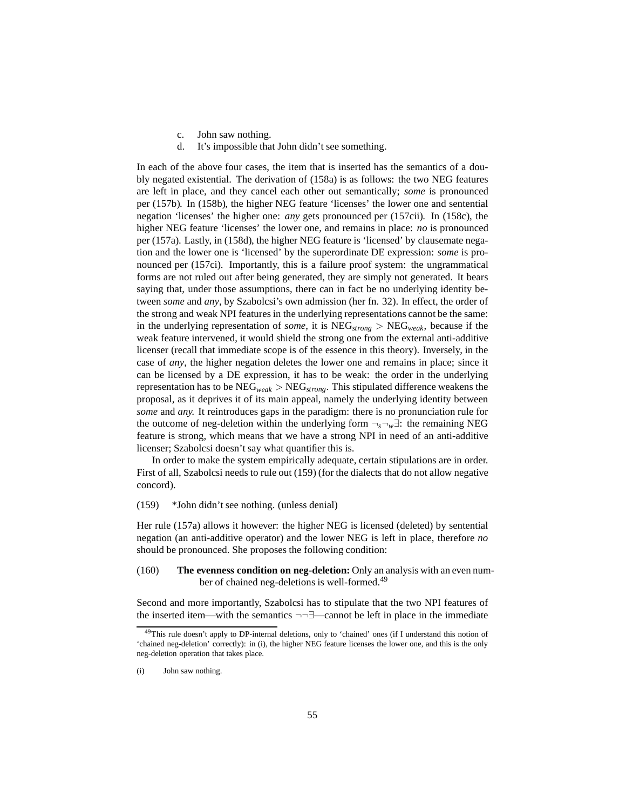- c. John saw nothing.
- d. It's impossible that John didn't see something.

<span id="page-54-1"></span><span id="page-54-0"></span>In each of the above four cases, the item that is inserted has the semantics of a doubly negated existential. The derivation of [\(158a\)](#page-53-1) is as follows: the two NEG features are left in place, and they cancel each other out semantically; *some* is pronounced per [\(157b\).](#page-53-2) In [\(158b\),](#page-53-3) the higher NEG feature 'licenses' the lower one and sentential negation 'licenses' the higher one: *any* gets pronounced per [\(157cii\).](#page-53-4) In [\(158c\),](#page-54-0) the higher NEG feature 'licenses' the lower one, and remains in place: *no* is pronounced per [\(157a\).](#page-53-5) Lastly, in [\(158d\),](#page-54-1) the higher NEG feature is 'licensed' by clausemate negation and the lower one is 'licensed' by the superordinate DE expression: *some* is pronounced per [\(157ci\).](#page-53-6) Importantly, this is a failure proof system: the ungrammatical forms are not ruled out after being generated, they are simply not generated. It bears saying that, under those assumptions, there can in fact be no underlying identity between *some* and *any*, by Szabolcsi's own admission (her fn. 32). In effect, the order of the strong and weak NPI features in the underlying representations cannot be the same: in the underlying representation of *some*, it is NEG*strong* > NEG*weak*, because if the weak feature intervened, it would shield the strong one from the external anti-additive licenser (recall that immediate scope is of the essence in this theory). Inversely, in the case of *any*, the higher negation deletes the lower one and remains in place; since it can be licensed by a DE expression, it has to be weak: the order in the underlying representation has to be NEG*weak* > NEG*strong*. This stipulated difference weakens the proposal, as it deprives it of its main appeal, namely the underlying identity between *some* and *any.* It reintroduces gaps in the paradigm: there is no pronunciation rule for the outcome of neg-deletion within the underlying form ¬*s*¬*w*∃: the remaining NEG feature is strong, which means that we have a strong NPI in need of an anti-additive licenser; Szabolcsi doesn't say what quantifier this is.

In order to make the system empirically adequate, certain stipulations are in order. First of all, Szabolcsi needs to rule out [\(159\)](#page-54-2) (for the dialects that do not allow negative concord).

<span id="page-54-2"></span>(159) \*John didn't see nothing. (unless denial)

Her rule [\(157a\)](#page-53-5) allows it however: the higher NEG is licensed (deleted) by sentential negation (an anti-additive operator) and the lower NEG is left in place, therefore *no* should be pronounced. She proposes the following condition:

# (160) **The evenness condition on neg-deletion:** Only an analysis with an even number of chained neg-deletions is well-formed.[49](#page-54-3)

Second and more importantly, Szabolcsi has to stipulate that the two NPI features of the inserted item—with the semantics ¬¬∃—cannot be left in place in the immediate

<span id="page-54-3"></span><sup>&</sup>lt;sup>49</sup>This rule doesn't apply to DP-internal deletions, only to 'chained' ones (if I understand this notion of 'chained neg-deletion' correctly): in [\(i\),](#page-60-1) the higher NEG feature licenses the lower one, and this is the only neg-deletion operation that takes place.

<sup>(</sup>i) John saw nothing.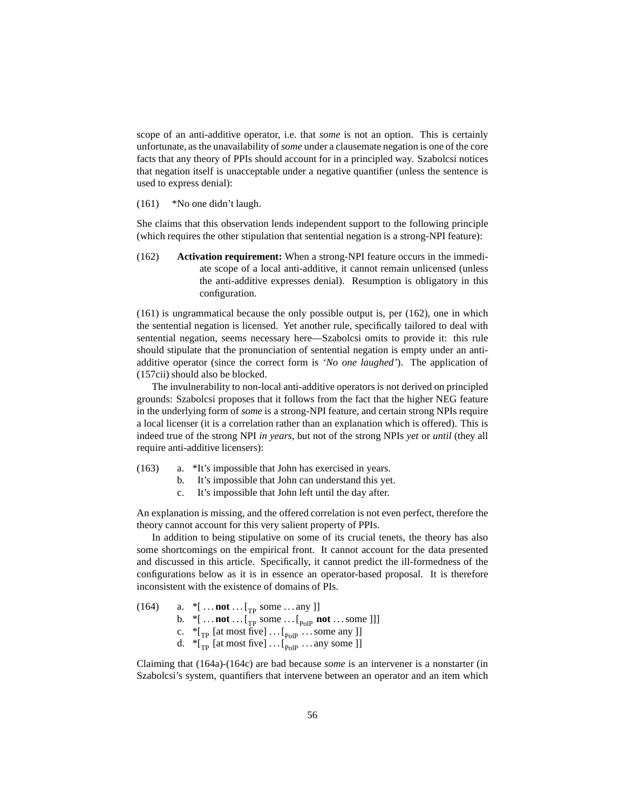scope of an anti-additive operator, i.e. that *some* is not an option. This is certainly unfortunate, as the unavailability of*some* under a clausemate negation is one of the core facts that any theory of PPIs should account for in a principled way. Szabolcsi notices that negation itself is unacceptable under a negative quantifier (unless the sentence is used to express denial):

#### <span id="page-55-0"></span>(161) \*No one didn't laugh.

<span id="page-55-1"></span>She claims that this observation lends independent support to the following principle (which requires the other stipulation that sentential negation is a strong-NPI feature):

(162) **Activation requirement:** When a strong-NPI feature occurs in the immediate scope of a local anti-additive, it cannot remain unlicensed (unless the anti-additive expresses denial). Resumption is obligatory in this configuration.

[\(161\)](#page-55-0) is ungrammatical because the only possible output is, per [\(162\),](#page-55-1) one in which the sentential negation is licensed. Yet another rule, specifically tailored to deal with sentential negation, seems necessary here—Szabolcsi omits to provide it: this rule should stipulate that the pronunciation of sentential negation is empty under an antiadditive operator (since the correct form is *'No one laughed'*). The application of [\(157cii\)](#page-53-4) should also be blocked.

The invulnerability to non-local anti-additive operators is not derived on principled grounds: Szabolcsi proposes that it follows from the fact that the higher NEG feature in the underlying form of *some* is a strong-NPI feature, and certain strong NPIs require a local licenser (it is a correlation rather than an explanation which is offered). This is indeed true of the strong NPI *in years*, but not of the strong NPIs *yet* or *until* (they all require anti-additive licensers):

- (163) a. \*It's impossible that John has exercised in years.
	- b. It's impossible that John can understand this yet.
	- c. It's impossible that John left until the day after.

An explanation is missing, and the offered correlation is not even perfect, therefore the theory cannot account for this very salient property of PPIs.

In addition to being stipulative on some of its crucial tenets, the theory has also some shortcomings on the empirical front. It cannot account for the data presented and discussed in this article. Specifically, it cannot predict the ill-formedness of the configurations below as it is in essence an operator-based proposal. It is therefore inconsistent with the existence of domains of PIs.

<span id="page-55-4"></span><span id="page-55-3"></span><span id="page-55-2"></span>

| (164) | a. $*[\dots \text{not} \dots [\text{not} \dots \text{some} \dots \text{any}]]$ |
|-------|--------------------------------------------------------------------------------|
|       | b. $*$ [not[ <sub>TP</sub> some[ <sub>PolP</sub> notsome]]]                    |
|       | c. $*_{\lbrack_{\rm TD}}$ [at most five]  [ <sub>Polp</sub> some any ]]        |
|       | d. $*_{\lbrack_{\rm TD}}$ [at most five]  [ <sub>PolP</sub> any some ]]        |

Claiming that [\(164a\)](#page-55-2)[-\(164c\)](#page-55-3) are bad because *some* is an intervener is a nonstarter (in Szabolcsi's system, quantifiers that intervene between an operator and an item which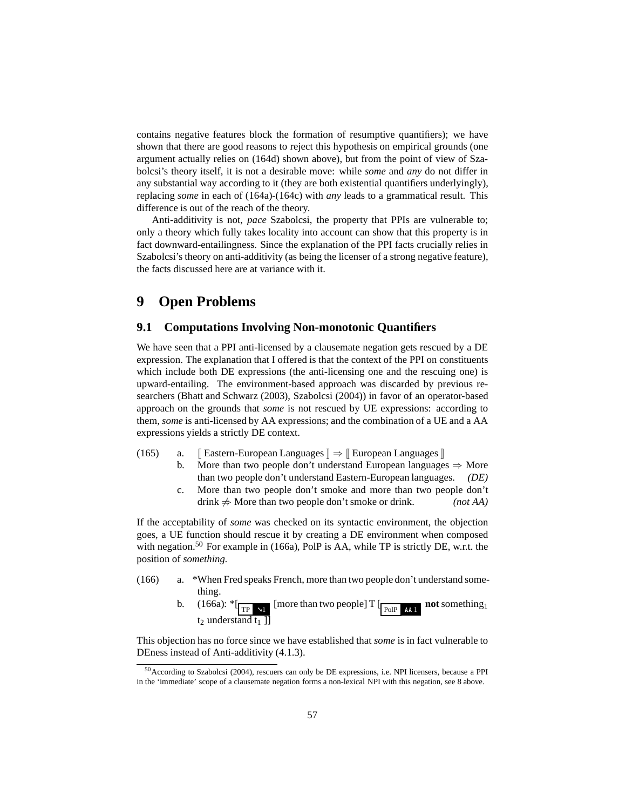contains negative features block the formation of resumptive quantifiers); we have shown that there are good reasons to reject this hypothesis on empirical grounds (one argument actually relies on [\(164d\)](#page-55-4) shown above), but from the point of view of Szabolcsi's theory itself, it is not a desirable move: while *some* and *any* do not differ in any substantial way according to it (they are both existential quantifiers underlyingly), replacing *some* in each of [\(164a\)-](#page-55-2)[\(164c\)](#page-55-3) with *any* leads to a grammatical result. This difference is out of the reach of the theory.

Anti-additivity is not, *pace* Szabolcsi, the property that PPIs are vulnerable to; only a theory which fully takes locality into account can show that this property is in fact downward-entailingness. Since the explanation of the PPI facts crucially relies in Szabolcsi's theory on anti-additivity (as being the licenser of a strong negative feature), the facts discussed here are at variance with it.

# <span id="page-56-0"></span>**9 Open Problems**

### <span id="page-56-1"></span>**9.1 Computations Involving Non-monotonic Quantifiers**

We have seen that a PPI anti-licensed by a clausemate negation gets rescued by a DE expression. The explanation that I offered is that the context of the PPI on constituents which include both DE expressions (the anti-licensing one and the rescuing one) is upward-entailing. The environment-based approach was discarded by previous researchers [\(Bhatt and Schwarz \(2003\)](#page-61-12), [Szabolcsi](#page-64-0) [\(2004\)](#page-64-0)) in favor of an operator-based approach on the grounds that *some* is not rescued by UE expressions: according to them, *some* is anti-licensed by AA expressions; and the combination of a UE and a AA expressions yields a strictly DE context.

- (165) a. [Eastern-European Languages  $\Vert \Rightarrow$  [European Languages |]
	- b. More than two people don't understand European languages  $\Rightarrow$  More than two people don't understand Eastern-European languages. *(DE)*
	- c. More than two people don't smoke and more than two people don't drink  $\neq$  More than two people don't smoke or drink. *(not AA)*

If the acceptability of *some* was checked on its syntactic environment, the objection goes, a UE function should rescue it by creating a DE environment when composed with negation.<sup>[50](#page-56-2)</sup> For example in [\(166a\),](#page-56-3) PolP is AA, while TP is strictly DE, w.r.t. the position of *something.*

- <span id="page-56-3"></span>(166) a. \*When Fred speaks French, more than two people don't understand something.
	- b.  $(166a):$   $\sqrt[*]{\text{TP} \cdot \text{x1}}$  [more than two people]  $\text{T} \cdot \frac{\text{P} \cdot \text{P}}{\text{P} \cdot \text{P} \cdot \text{P}}$  **not** something<sub>1</sub> t<sub>2</sub> understand t<sub>1</sub>  $\overline{1}$ ]

This objection has no force since we have established that *some* is in fact vulnerable to DEness instead of Anti-additivity [\(4.1.3\)](#page-35-0).

<span id="page-56-2"></span><sup>50</sup>According to [Szabolcsi \(2004\)](#page-64-0), rescuers can only be DE expressions, i.e. NPI licensers, because a PPI in the 'immediate' scope of a clausemate negation forms a non-lexical NPI with this negation, see [8](#page-52-0) above.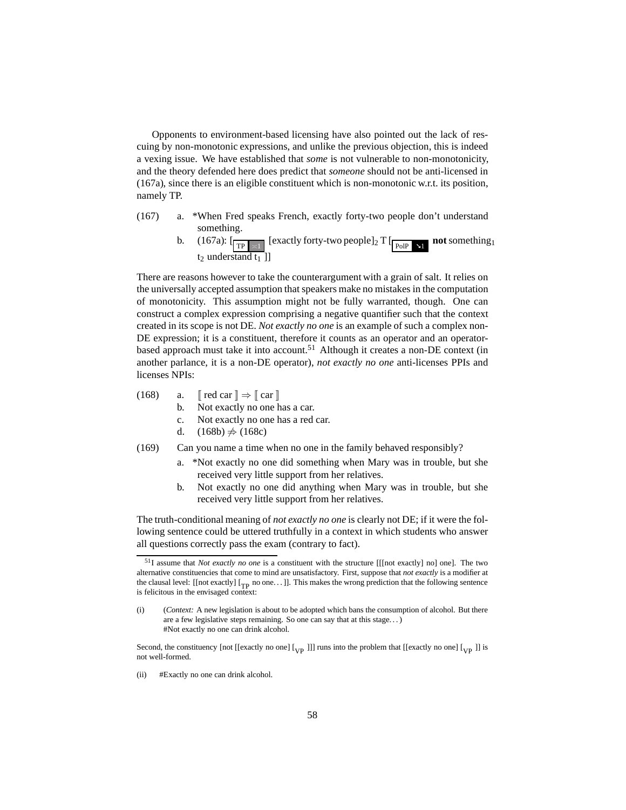Opponents to environment-based licensing have also pointed out the lack of rescuing by non-monotonic expressions, and unlike the previous objection, this is indeed a vexing issue. We have established that *some* is not vulnerable to non-monotonicity, and the theory defended here does predict that *someone* should not be anti-licensed in [\(167a\),](#page-57-1) since there is an eligible constituent which is non-monotonic w.r.t. its position, namely TP.

- <span id="page-57-1"></span>(167) a. \*When Fred speaks French, exactly forty-two people don't understand something.
	- b. [\(167a\):](#page-57-1)  $\left[\frac{}{\text{TP} \times 1} \right]$  [exactly forty-two people]<sub>2</sub> T  $\left[\frac{}{\text{PoIP} \times 1} \right]$  **not** something<sub>1</sub>  $t_2$  understand  $t_1$ ]

There are reasons however to take the counterargument with a grain of salt. It relies on the universally accepted assumption that speakers make no mistakes in the computation of monotonicity. This assumption might not be fully warranted, though. One can construct a complex expression comprising a negative quantifier such that the context created in its scope is not DE. *Not exactly no one* is an example of such a complex non-DE expression; it is a constituent, therefore it counts as an operator and an operator-based approach must take it into account.<sup>[51](#page-57-2)</sup> Although it creates a non-DE context (in another parlance, it is a non-DE operator), *not exactly no one* anti-licenses PPIs and licenses NPIs:

- <span id="page-57-4"></span><span id="page-57-3"></span>(168) a.  $\lceil \text{red car} \rceil \Rightarrow \lceil \text{car} \rceil$ 
	- b. Not exactly no one has a car.
	- c. Not exactly no one has a red car.
	- d.  $(168b)$   $\neq$   $(168c)$
- <span id="page-57-5"></span>(169) Can you name a time when no one in the family behaved responsibly?
	- a. \*Not exactly no one did something when Mary was in trouble, but she received very little support from her relatives.
	- b. Not exactly no one did anything when Mary was in trouble, but she received very little support from her relatives.

The truth-conditional meaning of *not exactly no one* is clearly not DE; if it were the following sentence could be uttered truthfully in a context in which students who answer all questions correctly pass the exam (contrary to fact).

<span id="page-57-0"></span>Second, the constituency [not [[exactly no one]  $\begin{bmatrix} \begin{bmatrix} V_P \end{bmatrix} \end{bmatrix}$ ] runs into the problem that [[exactly no one]  $\begin{bmatrix} V_P \end{bmatrix}$ ] is not well-formed.

(ii) #Exactly no one can drink alcohol.

<span id="page-57-2"></span><sup>51</sup>I assume that *Not exactly no one* is a constituent with the structure [[[not exactly] no] one]. The two alternative constituencies that come to mind are unsatisfactory. First, suppose that *not exactly* is a modifier at the clausal level: [[not exactly]  $[T_{\text{p}}]$  no one...]]. This makes the wrong prediction that the following sentence is felicitous in the envisaged context:

<sup>(</sup>i) (*Context:* A new legislation is about to be adopted which bans the consumption of alcohol. But there are a few legislative steps remaining. So one can say that at this stage. . . ) #Not exactly no one can drink alcohol.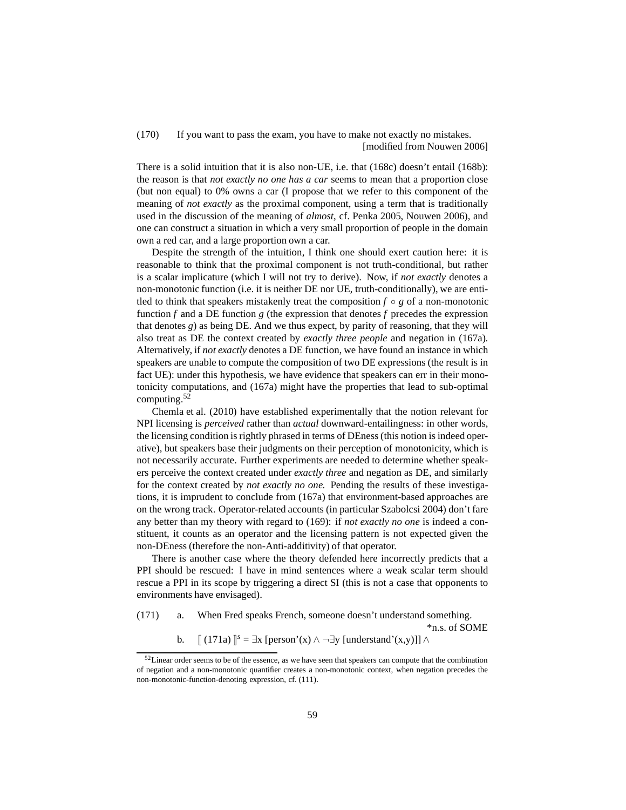(170) If you want to pass the exam, you have to make not exactly no mistakes. [modified from [Nouwen 2006](#page-63-16)]

There is a solid intuition that it is also non-UE, i.e. that [\(168c\)](#page-57-4) doesn't entail [\(168b\):](#page-57-3) the reason is that *not exactly no one has a car* seems to mean that a proportion close (but non equal) to 0% owns a car (I propose that we refer to this component of the meaning of *not exactly* as the proximal component, using a term that is traditionally used in the discussion of the meaning of *almost*, cf. [Penka 2005](#page-63-17), [Nouwen 2006\)](#page-63-16), and one can construct a situation in which a very small proportion of people in the domain own a red car, and a large proportion own a car.

Despite the strength of the intuition, I think one should exert caution here: it is reasonable to think that the proximal component is not truth-conditional, but rather is a scalar implicature (which I will not try to derive). Now, if *not exactly* denotes a non-monotonic function (i.e. it is neither DE nor UE, truth-conditionally), we are entitled to think that speakers mistakenly treat the composition  $f \circ g$  of a non-monotonic function *f* and a DE function *g* (the expression that denotes *f* precedes the expression that denotes *g*) as being DE. And we thus expect, by parity of reasoning, that they will also treat as DE the context created by *exactly three people* and negation in [\(167a\).](#page-57-1) Alternatively, if *not exactly* denotes a DE function, we have found an instance in which speakers are unable to compute the composition of two DE expressions (the result is in fact UE): under this hypothesis, we have evidence that speakers can err in their monotonicity computations, and [\(167a\)](#page-57-1) might have the properties that lead to sub-optimal computing.[52](#page-58-0)

[Chemla et al. \(2010\)](#page-61-13) have established experimentally that the notion relevant for NPI licensing is *perceived* rather than *actual* downward-entailingness: in other words, the licensing condition is rightly phrased in terms of DEness (this notion is indeed operative), but speakers base their judgments on their perception of monotonicity, which is not necessarily accurate. Further experiments are needed to determine whether speakers perceive the context created under *exactly three* and negation as DE, and similarly for the context created by *not exactly no one.* Pending the results of these investigations, it is imprudent to conclude from [\(167a\)](#page-57-1) that environment-based approaches are on the wrong track. Operator-related accounts (in particular [Szabolcsi 2004\)](#page-64-0) don't fare any better than my theory with regard to [\(169\):](#page-57-5) if *not exactly no one* is indeed a constituent, it counts as an operator and the licensing pattern is not expected given the non-DEness (therefore the non-Anti-additivity) of that operator.

There is another case where the theory defended here incorrectly predicts that a PPI should be rescued: I have in mind sentences where a weak scalar term should rescue a PPI in its scope by triggering a direct SI (this is not a case that opponents to environments have envisaged).

<span id="page-58-1"></span>(171) a. When Fred speaks French, someone doesn't understand something.

\*n.s. of SOME b.  $[[ (171a) ]^s = \exists x [person'(x) \land \neg \exists y [understand'(x,y)]] \land$  $[[ (171a) ]^s = \exists x [person'(x) \land \neg \exists y [understand'(x,y)]] \land$  $[[ (171a) ]^s = \exists x [person'(x) \land \neg \exists y [understand'(x,y)]] \land$ 

<span id="page-58-0"></span><sup>&</sup>lt;sup>52</sup>Linear order seems to be of the essence, as we have seen that speakers can compute that the combination of negation and a non-monotonic quantifier creates a non-monotonic context, when negation precedes the non-monotonic-function-denoting expression, cf. [\(111\).](#page-36-0)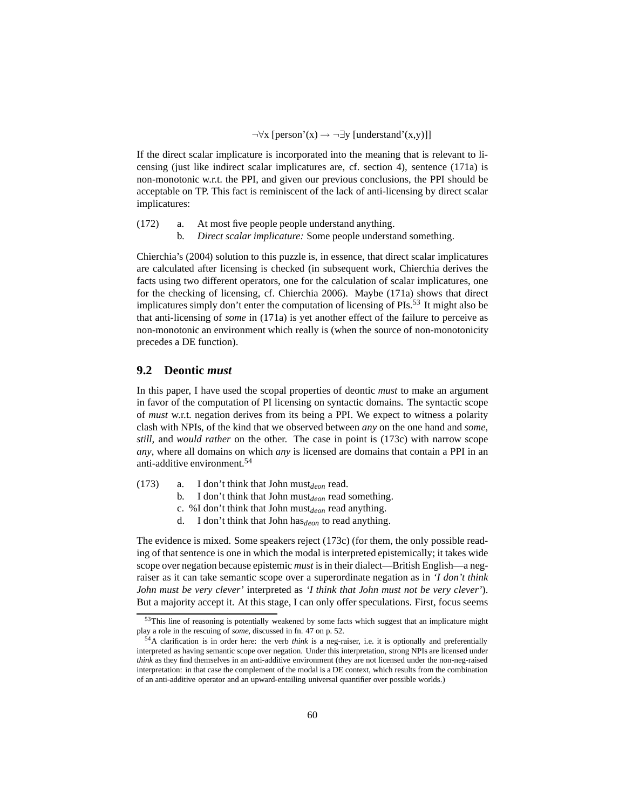$\neg \forall x$  [person'(x)  $\rightarrow \neg \exists y$  [understand'(x,y)]]

If the direct scalar implicature is incorporated into the meaning that is relevant to licensing (just like indirect scalar implicatures are, cf. section [4\)](#page-30-0), sentence [\(171a\)](#page-58-1) is non-monotonic w.r.t. the PPI, and given our previous conclusions, the PPI should be acceptable on TP. This fact is reminiscent of the lack of anti-licensing by direct scalar implicatures:

- (172) a. At most five people people understand anything.
	- b. *Direct scalar implicature:* Some people understand something.

[Chierchia'](#page-61-4)s [\(2004\)](#page-61-4) solution to this puzzle is, in essence, that direct scalar implicatures are calculated after licensing is checked (in subsequent work, Chierchia derives the facts using two different operators, one for the calculation of scalar implicatures, one for the checking of licensing, cf. [Chierchia 2006\)](#page-61-14). Maybe [\(171a\)](#page-58-1) shows that direct implicatures simply don't enter the computation of licensing of PIs.<sup>[53](#page-59-1)</sup> It might also be that anti-licensing of *some* in [\(171a\)](#page-58-1) is yet another effect of the failure to perceive as non-monotonic an environment which really is (when the source of non-monotonicity precedes a DE function).

# <span id="page-59-0"></span>**9.2 Deontic** *must*

In this paper, I have used the scopal properties of deontic *must* to make an argument in favor of the computation of PI licensing on syntactic domains. The syntactic scope of *must* w.r.t. negation derives from its being a PPI. We expect to witness a polarity clash with NPIs, of the kind that we observed between *any* on the one hand and *some, still,* and *would rather* on the other. The case in point is [\(173c\)](#page-59-2) with narrow scope *any*, where all domains on which *any* is licensed are domains that contain a PPI in an anti-additive environment.[54](#page-59-3)

- <span id="page-59-2"></span>(173) a. I don't think that John must*deon* read.
	- b. I don't think that John must*deon* read something.
	- c. %I don't think that John must<sub>deon</sub> read anything.
	- d. I don't think that John has*deon* to read anything.

The evidence is mixed. Some speakers reject [\(173c\)](#page-59-2) (for them, the only possible reading of that sentence is one in which the modal is interpreted epistemically; it takes wide scope over negation because epistemic *must* is in their dialect—British English—a negraiser as it can take semantic scope over a superordinate negation as in *'I don't think John must be very clever'* interpreted as *'I think that John must not be very clever'*). But a majority accept it. At this stage, I can only offer speculations. First, focus seems

<sup>&</sup>lt;sup>53</sup>This line of reasoning is potentially weakened by some facts which suggest that an implicature might play a role in the rescuing of *some,* discussed in fn. [47](#page-51-3) on p. [52.](#page-51-3)

<span id="page-59-3"></span><span id="page-59-1"></span><sup>54</sup>A clarification is in order here: the verb *think* is a neg-raiser, i.e. it is optionally and preferentially interpreted as having semantic scope over negation. Under this interpretation, strong NPIs are licensed under *think* as they find themselves in an anti-additive environment (they are not licensed under the non-neg-raised interpretation: in that case the complement of the modal is a DE context, which results from the combination of an anti-additive operator and an upward-entailing universal quantifier over possible worlds.)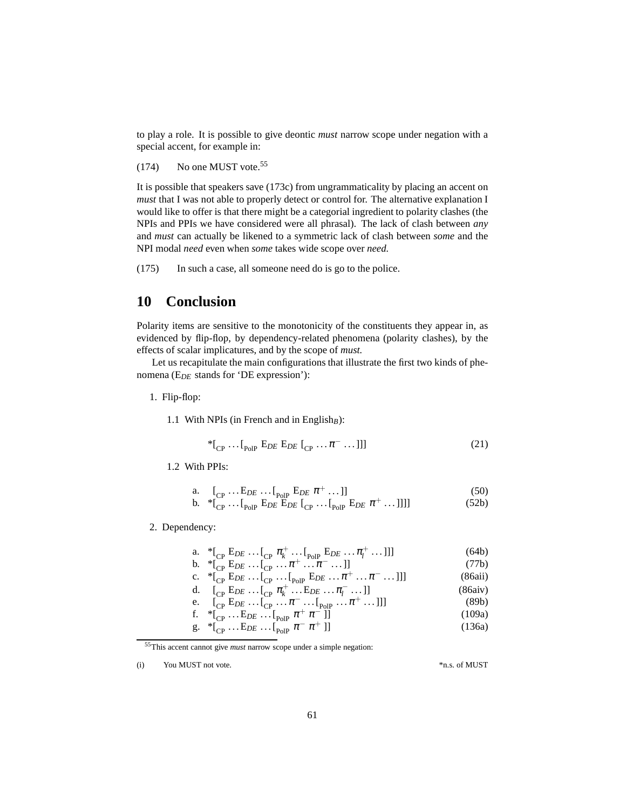to play a role. It is possible to give deontic *must* narrow scope under negation with a special accent, for example in:

 $(174)$  No one MUST vote.<sup>[55](#page-60-2)</sup>

It is possible that speakers save [\(173c\)](#page-59-2) from ungrammaticality by placing an accent on *must* that I was not able to properly detect or control for. The alternative explanation I would like to offer is that there might be a categorial ingredient to polarity clashes (the NPIs and PPIs we have considered were all phrasal). The lack of clash between *any* and *must* can actually be likened to a symmetric lack of clash between *some* and the NPI modal *need* even when *some* takes wide scope over *need.*

(175) In such a case, all someone need do is go to the police.

# <span id="page-60-0"></span>**10 Conclusion**

Polarity items are sensitive to the monotonicity of the constituents they appear in, as evidenced by flip-flop, by dependency-related phenomena (polarity clashes), by the effects of scalar implicatures, and by the scope of *must.*

Let us recapitulate the main configurations that illustrate the first two kinds of phenomena (E*DE* stands for 'DE expression'):

1. Flip-flop:

1.1 With NPIs (in French and in English $_B$ ):

$$
*_{[C\text{P} \cdots [P\text{olP} \ EDE} E_{DE} [C\text{P} \cdots \pi^- \cdots]]]
$$
 (21)

1.2 With PPIs:

a. 
$$
\left[\begin{matrix}{}_{\text{CP}}\dots E_{DE}\dots \int_{\text{PoIP}} E_{DE} \pi^+ \dots \end{matrix}\right]
$$
  
\nb.  $* \left[\begin{matrix}{}_{\text{CP}}\dots \int_{\text{PoIP}} E_{DE} E_{DE} \end{matrix}\right]_{\text{CPE}} E_{DE} \pi^+ \dots ]]]$  (50)

2. Dependency:

a. 
$$
{}^*[_{CP} E_{DE} ... [_{CP} \pi_k^+ ... [_{PoIP} E_{DE} ... \pi_l^+ ...]]]
$$
 (64b)

b. 
$$
{}^{*}[\begin{matrix}C_{\text{P}} & E_{DE} & \dots & C_{\text{P}} & \dots & \pi^{+} & \dots & \pi^{-} & \dots & 1\end{matrix}]
$$
  
\nc. 
$$
{}^{*}[\begin{matrix}C_{\text{P}} & E_{DE} & \dots & C_{\text{P}} & \dots & C_{\text{PoIP}} & E_{DE} & \dots & \pi^{+} & \dots & \pi^{-} & \dots & 1\end{matrix}]]
$$
  
\nd. 
$$
[\begin{matrix}C_{\text{P}} & E_{DE} & \dots & C_{\text{P}} & \pi_{k}^{+} & \dots & E_{DE} & \dots & \pi_{l}^{-} & \dots & 1\end{matrix}]]
$$
  
\ne. 
$$
[\begin{matrix}C_{\text{P}} & E_{DE} & \dots & C_{\text{P}} & \dots & \pi^{-} & \dots & C_{\text{PoIP}} & \dots & \pi^{+} & \dots & 1\end{matrix}]]
$$
  
\n(86aiv)  
\ne. 
$$
[\begin{matrix}C_{\text{P}} & E_{DE} & \dots & C_{\text{P}} & \dots & \pi^{-} & \dots & C_{\text{PoIP}} & \dots & \pi^{+} & \dots & 1\end{matrix}]]
$$
  
\n(89b)

f. 
$$
{}^{*}[C_{P} \cdots E_{DE} \cdots [P_{P} \cdots E_{P}]
$$
  
\n ${}^{*}[C_{P} \cdots E_{DE} \cdots [P_{P} \cdots E_{P}]$  (109a)

g. 
$$
{}^{*}[\begin{matrix} \cdot & \cdot & \cdot \\ \cdot & \cdot & \cdot \\ \cdot & \cdot & \cdot \\ \cdot & \cdot & \cdot \end{matrix} \pi^{-} \pi^{+}]]
$$
 (136a)

<sup>55</sup>This accent cannot give *must* narrow scope under a simple negation:

<span id="page-60-2"></span><span id="page-60-1"></span><sup>(</sup>i) You MUST not vote.  $*$ n.s. of MUST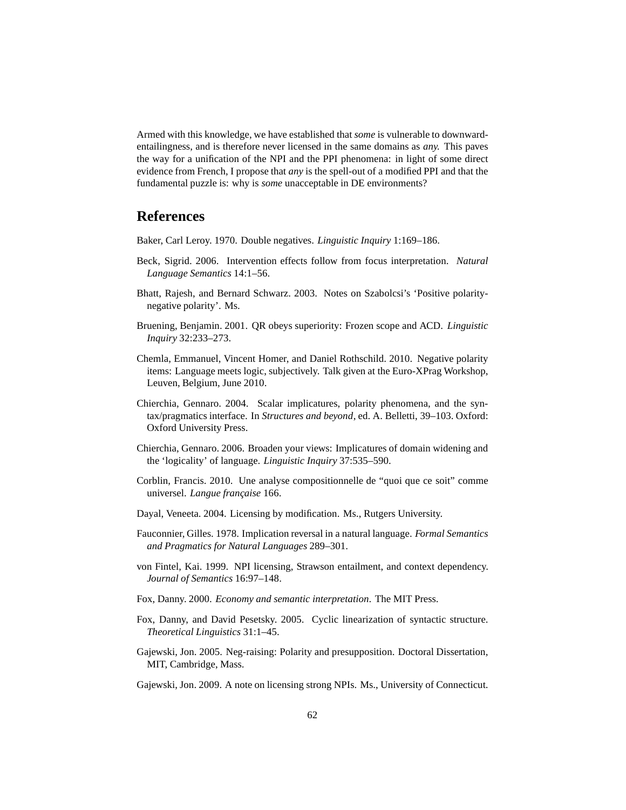Armed with this knowledge, we have established that *some* is vulnerable to downwardentailingness, and is therefore never licensed in the same domains as *any.* This paves the way for a unification of the NPI and the PPI phenomena: in light of some direct evidence from French, I propose that *any* is the spell-out of a modified PPI and that the fundamental puzzle is: why is *some* unacceptable in DE environments?

# **References**

<span id="page-61-7"></span>Baker, Carl Leroy. 1970. Double negatives. *Linguistic Inquiry* 1:169–186.

- <span id="page-61-10"></span>Beck, Sigrid. 2006. Intervention effects follow from focus interpretation. *Natural Language Semantics* 14:1–56.
- <span id="page-61-12"></span>Bhatt, Rajesh, and Bernard Schwarz. 2003. Notes on Szabolcsi's 'Positive polaritynegative polarity'. Ms.
- <span id="page-61-11"></span>Bruening, Benjamin. 2001. QR obeys superiority: Frozen scope and ACD. *Linguistic Inquiry* 32:233–273.
- <span id="page-61-13"></span>Chemla, Emmanuel, Vincent Homer, and Daniel Rothschild. 2010. Negative polarity items: Language meets logic, subjectively. Talk given at the Euro-XPrag Workshop, Leuven, Belgium, June 2010.
- <span id="page-61-4"></span>Chierchia, Gennaro. 2004. Scalar implicatures, polarity phenomena, and the syntax/pragmatics interface. In *Structures and beyond*, ed. A. Belletti, 39–103. Oxford: Oxford University Press.
- <span id="page-61-14"></span>Chierchia, Gennaro. 2006. Broaden your views: Implicatures of domain widening and the 'logicality' of language. *Linguistic Inquiry* 37:535–590.
- <span id="page-61-6"></span>Corblin, Francis. 2010. Une analyse compositionnelle de "quoi que ce soit" comme universel. *Langue française* 166.
- <span id="page-61-5"></span>Dayal, Veneeta. 2004. Licensing by modification. Ms., Rutgers University.
- <span id="page-61-0"></span>Fauconnier, Gilles. 1978. Implication reversal in a natural language. *Formal Semantics and Pragmatics for Natural Languages* 289–301.
- <span id="page-61-1"></span>von Fintel, Kai. 1999. NPI licensing, Strawson entailment, and context dependency. *Journal of Semantics* 16:97–148.
- <span id="page-61-8"></span>Fox, Danny. 2000. *Economy and semantic interpretation*. The MIT Press.
- <span id="page-61-9"></span>Fox, Danny, and David Pesetsky. 2005. Cyclic linearization of syntactic structure. *Theoretical Linguistics* 31:1–45.
- <span id="page-61-3"></span>Gajewski, Jon. 2005. Neg-raising: Polarity and presupposition. Doctoral Dissertation, MIT, Cambridge, Mass.
- <span id="page-61-2"></span>Gajewski, Jon. 2009. A note on licensing strong NPIs. Ms., University of Connecticut.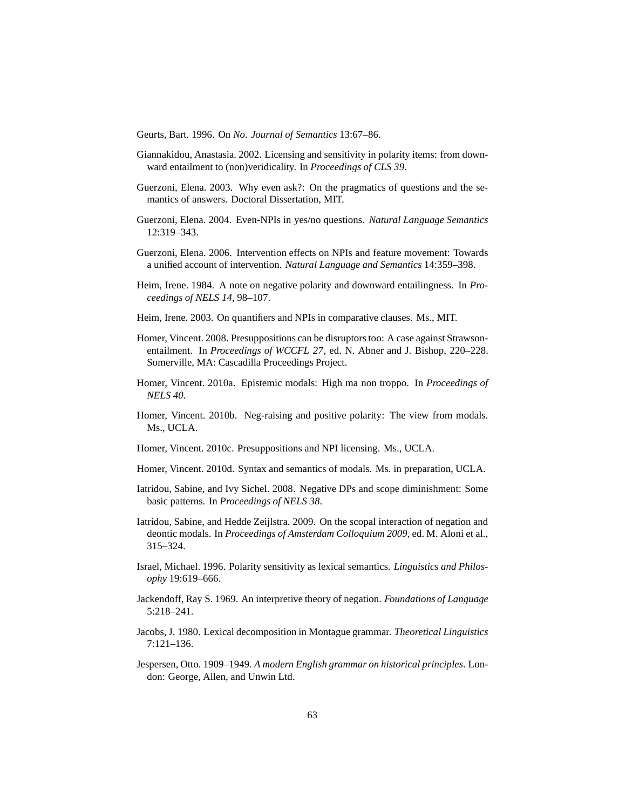<span id="page-62-9"></span>Geurts, Bart. 1996. On *No*. *Journal of Semantics* 13:67–86.

- <span id="page-62-0"></span>Giannakidou, Anastasia. 2002. Licensing and sensitivity in polarity items: from downward entailment to (non)veridicality. In *Proceedings of CLS 39*.
- <span id="page-62-6"></span>Guerzoni, Elena. 2003. Why even ask?: On the pragmatics of questions and the semantics of answers. Doctoral Dissertation, MIT.
- <span id="page-62-7"></span>Guerzoni, Elena. 2004. Even-NPIs in yes/no questions. *Natural Language Semantics* 12:319–343.
- <span id="page-62-1"></span>Guerzoni, Elena. 2006. Intervention effects on NPIs and feature movement: Towards a unified account of intervention. *Natural Language and Semantics* 14:359–398.
- <span id="page-62-5"></span>Heim, Irene. 1984. A note on negative polarity and downward entailingness. In *Proceedings of NELS 14*, 98–107.
- <span id="page-62-2"></span>Heim, Irene. 2003. On quantifiers and NPIs in comparative clauses. Ms., MIT.
- <span id="page-62-3"></span>Homer, Vincent. 2008. Presuppositions can be disruptors too: A case against Strawsonentailment. In *Proceedings of WCCFL 27*, ed. N. Abner and J. Bishop, 220–228. Somerville, MA: Cascadilla Proceedings Project.
- <span id="page-62-13"></span>Homer, Vincent. 2010a. Epistemic modals: High ma non troppo. In *Proceedings of NELS 40*.
- <span id="page-62-14"></span>Homer, Vincent. 2010b. Neg-raising and positive polarity: The view from modals. Ms., UCLA.
- <span id="page-62-4"></span>Homer, Vincent. 2010c. Presuppositions and NPI licensing. Ms., UCLA.
- <span id="page-62-17"></span>Homer, Vincent. 2010d. Syntax and semantics of modals. Ms. in preparation, UCLA.
- <span id="page-62-10"></span>Iatridou, Sabine, and Ivy Sichel. 2008. Negative DPs and scope diminishment: Some basic patterns. In *Proceedings of NELS 38*.
- <span id="page-62-16"></span>Iatridou, Sabine, and Hedde Zeijlstra. 2009. On the scopal interaction of negation and deontic modals. In *Proceedings of Amsterdam Colloquium 2009*, ed. M. Aloni et al., 315–324.
- <span id="page-62-15"></span>Israel, Michael. 1996. Polarity sensitivity as lexical semantics. *Linguistics and Philosophy* 19:619–666.
- <span id="page-62-12"></span>Jackendoff, Ray S. 1969. An interpretive theory of negation. *Foundations of Language* 5:218–241.
- <span id="page-62-8"></span>Jacobs, J. 1980. Lexical decomposition in Montague grammar. *Theoretical Linguistics* 7:121–136.
- <span id="page-62-11"></span>Jespersen, Otto. 1909–1949. *A modern English grammar on historical principles*. London: George, Allen, and Unwin Ltd.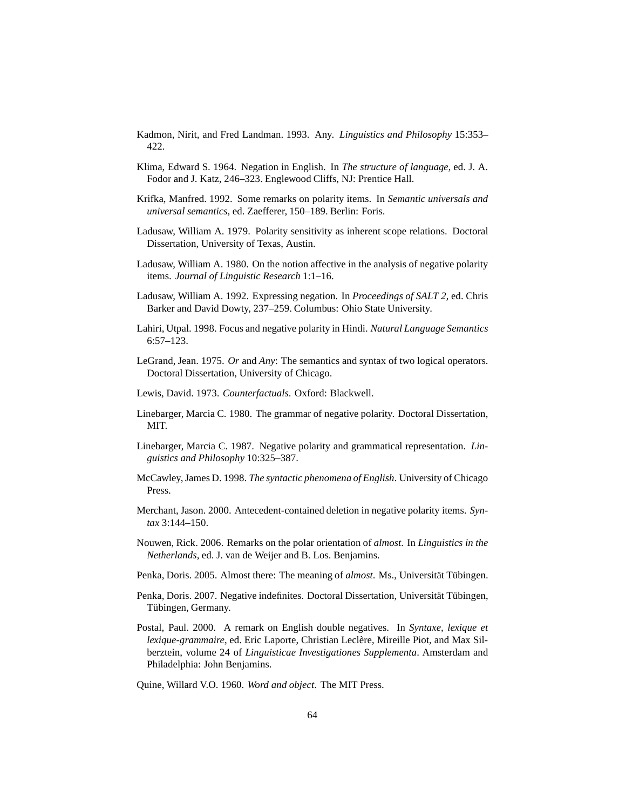<span id="page-63-12"></span>Kadmon, Nirit, and Fred Landman. 1993. Any. *Linguistics and Philosophy* 15:353– 422.

- <span id="page-63-0"></span>Klima, Edward S. 1964. Negation in English. In *The structure of language*, ed. J. A. Fodor and J. Katz, 246–323. Englewood Cliffs, NJ: Prentice Hall.
- <span id="page-63-8"></span>Krifka, Manfred. 1992. Some remarks on polarity items. In *Semantic universals and universal semantics*, ed. Zaefferer, 150–189. Berlin: Foris.
- <span id="page-63-3"></span>Ladusaw, William A. 1979. Polarity sensitivity as inherent scope relations. Doctoral Dissertation, University of Texas, Austin.
- <span id="page-63-4"></span>Ladusaw, William A. 1980. On the notion affective in the analysis of negative polarity items. *Journal of Linguistic Research* 1:1–16.
- <span id="page-63-6"></span>Ladusaw, William A. 1992. Expressing negation. In *Proceedings of SALT 2*, ed. Chris Barker and David Dowty, 237–259. Columbus: Ohio State University.
- <span id="page-63-13"></span>Lahiri, Utpal. 1998. Focus and negative polarity in Hindi. *Natural Language Semantics* 6:57–123.
- <span id="page-63-5"></span>LeGrand, Jean. 1975. *Or* and *Any*: The semantics and syntax of two logical operators. Doctoral Dissertation, University of Chicago.
- <span id="page-63-14"></span>Lewis, David. 1973. *Counterfactuals*. Oxford: Blackwell.
- <span id="page-63-2"></span>Linebarger, Marcia C. 1980. The grammar of negative polarity. Doctoral Dissertation, MIT.
- <span id="page-63-11"></span>Linebarger, Marcia C. 1987. Negative polarity and grammatical representation. *Linguistics and Philosophy* 10:325–387.
- <span id="page-63-9"></span>McCawley, James D. 1998. *The syntactic phenomena of English*. University of Chicago Press.
- <span id="page-63-10"></span>Merchant, Jason. 2000. Antecedent-contained deletion in negative polarity items. *Syntax* 3:144–150.
- <span id="page-63-16"></span>Nouwen, Rick. 2006. Remarks on the polar orientation of *almost*. In *Linguistics in the Netherlands*, ed. J. van de Weijer and B. Los. Benjamins.
- <span id="page-63-17"></span>Penka, Doris. 2005. Almost there: The meaning of *almost*. Ms., Universität Tübingen.
- <span id="page-63-7"></span>Penka, Doris. 2007. Negative indefinites. Doctoral Dissertation, Universität Tübingen, Tübingen, Germany.
- <span id="page-63-15"></span>Postal, Paul. 2000. A remark on English double negatives. In *Syntaxe, lexique et* lexique-grammaire, ed. Eric Laporte, Christian Leclère, Mireille Piot, and Max Silberztein, volume 24 of *Linguisticae Investigationes Supplementa*. Amsterdam and Philadelphia: John Benjamins.

<span id="page-63-1"></span>Quine, Willard V.O. 1960. *Word and object*. The MIT Press.